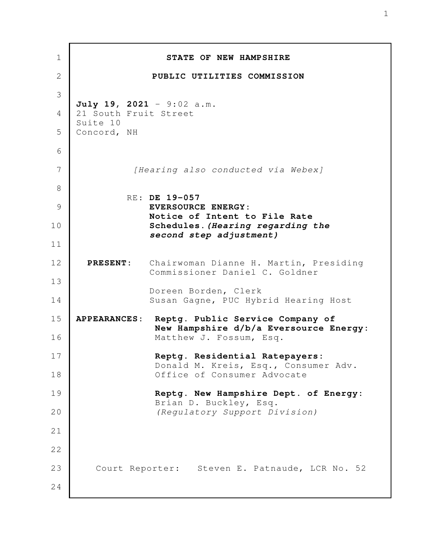| 1            |                                   | STATE OF NEW HAMPSHIRE                                                                                |
|--------------|-----------------------------------|-------------------------------------------------------------------------------------------------------|
| $\mathbf{2}$ |                                   | PUBLIC UTILITIES COMMISSION                                                                           |
| 3            | July 19, 2021 - 9:02 a.m.         |                                                                                                       |
| 4            | 21 South Fruit Street<br>Suite 10 |                                                                                                       |
| 5            | Concord, NH                       |                                                                                                       |
| 6            |                                   |                                                                                                       |
| 7            |                                   | [Hearing also conducted via Webex]                                                                    |
| 8            |                                   | RE: DE 19-057                                                                                         |
| 9            |                                   | <b>EVERSOURCE ENERGY:</b><br>Notice of Intent to File Rate                                            |
| 10           |                                   | Schedules. (Hearing regarding the<br>second step adjustment)                                          |
| 11           |                                   |                                                                                                       |
| 12<br>13     | <b>PRESENT:</b>                   | Chairwoman Dianne H. Martin, Presiding<br>Commissioner Daniel C. Goldner                              |
| 14           |                                   | Doreen Borden, Clerk<br>Susan Gagne, PUC Hybrid Hearing Host                                          |
| 15<br>16     | <b>APPEARANCES:</b>               | Reptg. Public Service Company of<br>New Hampshire d/b/a Eversource Energy:<br>Matthew J. Fossum, Esq. |
| 17           |                                   | Reptg. Residential Ratepayers:                                                                        |
| 18           |                                   | Donald M. Kreis, Esq., Consumer Adv.<br>Office of Consumer Advocate                                   |
| 19           |                                   | Reptg. New Hampshire Dept. of Energy:                                                                 |
| 20           |                                   | Brian D. Buckley, Esq.<br>(Regulatory Support Division)                                               |
| 21           |                                   |                                                                                                       |
| 22           |                                   |                                                                                                       |
| 23           |                                   | Court Reporter: Steven E. Patnaude, LCR No. 52                                                        |
| 24           |                                   |                                                                                                       |
|              |                                   |                                                                                                       |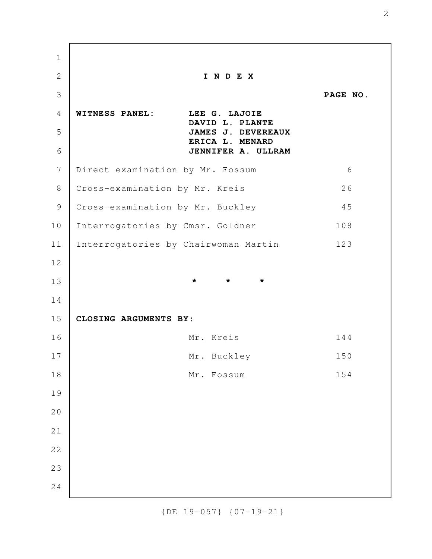**I N D E X PAGE NO. WITNESS PANEL: LEE G. LAJOIE DAVID L. PLANTE JAMES J. DEVEREAUX ERICA L. MENARD JENNIFER A. ULLRAM** Direct examination by Mr. Fossum 6 Cross-examination by Mr. Kreis 26 Cross-examination by Mr. Buckley 45 Interrogatories by Cmsr. Goldner 108 Interrogatories by Chairwoman Martin 123 **\* \* \* CLOSING ARGUMENTS BY:** Mr. Kreis 144 Mr. Buckley 150 Mr. Fossum 154 1 2 3 4 5 6 7 8 9 10 11 12 13 14 15 16 17 18 19 20 21 22 23 24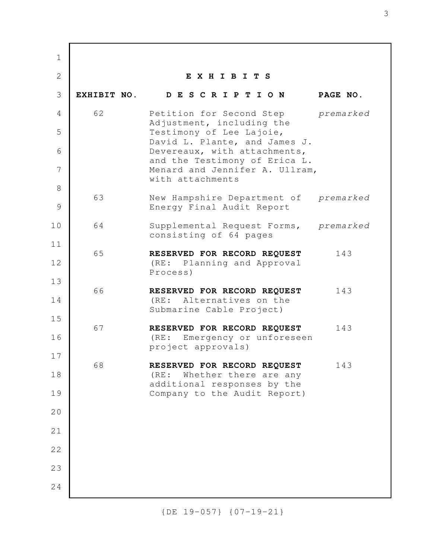**E X H I B I T S EXHIBIT NO. D E S C R I P T I O N PAGE NO.** 62 Petition for Second Step *premarked* Adjustment, including the Testimony of Lee Lajoie, David L. Plante, and James J. Devereaux, with attachments, and the Testimony of Erica L. Menard and Jennifer A. Ullram, with attachments 63 New Hampshire Department of *premarked* Energy Final Audit Report 64 Supplemental Request Forms, *premarked* consisting of 64 pages 65 **RESERVED FOR RECORD REQUEST** 143 (RE: Planning and Approval Process) 66 **RESERVED FOR RECORD REQUEST** 143 (RE: Alternatives on the Submarine Cable Project) 67 **RESERVED FOR RECORD REQUEST** 143 (RE: Emergency or unforeseen project approvals) 68 **RESERVED FOR RECORD REQUEST** 143 (RE: Whether there are any additional responses by the Company to the Audit Report) 1 2 3 4 5 6 7 8 9 10 11 12 13 14 15 16 17 18 19 20 21 22 23 24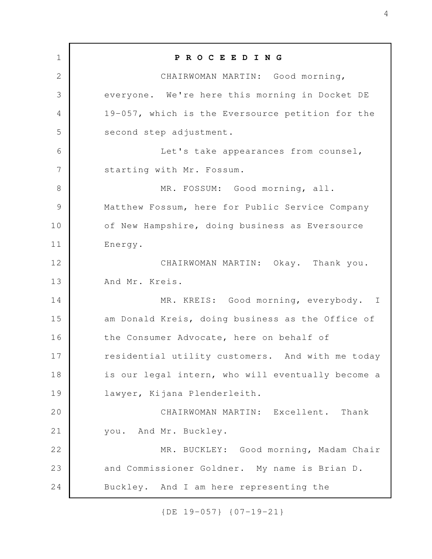**P R O C E E D I N G** CHAIRWOMAN MARTIN: Good morning, everyone. We're here this morning in Docket DE 19-057, which is the Eversource petition for the second step adjustment. Let's take appearances from counsel, starting with Mr. Fossum. MR. FOSSUM: Good morning, all. Matthew Fossum, here for Public Service Company of New Hampshire, doing business as Eversource Energy. CHAIRWOMAN MARTIN: Okay. Thank you. And Mr. Kreis. MR. KREIS: Good morning, everybody. I am Donald Kreis, doing business as the Office of the Consumer Advocate, here on behalf of residential utility customers. And with me today is our legal intern, who will eventually become a lawyer, Kijana Plenderleith. CHAIRWOMAN MARTIN: Excellent. Thank you. And Mr. Buckley. MR. BUCKLEY: Good morning, Madam Chair and Commissioner Goldner. My name is Brian D. Buckley. And I am here representing the 1 2 3 4 5 6 7 8 9 10 11 12 13 14 15 16 17 18 19 20 21 22 23 24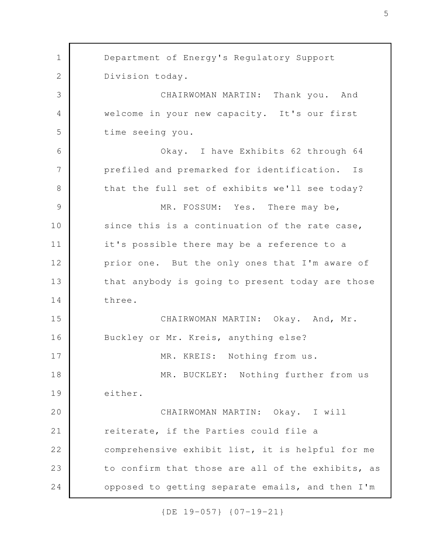Department of Energy's Regulatory Support Division today. CHAIRWOMAN MARTIN: Thank you. And welcome in your new capacity. It's our first time seeing you. Okay. I have Exhibits 62 through 64 prefiled and premarked for identification. Is that the full set of exhibits we'll see today? MR. FOSSUM: Yes. There may be, since this is a continuation of the rate case, it's possible there may be a reference to a prior one. But the only ones that I'm aware of that anybody is going to present today are those three. CHAIRWOMAN MARTIN: Okay. And, Mr. Buckley or Mr. Kreis, anything else? MR. KREIS: Nothing from us. MR. BUCKLEY: Nothing further from us either. CHAIRWOMAN MARTIN: Okay. I will reiterate, if the Parties could file a comprehensive exhibit list, it is helpful for me to confirm that those are all of the exhibits, as opposed to getting separate emails, and then I'm 1 2 3 4 5 6 7 8 9 10 11 12 13 14 15 16 17 18 19 20 21 22 23 24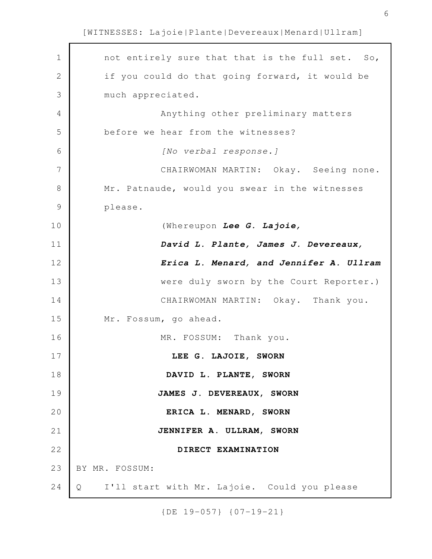| 1             | not entirely sure that that is the full set. So,  |
|---------------|---------------------------------------------------|
| 2             | if you could do that going forward, it would be   |
| 3             | much appreciated.                                 |
| 4             | Anything other preliminary matters                |
| 5             | before we hear from the witnesses?                |
| 6             | [No verbal response.]                             |
| 7             | CHAIRWOMAN MARTIN: Okay. Seeing none.             |
| 8             | Mr. Patnaude, would you swear in the witnesses    |
| $\mathcal{G}$ | please.                                           |
| 10            | (Whereupon Lee G. Lajoie,                         |
| 11            | David L. Plante, James J. Devereaux,              |
| 12            | Erica L. Menard, and Jennifer A. Ullram           |
| 13            | were duly sworn by the Court Reporter.)           |
| 14            | CHAIRWOMAN MARTIN: Okay. Thank you.               |
| 15            | Mr. Fossum, go ahead.                             |
| 16            | MR. FOSSUM: Thank you.                            |
| 17            | LEE G. LAJOIE, SWORN                              |
| 18            | DAVID L. PLANTE, SWORN                            |
| 19            | JAMES J. DEVEREAUX, SWORN                         |
| 20            | ERICA L. MENARD, SWORN                            |
| 21            | JENNIFER A. ULLRAM, SWORN                         |
| 22            | DIRECT EXAMINATION                                |
| 23            | BY MR. FOSSUM:                                    |
| 24            | I'll start with Mr. Lajoie. Could you please<br>Q |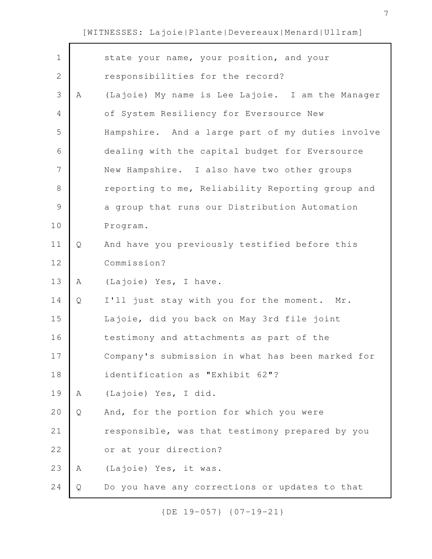| $\mathbf 1$    |   | state your name, your position, and your         |
|----------------|---|--------------------------------------------------|
| $\mathbf{2}$   |   | responsibilities for the record?                 |
|                |   |                                                  |
| 3              | Α | (Lajoie) My name is Lee Lajoie. I am the Manager |
| 4              |   | of System Resiliency for Eversource New          |
| 5              |   | Hampshire. And a large part of my duties involve |
| 6              |   | dealing with the capital budget for Eversource   |
| $\overline{7}$ |   | New Hampshire. I also have two other groups      |
| 8              |   | reporting to me, Reliability Reporting group and |
| $\mathcal{G}$  |   | a group that runs our Distribution Automation    |
| 10             |   | Program.                                         |
| 11             | Q | And have you previously testified before this    |
| 12             |   | Commission?                                      |
| 13             | Α | (Lajoie) Yes, I have.                            |
| 14             | Q | I'll just stay with you for the moment. Mr.      |
| 15             |   | Lajoie, did you back on May 3rd file joint       |
| 16             |   | testimony and attachments as part of the         |
| 17             |   | Company's submission in what has been marked for |
| 18             |   | identification as "Exhibit 62"?                  |
| 19             | Α | (Lajoie) Yes, I did.                             |
| 20             | Q | And, for the portion for which you were          |
| 21             |   | responsible, was that testimony prepared by you  |
| 22             |   | or at your direction?                            |
| 23             | Α | (Lajoie) Yes, it was.                            |
| 24             | Q | Do you have any corrections or updates to that   |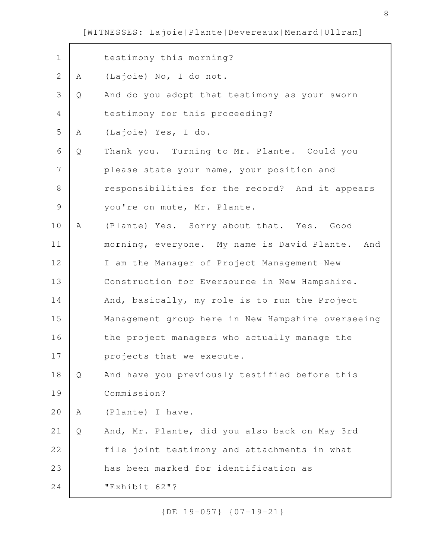| $\mathbf 1$    |   | testimony this morning?                           |
|----------------|---|---------------------------------------------------|
| $\overline{2}$ | Α | (Lajoie) No, I do not.                            |
| 3              | Q | And do you adopt that testimony as your sworn     |
| 4              |   | testimony for this proceeding?                    |
| 5              | Α | (Lajoie) Yes, I do.                               |
| 6              | Q | Thank you. Turning to Mr. Plante. Could you       |
| $\overline{7}$ |   | please state your name, your position and         |
| 8              |   | responsibilities for the record? And it appears   |
| 9              |   | you're on mute, Mr. Plante.                       |
| 10             | Α | (Plante) Yes. Sorry about that. Yes. Good         |
| 11             |   | morning, everyone. My name is David Plante. And   |
| 12             |   | I am the Manager of Project Management-New        |
| 13             |   | Construction for Eversource in New Hampshire.     |
| 14             |   | And, basically, my role is to run the Project     |
| 15             |   | Management group here in New Hampshire overseeing |
| 16             |   | the project managers who actually manage the      |
| 17             |   | projects that we execute.                         |
| 18             | Q | And have you previously testified before this     |
| 19             |   | Commission?                                       |
| 20             | Α | (Plante) I have.                                  |
| 21             | Q | And, Mr. Plante, did you also back on May 3rd     |
| 22             |   | file joint testimony and attachments in what      |
| 23             |   | has been marked for identification as             |
| 24             |   | "Exhibit 62"?                                     |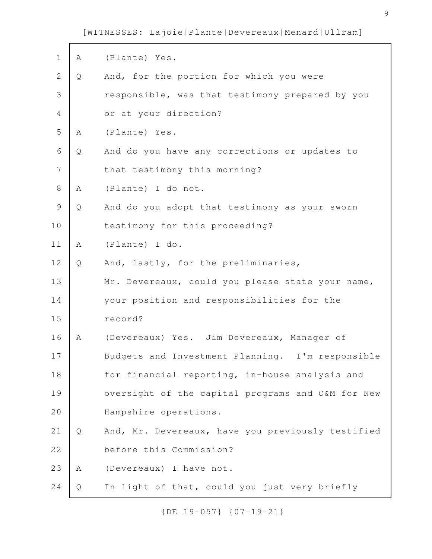| $\mathbf 1$    | Α | (Plante) Yes.                                     |
|----------------|---|---------------------------------------------------|
| $\mathbf{2}$   | Q | And, for the portion for which you were           |
| 3              |   | responsible, was that testimony prepared by you   |
| $\overline{4}$ |   | or at your direction?                             |
| 5              | Α | (Plante) Yes.                                     |
| 6              | Q | And do you have any corrections or updates to     |
| $\overline{7}$ |   | that testimony this morning?                      |
| 8              | Α | (Plante) I do not.                                |
| $\mathsf{S}$   | Q | And do you adopt that testimony as your sworn     |
| 10             |   | testimony for this proceeding?                    |
| 11             | Α | (Plante) I do.                                    |
| 12             | Q | And, lastly, for the preliminaries,               |
| 13             |   | Mr. Devereaux, could you please state your name,  |
| 14             |   | your position and responsibilities for the        |
| 15             |   | record?                                           |
| 16             | Α | (Devereaux) Yes. Jim Devereaux, Manager of        |
| 17             |   | Budgets and Investment Planning. I'm responsible  |
| 18             |   | for financial reporting, in-house analysis and    |
| 19             |   | oversight of the capital programs and O&M for New |
| 20             |   | Hampshire operations.                             |
| 21             | Q | And, Mr. Devereaux, have you previously testified |
| 22             |   | before this Commission?                           |
| 23             | Α | (Devereaux) I have not.                           |
| 24             | Q | In light of that, could you just very briefly     |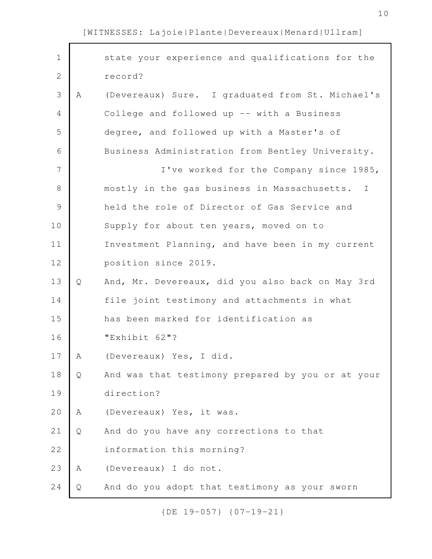|   | state your experience and qualifications for the             |
|---|--------------------------------------------------------------|
|   | record?                                                      |
| Α | (Devereaux) Sure. I graduated from St. Michael's             |
|   | College and followed up -- with a Business                   |
|   | degree, and followed up with a Master's of                   |
|   | Business Administration from Bentley University.             |
|   | I've worked for the Company since 1985,                      |
|   | mostly in the gas business in Massachusetts.<br>$\mathbb{I}$ |
|   | held the role of Director of Gas Service and                 |
|   | Supply for about ten years, moved on to                      |
|   | Investment Planning, and have been in my current             |
|   | position since 2019.                                         |
| Q | And, Mr. Devereaux, did you also back on May 3rd             |
|   | file joint testimony and attachments in what                 |
|   | has been marked for identification as                        |
|   | "Exhibit 62"?                                                |
| А | (Devereaux) Yes, I did.                                      |
| Q | And was that testimony prepared by you or at your            |
|   | direction?                                                   |
| Α | (Devereaux) Yes, it was.                                     |
| Q | And do you have any corrections to that                      |
|   | information this morning?                                    |
| Α | (Devereaux) I do not.                                        |
| Q | And do you adopt that testimony as your sworn                |
|   |                                                              |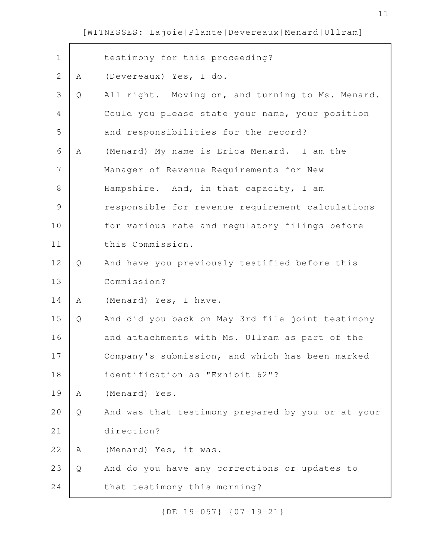| $\mathbf 1$    |   | testimony for this proceeding?                    |
|----------------|---|---------------------------------------------------|
| $\mathbf{2}$   | Α | (Devereaux) Yes, I do.                            |
| 3              | Q | All right. Moving on, and turning to Ms. Menard.  |
| 4              |   | Could you please state your name, your position   |
| 5              |   | and responsibilities for the record?              |
| 6              | Α | (Menard) My name is Erica Menard. I am the        |
| $\overline{7}$ |   | Manager of Revenue Requirements for New           |
| 8              |   | Hampshire. And, in that capacity, I am            |
| 9              |   | responsible for revenue requirement calculations  |
| 10             |   | for various rate and regulatory filings before    |
| 11             |   | this Commission.                                  |
| 12             | Q | And have you previously testified before this     |
| 13             |   | Commission?                                       |
| 14             | Α | (Menard) Yes, I have.                             |
| 15             | Q | And did you back on May 3rd file joint testimony  |
| 16             |   | and attachments with Ms. Ullram as part of the    |
| 17             |   | Company's submission, and which has been marked   |
| 18             |   | identification as "Exhibit 62"?                   |
| 19             | Α | (Menard) Yes.                                     |
| 20             | Q | And was that testimony prepared by you or at your |
| 21             |   | direction?                                        |
| 22             | Α | (Menard) Yes, it was.                             |
| 23             | Q | And do you have any corrections or updates to     |
| 24             |   | that testimony this morning?                      |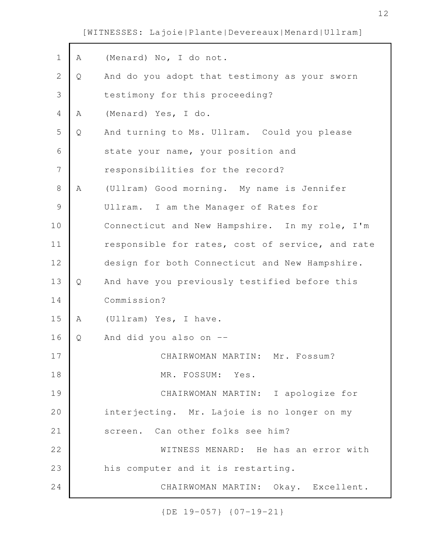| $\mathbf 1$    | Α | (Menard) No, I do not.                           |
|----------------|---|--------------------------------------------------|
| $\mathbf{2}$   | Q | And do you adopt that testimony as your sworn    |
| 3              |   | testimony for this proceeding?                   |
| 4              | Α | (Menard) Yes, I do.                              |
| 5              | Q | And turning to Ms. Ullram. Could you please      |
| 6              |   | state your name, your position and               |
| $\overline{7}$ |   | responsibilities for the record?                 |
| 8              | Α | (Ullram) Good morning. My name is Jennifer       |
| 9              |   | Ullram. I am the Manager of Rates for            |
| 10             |   | Connecticut and New Hampshire. In my role, I'm   |
| 11             |   | responsible for rates, cost of service, and rate |
| 12             |   | design for both Connecticut and New Hampshire.   |
| 13             | Q | And have you previously testified before this    |
| 14             |   | Commission?                                      |
| 15             | Α | (Ullram) Yes, I have.                            |
| 16             | Q | And did you also on --                           |
| 17             |   | CHAIRWOMAN MARTIN: Mr. Fossum?                   |
| 18             |   | MR. FOSSUM: Yes.                                 |
| 19             |   | CHAIRWOMAN MARTIN: I apologize for               |
| 20             |   | interjecting. Mr. Lajoie is no longer on my      |
| 21             |   | screen. Can other folks see him?                 |
| 22             |   | WITNESS MENARD: He has an error with             |
| 23             |   | his computer and it is restarting.               |
| 24             |   | CHAIRWOMAN MARTIN: Okay. Excellent.              |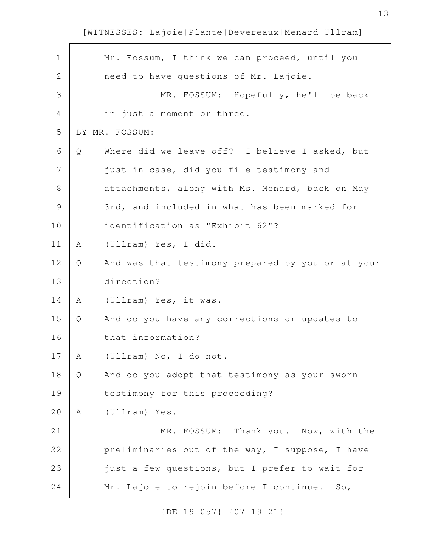| $\mathbf 1$   |   | Mr. Fossum, I think we can proceed, until you     |
|---------------|---|---------------------------------------------------|
| $\mathbf{2}$  |   | need to have questions of Mr. Lajoie.             |
| 3             |   | MR. FOSSUM: Hopefully, he'll be back              |
| 4             |   | in just a moment or three.                        |
| 5             |   | BY MR. FOSSUM:                                    |
| 6             | Q | Where did we leave off? I believe I asked, but    |
| 7             |   | just in case, did you file testimony and          |
| $\,8\,$       |   | attachments, along with Ms. Menard, back on May   |
| $\mathcal{G}$ |   | 3rd, and included in what has been marked for     |
| 10            |   | identification as "Exhibit 62"?                   |
| 11            | Α | (Ullram) Yes, I did.                              |
| 12            | Q | And was that testimony prepared by you or at your |
| 13            |   | direction?                                        |
| 14            | Α | (Ullram) Yes, it was.                             |
| 15            | Q | And do you have any corrections or updates to     |
| 16            |   | that information?                                 |
| 17            | Α | (Ullram) No, I do not.                            |
| 18            | Q | And do you adopt that testimony as your sworn     |
| 19            |   | testimony for this proceeding?                    |
| 20            | Α | (Ullram) Yes.                                     |
| 21            |   | MR. FOSSUM: Thank you. Now, with the              |
| 22            |   | preliminaries out of the way, I suppose, I have   |
| 23            |   | just a few questions, but I prefer to wait for    |
| 24            |   | Mr. Lajoie to rejoin before I continue. So,       |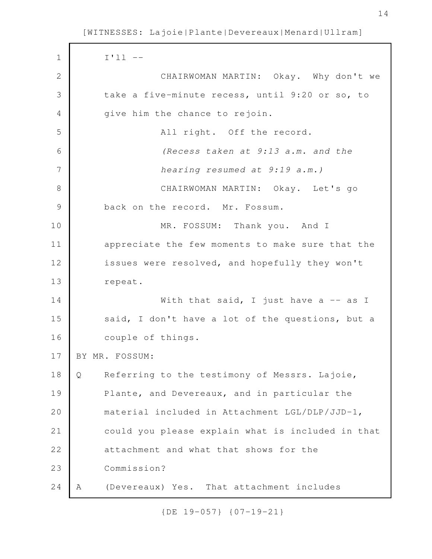| $\mathbf 1$   |   | $I'11 - -$                                        |
|---------------|---|---------------------------------------------------|
| 2             |   | CHAIRWOMAN MARTIN: Okay. Why don't we             |
| 3             |   | take a five-minute recess, until 9:20 or so, to   |
| 4             |   | give him the chance to rejoin.                    |
| 5             |   | All right. Off the record.                        |
| 6             |   | (Recess taken at 9:13 a.m. and the                |
| 7             |   | hearing resumed at 9:19 a.m.)                     |
| 8             |   | CHAIRWOMAN MARTIN: Okay. Let's go                 |
| $\mathcal{G}$ |   | back on the record. Mr. Fossum.                   |
| 10            |   | MR. FOSSUM: Thank you. And I                      |
| 11            |   | appreciate the few moments to make sure that the  |
| 12            |   | issues were resolved, and hopefully they won't    |
| 13            |   | repeat.                                           |
| 14            |   | With that said, I just have a $-$ as I            |
| 15            |   | said, I don't have a lot of the questions, but a  |
| 16            |   | couple of things.                                 |
| 17            |   | BY MR. FOSSUM:                                    |
| 18            | Q | Referring to the testimony of Messrs. Lajoie,     |
| 19            |   | Plante, and Devereaux, and in particular the      |
| 20            |   | material included in Attachment LGL/DLP/JJD-1,    |
| 21            |   | could you please explain what is included in that |
| 22            |   | attachment and what that shows for the            |
| 23            |   | Commission?                                       |
| 24            | A | (Devereaux) Yes. That attachment includes         |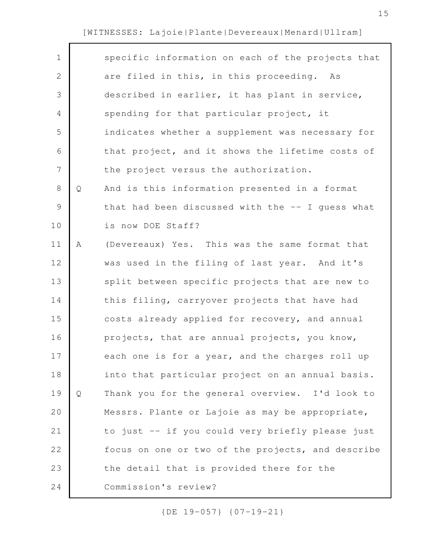| $\mathbf 1$    |   | specific information on each of the projects that |
|----------------|---|---------------------------------------------------|
| $\mathbf{2}$   |   | are filed in this, in this proceeding. As         |
| 3              |   | described in earlier, it has plant in service,    |
| 4              |   | spending for that particular project, it          |
| 5              |   | indicates whether a supplement was necessary for  |
| 6              |   | that project, and it shows the lifetime costs of  |
| $\overline{7}$ |   | the project versus the authorization.             |
| 8              | Q | And is this information presented in a format     |
| 9              |   | that had been discussed with the -- I guess what  |
| 10             |   | is now DOE Staff?                                 |
| 11             | Α | (Devereaux) Yes. This was the same format that    |
| 12             |   | was used in the filing of last year. And it's     |
| 13             |   | split between specific projects that are new to   |
| 14             |   | this filing, carryover projects that have had     |
| 15             |   | costs already applied for recovery, and annual    |
| 16             |   | projects, that are annual projects, you know,     |
| 17             |   | each one is for a year, and the charges roll up   |
| 18             |   | into that particular project on an annual basis.  |
| 19             | Q | Thank you for the general overview. I'd look to   |
| 20             |   | Messrs. Plante or Lajoie as may be appropriate,   |
| 21             |   | to just -- if you could very briefly please just  |
| 22             |   | focus on one or two of the projects, and describe |
| 23             |   | the detail that is provided there for the         |
| 24             |   | Commission's review?                              |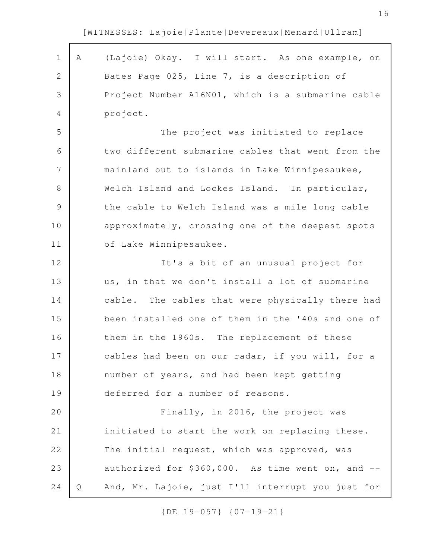| $\mathbf 1$    | Α | (Lajoie) Okay. I will start. As one example, on   |
|----------------|---|---------------------------------------------------|
| $\mathbf 2$    |   | Bates Page 025, Line 7, is a description of       |
| 3              |   | Project Number A16N01, which is a submarine cable |
| $\overline{4}$ |   | project.                                          |
| 5              |   | The project was initiated to replace              |
| 6              |   | two different submarine cables that went from the |
| $\overline{7}$ |   | mainland out to islands in Lake Winnipesaukee,    |
| $\,8\,$        |   | Welch Island and Lockes Island. In particular,    |
| $\mathcal{G}$  |   | the cable to Welch Island was a mile long cable   |
| 10             |   | approximately, crossing one of the deepest spots  |
| 11             |   | of Lake Winnipesaukee.                            |
| 12             |   | It's a bit of an unusual project for              |
| 13             |   | us, in that we don't install a lot of submarine   |
| 14             |   | cable. The cables that were physically there had  |
| 15             |   | been installed one of them in the '40s and one of |
| 16             |   | them in the 1960s. The replacement of these       |
| 17             |   | cables had been on our radar, if you will, for a  |
| 18             |   | number of years, and had been kept getting        |
| 19             |   | deferred for a number of reasons.                 |
| 20             |   | Finally, in 2016, the project was                 |
| 21             |   | initiated to start the work on replacing these.   |
| 22             |   | The initial request, which was approved, was      |
| 23             |   | authorized for \$360,000. As time went on, and -- |
| 24             | Q | And, Mr. Lajoie, just I'll interrupt you just for |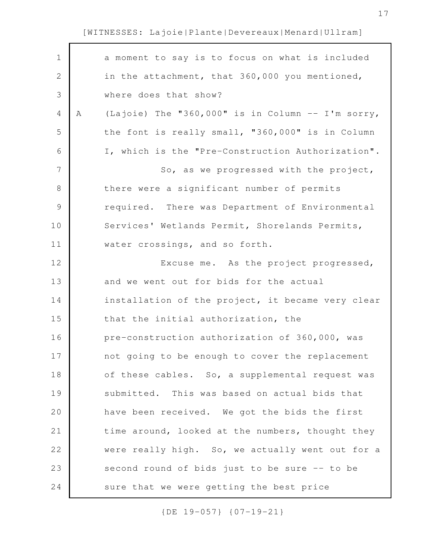$\Gamma$ 

| $\mathbf 1$    |   | a moment to say is to focus on what is included   |
|----------------|---|---------------------------------------------------|
| $\mathbf{2}$   |   | in the attachment, that 360,000 you mentioned,    |
| 3              |   | where does that show?                             |
| 4              | Α | (Lajoie) The "360,000" is in Column -- I'm sorry, |
| 5              |   | the font is really small, "360,000" is in Column  |
| 6              |   | I, which is the "Pre-Construction Authorization". |
| $\overline{7}$ |   | So, as we progressed with the project,            |
| 8              |   | there were a significant number of permits        |
| $\mathcal{G}$  |   | required. There was Department of Environmental   |
| 10             |   | Services' Wetlands Permit, Shorelands Permits,    |
| 11             |   | water crossings, and so forth.                    |
| 12             |   | Excuse me. As the project progressed,             |
| 13             |   | and we went out for bids for the actual           |
| 14             |   | installation of the project, it became very clear |
| 15             |   | that the initial authorization, the               |
| 16             |   | pre-construction authorization of 360,000, was    |
| 17             |   | not going to be enough to cover the replacement   |
| 18             |   | of these cables. So, a supplemental request was   |
| 19             |   | submitted. This was based on actual bids that     |
| 20             |   | have been received. We got the bids the first     |
| 21             |   | time around, looked at the numbers, thought they  |
| 22             |   | were really high. So, we actually went out for a  |
| 23             |   | second round of bids just to be sure -- to be     |
| 24             |   | sure that we were getting the best price          |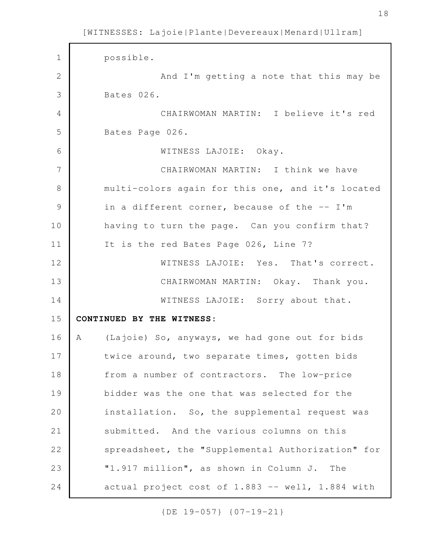possible. And I'm getting a note that this may be Bates 026. CHAIRWOMAN MARTIN: I believe it's red Bates Page 026. WITNESS LAJOIE: Okay. CHAIRWOMAN MARTIN: I think we have multi-colors again for this one, and it's located in a different corner, because of the -- I'm having to turn the page. Can you confirm that? It is the red Bates Page 026, Line 7? WITNESS LAJOIE: Yes. That's correct. CHAIRWOMAN MARTIN: Okay. Thank you. WITNESS LAJOIE: Sorry about that. **CONTINUED BY THE WITNESS:** A (Lajoie) So, anyways, we had gone out for bids twice around, two separate times, gotten bids from a number of contractors. The low-price bidder was the one that was selected for the installation. So, the supplemental request was submitted. And the various columns on this spreadsheet, the "Supplemental Authorization" for "1.917 million", as shown in Column J. The actual project cost of 1.883 -- well, 1.884 with 1 2 3 4 5 6 7 8 9 10 11 12 13 14 15 16 17 18 19 20 21 22 23 24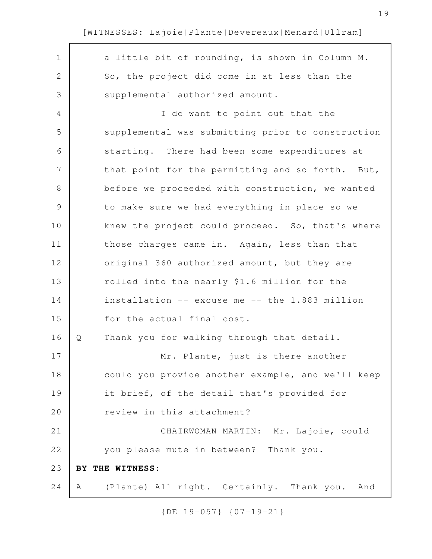a little bit of rounding, is shown in Column M. So, the project did come in at less than the supplemental authorized amount. I do want to point out that the supplemental was submitting prior to construction starting. There had been some expenditures at that point for the permitting and so forth. But, before we proceeded with construction, we wanted to make sure we had everything in place so we knew the project could proceed. So, that's where those charges came in. Again, less than that original 360 authorized amount, but they are rolled into the nearly \$1.6 million for the installation -- excuse me -- the 1.883 million for the actual final cost. Q Thank you for walking through that detail. Mr. Plante, just is there another -could you provide another example, and we'll keep it brief, of the detail that's provided for review in this attachment? CHAIRWOMAN MARTIN: Mr. Lajoie, could you please mute in between? Thank you. **BY THE WITNESS:** A (Plante) All right. Certainly. Thank you. And 1 2 3 4 5 6 7 8 9 10 11 12 13 14 15 16 17 18 19 20 21 22 23 24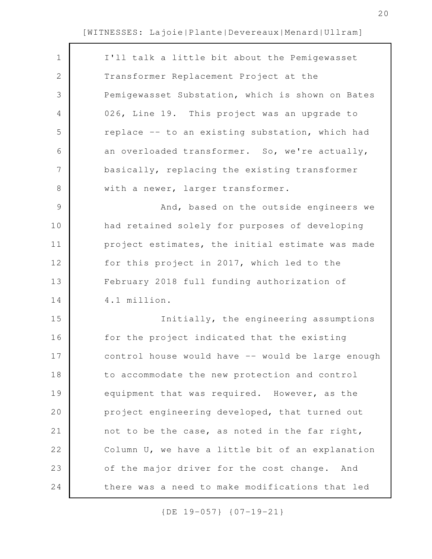| $\mathbf 1$    | I'll talk a little bit about the Pemigewasset     |
|----------------|---------------------------------------------------|
| $\mathbf{2}$   | Transformer Replacement Project at the            |
| 3              | Pemigewasset Substation, which is shown on Bates  |
| 4              | 026, Line 19. This project was an upgrade to      |
| 5              | replace -- to an existing substation, which had   |
| 6              | an overloaded transformer. So, we're actually,    |
| $\overline{7}$ | basically, replacing the existing transformer     |
| $8\,$          | with a newer, larger transformer.                 |
| $\mathsf 9$    | And, based on the outside engineers we            |
| 10             | had retained solely for purposes of developing    |
| 11             | project estimates, the initial estimate was made  |
| 12             | for this project in 2017, which led to the        |
| 13             | February 2018 full funding authorization of       |
| 14             | 4.1 million.                                      |
| 15             | Initially, the engineering assumptions            |
| 16             | for the project indicated that the existing       |
| 17             | control house would have -- would be large enough |
| 18             | to accommodate the new protection and control     |
| 19             | equipment that was required. However, as the      |
| 20             | project engineering developed, that turned out    |
| 21             | not to be the case, as noted in the far right,    |
| 22             | Column U, we have a little bit of an explanation  |
| 23             | of the major driver for the cost change. And      |
| 24             | there was a need to make modifications that led   |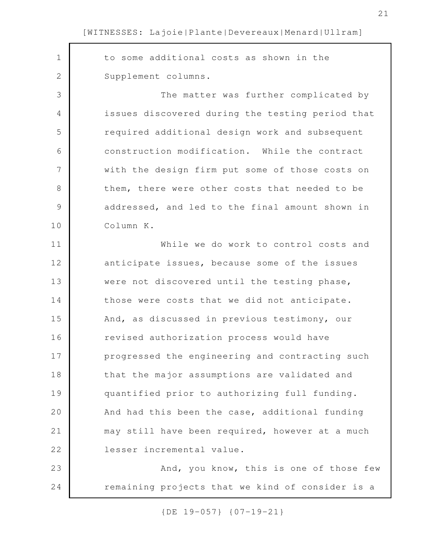to some additional costs as shown in the Supplement columns. The matter was further complicated by issues discovered during the testing period that required additional design work and subsequent construction modification. While the contract with the design firm put some of those costs on them, there were other costs that needed to be addressed, and led to the final amount shown in Column K. While we do work to control costs and anticipate issues, because some of the issues were not discovered until the testing phase, those were costs that we did not anticipate. And, as discussed in previous testimony, our revised authorization process would have progressed the engineering and contracting such that the major assumptions are validated and quantified prior to authorizing full funding. And had this been the case, additional funding may still have been required, however at a much lesser incremental value. And, you know, this is one of those few remaining projects that we kind of consider is a 1 2 3 4 5 6 7 8 9 10 11 12 13 14 15 16 17 18 19 20 21 22 23 24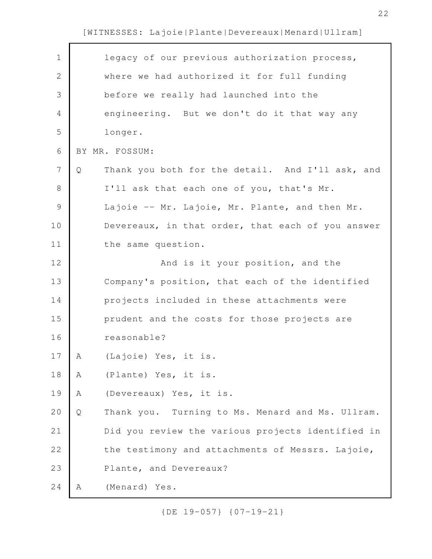| $\mathbf 1$   |   | legacy of our previous authorization process,     |
|---------------|---|---------------------------------------------------|
| $\mathbf{2}$  |   | where we had authorized it for full funding       |
| 3             |   | before we really had launched into the            |
| 4             |   | engineering. But we don't do it that way any      |
| 5             |   | longer.                                           |
| 6             |   | BY MR. FOSSUM:                                    |
| 7             | Q | Thank you both for the detail. And I'll ask, and  |
| 8             |   | I'll ask that each one of you, that's Mr.         |
| $\mathcal{G}$ |   | Lajoie -- Mr. Lajoie, Mr. Plante, and then Mr.    |
| 10            |   | Devereaux, in that order, that each of you answer |
| 11            |   | the same question.                                |
| 12            |   | And is it your position, and the                  |
| 13            |   | Company's position, that each of the identified   |
| 14            |   | projects included in these attachments were       |
| 15            |   | prudent and the costs for those projects are      |
| 16            |   | reasonable?                                       |
| 17            | Α | (Lajoie) Yes, it is.                              |
| 18            | Α | (Plante) Yes, it is.                              |
| 19            | Α | (Devereaux) Yes, it is.                           |
| 20            | Q | Thank you. Turning to Ms. Menard and Ms. Ullram.  |
| 21            |   | Did you review the various projects identified in |
| 22            |   | the testimony and attachments of Messrs. Lajoie,  |
| 23            |   | Plante, and Devereaux?                            |
| 24            | Α | (Menard) Yes.                                     |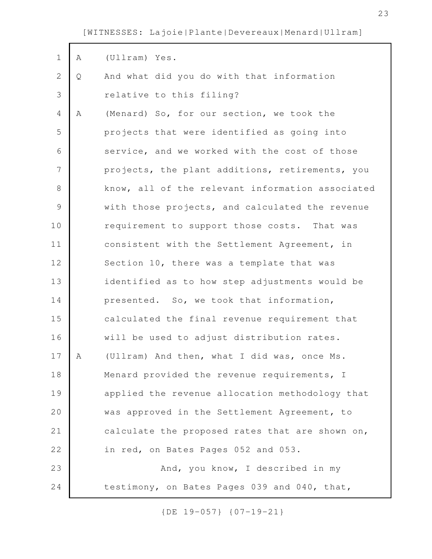| $\mathbf 1$    | Α | (Ullram) Yes.                                    |
|----------------|---|--------------------------------------------------|
| $\mathbf{2}$   | Q | And what did you do with that information        |
| 3              |   | relative to this filing?                         |
| 4              | Α | (Menard) So, for our section, we took the        |
| 5              |   | projects that were identified as going into      |
| 6              |   | service, and we worked with the cost of those    |
| $\overline{7}$ |   | projects, the plant additions, retirements, you  |
| 8              |   | know, all of the relevant information associated |
| $\mathsf 9$    |   | with those projects, and calculated the revenue  |
| 10             |   | requirement to support those costs. That was     |
| 11             |   | consistent with the Settlement Agreement, in     |
| 12             |   | Section 10, there was a template that was        |
| 13             |   | identified as to how step adjustments would be   |
| 14             |   | presented. So, we took that information,         |
| 15             |   | calculated the final revenue requirement that    |
| 16             |   | will be used to adjust distribution rates.       |
| 17             | Α | (Ullram) And then, what I did was, once Ms.      |
| 18             |   | Menard provided the revenue requirements, I      |
| 19             |   | applied the revenue allocation methodology that  |
| 20             |   | was approved in the Settlement Agreement, to     |
| 21             |   | calculate the proposed rates that are shown on,  |
| 22             |   | in red, on Bates Pages 052 and 053.              |
| 23             |   | And, you know, I described in my                 |
| 24             |   | testimony, on Bates Pages 039 and 040, that,     |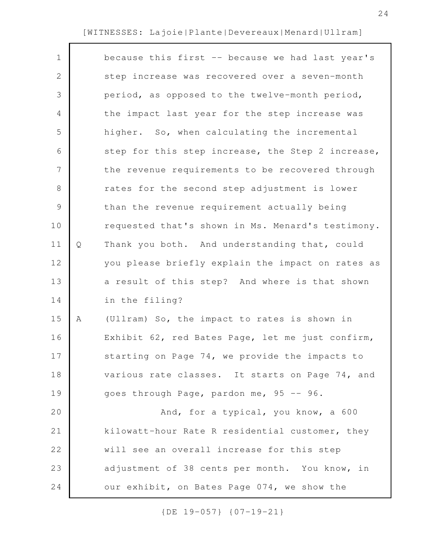| $\mathbf 1$    |   | because this first -- because we had last year's  |
|----------------|---|---------------------------------------------------|
| 2              |   | step increase was recovered over a seven-month    |
| 3              |   | period, as opposed to the twelve-month period,    |
| 4              |   | the impact last year for the step increase was    |
| 5              |   | higher. So, when calculating the incremental      |
| 6              |   | step for this step increase, the Step 2 increase, |
| $\overline{7}$ |   | the revenue requirements to be recovered through  |
| $\,8\,$        |   | rates for the second step adjustment is lower     |
| $\mathsf 9$    |   | than the revenue requirement actually being       |
| 10             |   | requested that's shown in Ms. Menard's testimony. |
| 11             | Q | Thank you both. And understanding that, could     |
| 12             |   | you please briefly explain the impact on rates as |
| 13             |   | a result of this step? And where is that shown    |
| 14             |   | in the filing?                                    |
| 15             | Α | (Ullram) So, the impact to rates is shown in      |
| 16             |   | Exhibit 62, red Bates Page, let me just confirm,  |
| 17             |   | starting on Page 74, we provide the impacts to    |
| 18             |   | various rate classes. It starts on Page 74, and   |
| 19             |   | goes through Page, pardon me, 95 -- 96.           |
| 20             |   | And, for a typical, you know, a 600               |
| 21             |   | kilowatt-hour Rate R residential customer, they   |
| 22             |   | will see an overall increase for this step        |
| 23             |   | adjustment of 38 cents per month. You know, in    |
| 24             |   | our exhibit, on Bates Page 074, we show the       |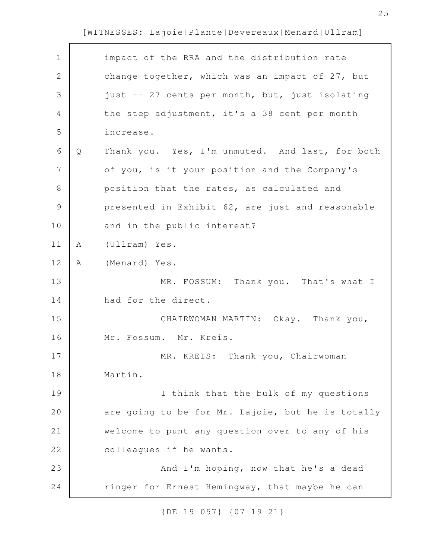| $\mathbf 1$   |   | impact of the RRA and the distribution rate       |
|---------------|---|---------------------------------------------------|
| 2             |   | change together, which was an impact of 27, but   |
| 3             |   | just -- 27 cents per month, but, just isolating   |
| 4             |   | the step adjustment, it's a 38 cent per month     |
| 5             |   | increase.                                         |
| 6             | Q | Thank you. Yes, I'm unmuted. And last, for both   |
| 7             |   | of you, is it your position and the Company's     |
| $\,8\,$       |   | position that the rates, as calculated and        |
| $\mathcal{G}$ |   | presented in Exhibit 62, are just and reasonable  |
| 10            |   | and in the public interest?                       |
| 11            | A | (Ullram) Yes.                                     |
| 12            | Α | (Menard) Yes.                                     |
| 13            |   | MR. FOSSUM: Thank you. That's what I              |
| 14            |   | had for the direct.                               |
| 15            |   | CHAIRWOMAN MARTIN: Okay. Thank you,               |
| 16            |   | Mr. Fossum. Mr. Kreis.                            |
| 17            |   | MR. KREIS: Thank you, Chairwoman                  |
| 18            |   | Martin.                                           |
| 19            |   | I think that the bulk of my questions             |
| 20            |   | are going to be for Mr. Lajoie, but he is totally |
| 21            |   | welcome to punt any question over to any of his   |
| 22            |   | colleagues if he wants.                           |
| 23            |   | And I'm hoping, now that he's a dead              |
| 24            |   | ringer for Ernest Hemingway, that maybe he can    |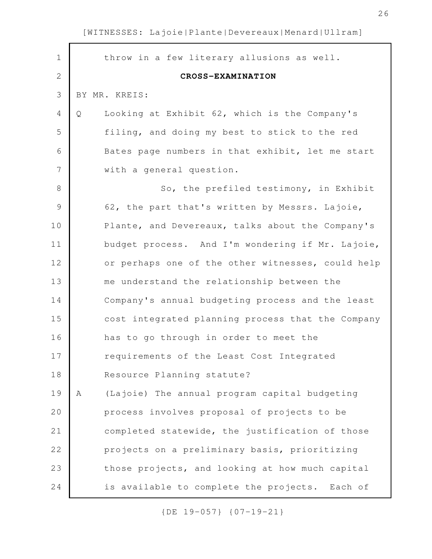| $\mathbf 1$   |   | throw in a few literary allusions as well.        |
|---------------|---|---------------------------------------------------|
| $\mathbf{2}$  |   | CROSS-EXAMINATION                                 |
| 3             |   | BY MR. KREIS:                                     |
| 4             | Q | Looking at Exhibit 62, which is the Company's     |
| 5             |   | filing, and doing my best to stick to the red     |
| 6             |   | Bates page numbers in that exhibit, let me start  |
| 7             |   | with a general question.                          |
| 8             |   | So, the prefiled testimony, in Exhibit            |
| $\mathcal{G}$ |   | 62, the part that's written by Messrs. Lajoie,    |
| 10            |   | Plante, and Devereaux, talks about the Company's  |
| 11            |   | budget process. And I'm wondering if Mr. Lajoie,  |
| 12            |   | or perhaps one of the other witnesses, could help |
| 13            |   | me understand the relationship between the        |
| 14            |   | Company's annual budgeting process and the least  |
| 15            |   | cost integrated planning process that the Company |
| 16            |   | has to go through in order to meet the            |
| 17            |   | requirements of the Least Cost Integrated         |
| 18            |   | Resource Planning statute?                        |
| 19            | A | (Lajoie) The annual program capital budgeting     |
| 20            |   | process involves proposal of projects to be       |
| 21            |   | completed statewide, the justification of those   |
| 22            |   | projects on a preliminary basis, prioritizing     |
| 23            |   | those projects, and looking at how much capital   |
| 24            |   | is available to complete the projects. Each of    |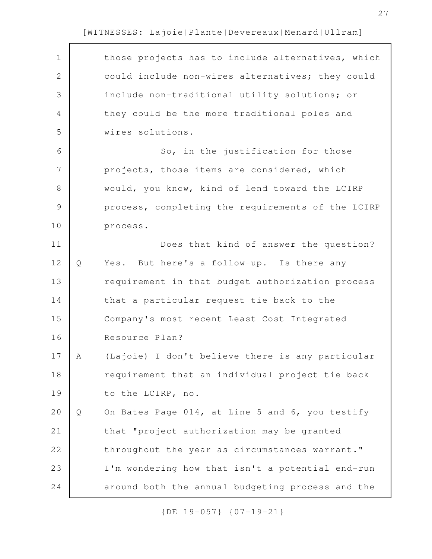$\Gamma$ 

| $\mathbf 1$   |              | those projects has to include alternatives, which |
|---------------|--------------|---------------------------------------------------|
| $\mathbf{2}$  |              | could include non-wires alternatives; they could  |
| 3             |              | include non-traditional utility solutions; or     |
| 4             |              | they could be the more traditional poles and      |
| 5             |              | wires solutions.                                  |
| 6             |              | So, in the justification for those                |
| 7             |              | projects, those items are considered, which       |
| 8             |              | would, you know, kind of lend toward the LCIRP    |
| $\mathcal{G}$ |              | process, completing the requirements of the LCIRP |
| 10            |              | process.                                          |
| 11            |              | Does that kind of answer the question?            |
| 12            | $\mathsf{Q}$ | Yes. But here's a follow-up. Is there any         |
| 13            |              | requirement in that budget authorization process  |
| 14            |              | that a particular request tie back to the         |
| 15            |              | Company's most recent Least Cost Integrated       |
| 16            |              | Resource Plan?                                    |
| 17            | Α            | (Lajoie) I don't believe there is any particular  |
| 18            |              | requirement that an individual project tie back   |
| 19            |              | to the LCIRP, no.                                 |
| 20            | $\mathsf{Q}$ | On Bates Page 014, at Line 5 and 6, you testify   |
| 21            |              | that "project authorization may be granted        |
| 22            |              | throughout the year as circumstances warrant."    |
| 23            |              | I'm wondering how that isn't a potential end-run  |
| 24            |              | around both the annual budgeting process and the  |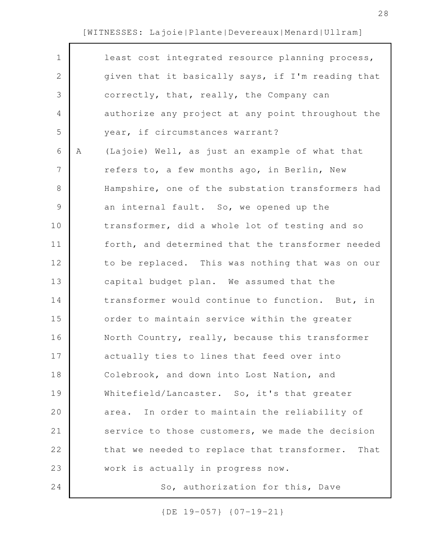| $\mathbf 1$    |   | least cost integrated resource planning process,    |
|----------------|---|-----------------------------------------------------|
| $\mathbf{2}$   |   | given that it basically says, if I'm reading that   |
| 3              |   | correctly, that, really, the Company can            |
| 4              |   | authorize any project at any point throughout the   |
| 5              |   | year, if circumstances warrant?                     |
| 6              | Α | (Lajoie) Well, as just an example of what that      |
| $\overline{7}$ |   | refers to, a few months ago, in Berlin, New         |
| 8              |   | Hampshire, one of the substation transformers had   |
| 9              |   | an internal fault. So, we opened up the             |
| 10             |   | transformer, did a whole lot of testing and so      |
| 11             |   | forth, and determined that the transformer needed   |
| 12             |   | to be replaced. This was nothing that was on our    |
| 13             |   | capital budget plan. We assumed that the            |
| 14             |   | transformer would continue to function. But, in     |
| 15             |   | order to maintain service within the greater        |
| 16             |   | North Country, really, because this transformer     |
| 17             |   | actually ties to lines that feed over into          |
| 18             |   | Colebrook, and down into Lost Nation, and           |
| 19             |   | Whitefield/Lancaster. So, it's that greater         |
| 20             |   | In order to maintain the reliability of<br>area.    |
| 21             |   | service to those customers, we made the decision    |
| 22             |   | that we needed to replace that transformer.<br>That |
| 23             |   | work is actually in progress now.                   |
| 24             |   | So, authorization for this, Dave                    |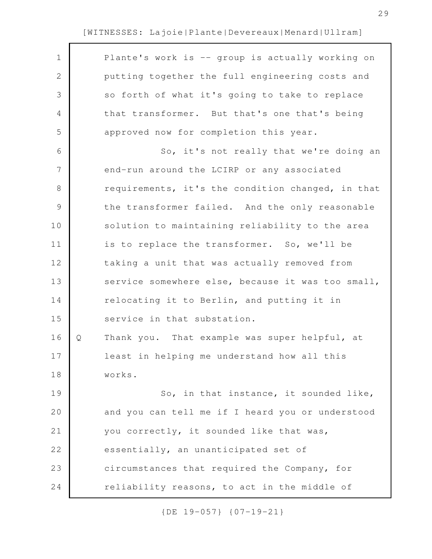| $\mathbf 1$    |   | Plante's work is -- group is actually working on  |
|----------------|---|---------------------------------------------------|
| $\mathbf{2}$   |   | putting together the full engineering costs and   |
| 3              |   | so forth of what it's going to take to replace    |
| 4              |   | that transformer. But that's one that's being     |
| 5              |   | approved now for completion this year.            |
| 6              |   | So, it's not really that we're doing an           |
| $\overline{7}$ |   | end-run around the LCIRP or any associated        |
| $8\,$          |   | requirements, it's the condition changed, in that |
| 9              |   | the transformer failed. And the only reasonable   |
| 10             |   | solution to maintaining reliability to the area   |
| 11             |   | is to replace the transformer. So, we'll be       |
| 12             |   | taking a unit that was actually removed from      |
| 13             |   | service somewhere else, because it was too small, |
| 14             |   | relocating it to Berlin, and putting it in        |
| 15             |   | service in that substation.                       |
| 16             | Q | Thank you. That example was super helpful, at     |
| 17             |   | least in helping me understand how all this       |
| 18             |   | works.                                            |
| 19             |   | So, in that instance, it sounded like,            |
| 20             |   | and you can tell me if I heard you or understood  |
| 21             |   | you correctly, it sounded like that was,          |
| 22             |   | essentially, an unanticipated set of              |
| 23             |   | circumstances that required the Company, for      |
| 24             |   | reliability reasons, to act in the middle of      |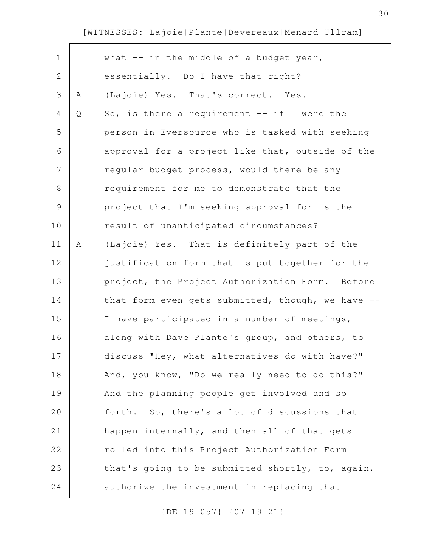| $\mathbf 1$ |             | what $--$ in the middle of a budget year,         |
|-------------|-------------|---------------------------------------------------|
| 2           |             | essentially. Do I have that right?                |
| 3           | Α           | (Lajoie) Yes. That's correct. Yes.                |
| 4           | $\mathsf Q$ | So, is there a requirement $--$ if I were the     |
| 5           |             | person in Eversource who is tasked with seeking   |
| 6           |             | approval for a project like that, outside of the  |
| 7           |             | regular budget process, would there be any        |
| 8           |             | requirement for me to demonstrate that the        |
| 9           |             | project that I'm seeking approval for is the      |
| 10          |             | result of unanticipated circumstances?            |
| 11          | Α           | (Lajoie) Yes. That is definitely part of the      |
| 12          |             | justification form that is put together for the   |
| 13          |             | project, the Project Authorization Form. Before   |
| 14          |             | that form even gets submitted, though, we have -- |
| 15          |             | I have participated in a number of meetings,      |
| 16          |             | along with Dave Plante's group, and others, to    |
| 17          |             | discuss "Hey, what alternatives do with have?"    |
| 18          |             | And, you know, "Do we really need to do this?"    |
| 19          |             | And the planning people get involved and so       |
| 20          |             | forth. So, there's a lot of discussions that      |
| 21          |             | happen internally, and then all of that gets      |
| 22          |             | rolled into this Project Authorization Form       |
| 23          |             | that's going to be submitted shortly, to, again,  |
| 24          |             | authorize the investment in replacing that        |
|             |             |                                                   |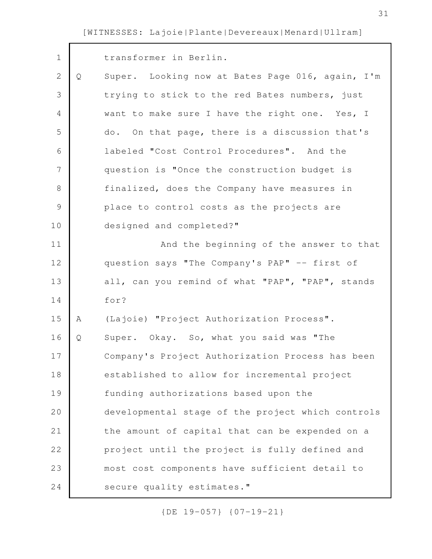| $\mathbf 1$   |   | transformer in Berlin.                            |
|---------------|---|---------------------------------------------------|
| $\mathbf{2}$  | Q | Super. Looking now at Bates Page 016, again, I'm  |
| 3             |   | trying to stick to the red Bates numbers, just    |
| 4             |   | want to make sure I have the right one. Yes, I    |
| 5             |   | do. On that page, there is a discussion that's    |
| 6             |   | labeled "Cost Control Procedures". And the        |
| 7             |   | question is "Once the construction budget is      |
| $8\,$         |   | finalized, does the Company have measures in      |
| $\mathcal{G}$ |   | place to control costs as the projects are        |
| 10            |   | designed and completed?"                          |
| 11            |   | And the beginning of the answer to that           |
| 12            |   | question says "The Company's PAP" -- first of     |
| 13            |   | all, can you remind of what "PAP", "PAP", stands  |
| 14            |   | for?                                              |
| 15            | Α | (Lajoie) "Project Authorization Process".         |
| 16            | Q | Super. Okay. So, what you said was "The           |
| 17            |   | Company's Project Authorization Process has been  |
| 18            |   | established to allow for incremental project      |
| 19            |   | funding authorizations based upon the             |
| 20            |   | developmental stage of the project which controls |
| 21            |   | the amount of capital that can be expended on a   |
| 22            |   | project until the project is fully defined and    |
| 23            |   | most cost components have sufficient detail to    |
| 24            |   | secure quality estimates."                        |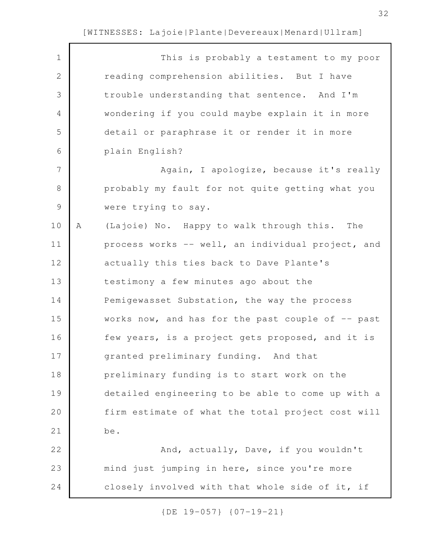| $\mathbf 1$   |   | This is probably a testament to my poor           |
|---------------|---|---------------------------------------------------|
| $\mathbf{2}$  |   | reading comprehension abilities. But I have       |
| 3             |   | trouble understanding that sentence. And I'm      |
| 4             |   | wondering if you could maybe explain it in more   |
| 5             |   | detail or paraphrase it or render it in more      |
| 6             |   | plain English?                                    |
| 7             |   | Again, I apologize, because it's really           |
| $8\,$         |   | probably my fault for not quite getting what you  |
| $\mathcal{G}$ |   | were trying to say.                               |
| 10            | Α | (Lajoie) No. Happy to walk through this.<br>The   |
| 11            |   | process works -- well, an individual project, and |
| 12            |   | actually this ties back to Dave Plante's          |
| 13            |   | testimony a few minutes ago about the             |
| 14            |   | Pemigewasset Substation, the way the process      |
| 15            |   | works now, and has for the past couple of -- past |
| 16            |   | few years, is a project gets proposed, and it is  |
| 17            |   | granted preliminary funding. And that             |
| 18            |   | preliminary funding is to start work on the       |
| 19            |   | detailed engineering to be able to come up with a |
| 20            |   | firm estimate of what the total project cost will |
| 21            |   | be.                                               |
| 22            |   | And, actually, Dave, if you wouldn't              |
| 23            |   | mind just jumping in here, since you're more      |
| 24            |   | closely involved with that whole side of it, if   |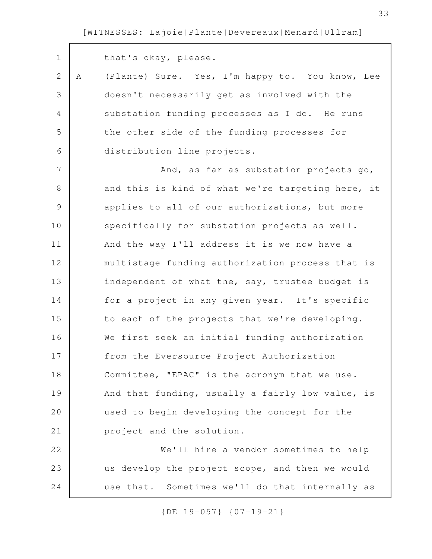| $\mathbf 1$    |   | that's okay, please.                              |
|----------------|---|---------------------------------------------------|
| $\mathbf{2}$   | Α | (Plante) Sure. Yes, I'm happy to. You know, Lee   |
| 3              |   | doesn't necessarily get as involved with the      |
| 4              |   | substation funding processes as I do. He runs     |
| 5              |   | the other side of the funding processes for       |
| 6              |   | distribution line projects.                       |
| $\overline{7}$ |   | And, as far as substation projects go,            |
| $8\,$          |   | and this is kind of what we're targeting here, it |
| $\mathsf 9$    |   | applies to all of our authorizations, but more    |
| 10             |   | specifically for substation projects as well.     |
| 11             |   | And the way I'll address it is we now have a      |
| 12             |   | multistage funding authorization process that is  |
| 13             |   | independent of what the, say, trustee budget is   |
| 14             |   | for a project in any given year. It's specific    |
| 15             |   | to each of the projects that we're developing.    |
| 16             |   | We first seek an initial funding authorization    |
| 17             |   | from the Eversource Project Authorization         |
| 18             |   | Committee, "EPAC" is the acronym that we use.     |
| 19             |   | And that funding, usually a fairly low value, is  |
| 20             |   | used to begin developing the concept for the      |
| 21             |   | project and the solution.                         |
| 22             |   | We'll hire a vendor sometimes to help             |
| 23             |   | us develop the project scope, and then we would   |
| 24             |   | use that. Sometimes we'll do that internally as   |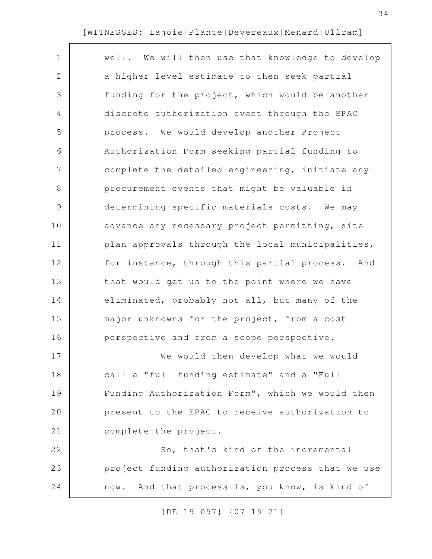| $\mathbf 1$    | well. We will then use that knowledge to develop  |
|----------------|---------------------------------------------------|
| $\mathbf{2}$   | a higher level estimate to then seek partial      |
| 3              | funding for the project, which would be another   |
| 4              | discrete authorization event through the EPAC     |
| 5              | process. We would develop another Project         |
| 6              | Authorization Form seeking partial funding to     |
| $\overline{7}$ | complete the detailed engineering, initiate any   |
| 8              | procurement events that might be valuable in      |
| 9              | determining specific materials costs. We may      |
| 10             | advance any necessary project permitting, site    |
| 11             | plan approvals through the local municipalities,  |
| 12             | for instance, through this partial process. And   |
| 13             | that would get us to the point where we have      |
| 14             | eliminated, probably not all, but many of the     |
| 15             | major unknowns for the project, from a cost       |
| 16             | perspective and from a scope perspective.         |
| 17             | We would then develop what we would               |
| 18             | call a "full funding estimate" and a "Full        |
| 19             | Funding Authorization Form", which we would then  |
| 20             | present to the EPAC to receive authorization to   |
| 21             | complete the project.                             |
| 22             | So, that's kind of the incremental                |
| 23             | project funding authorization process that we use |
| 24             | And that process is, you know, is kind of<br>now. |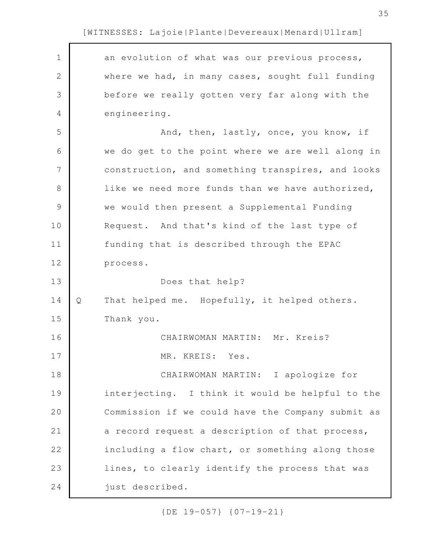an evolution of what was our previous process, where we had, in many cases, sought full funding before we really gotten very far along with the engineering. And, then, lastly, once, you know, if we do get to the point where we are well along in construction, and something transpires, and looks like we need more funds than we have authorized, we would then present a Supplemental Funding Request. And that's kind of the last type of funding that is described through the EPAC process. Does that help? Q That helped me. Hopefully, it helped others. Thank you. CHAIRWOMAN MARTIN: Mr. Kreis? MR. KREIS: Yes. CHAIRWOMAN MARTIN: I apologize for interjecting. I think it would be helpful to the Commission if we could have the Company submit as a record request a description of that process, including a flow chart, or something along those lines, to clearly identify the process that was just described. 1 2 3 4 5 6 7 8 9 10 11 12 13 14 15 16 17 18 19 20 21 22 23 24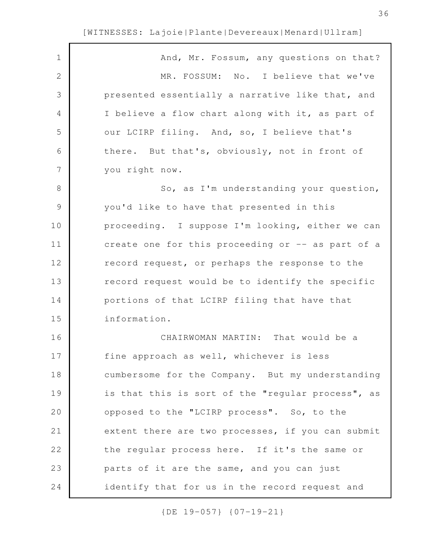| $\mathbf 1$    | And, Mr. Fossum, any questions on that?           |
|----------------|---------------------------------------------------|
| $\mathbf{2}$   | MR. FOSSUM: No. I believe that we've              |
| 3              | presented essentially a narrative like that, and  |
| 4              | I believe a flow chart along with it, as part of  |
| 5              | our LCIRP filing. And, so, I believe that's       |
| 6              | there. But that's, obviously, not in front of     |
| $\overline{7}$ | you right now.                                    |
| $8\,$          | So, as I'm understanding your question,           |
| $\mathcal{G}$  | you'd like to have that presented in this         |
| 10             | proceeding. I suppose I'm looking, either we can  |
| 11             | create one for this proceeding or -- as part of a |
| 12             | record request, or perhaps the response to the    |
| 13             | record request would be to identify the specific  |
| 14             | portions of that LCIRP filing that have that      |
| 15             | information.                                      |
| 16             | That would be a<br>CHAIRWOMAN MARTIN:             |
| 17             | fine approach as well, whichever is less          |
| 18             | cumbersome for the Company. But my understanding  |
| 19             | is that this is sort of the "regular process", as |
| 20             | opposed to the "LCIRP process". So, to the        |
| 21             | extent there are two processes, if you can submit |
| 22             | the regular process here. If it's the same or     |
| 23             | parts of it are the same, and you can just        |
| 24             | identify that for us in the record request and    |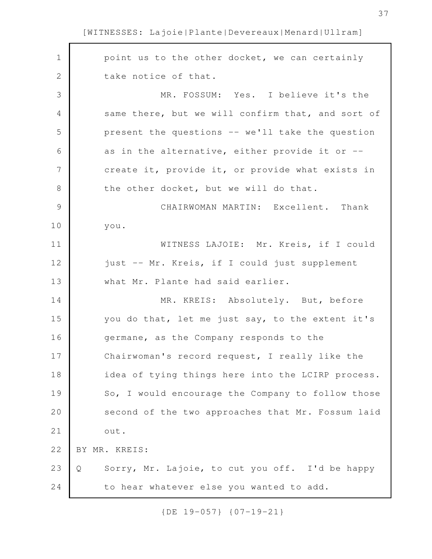| $\mathbf 1$   | point us to the other docket, we can certainly       |
|---------------|------------------------------------------------------|
| $\mathbf{2}$  | take notice of that.                                 |
| 3             | MR. FOSSUM: Yes. I believe it's the                  |
| 4             | same there, but we will confirm that, and sort of    |
| 5             | present the questions -- we'll take the question     |
| 6             | as in the alternative, either provide it or --       |
| 7             | create it, provide it, or provide what exists in     |
| 8             | the other docket, but we will do that.               |
| $\mathcal{G}$ | CHAIRWOMAN MARTIN: Excellent. Thank                  |
| 10            | you.                                                 |
| 11            | WITNESS LAJOIE: Mr. Kreis, if I could                |
| 12            | just -- Mr. Kreis, if I could just supplement        |
| 13            | what Mr. Plante had said earlier.                    |
| 14            | MR. KREIS: Absolutely. But, before                   |
| 15            | you do that, let me just say, to the extent it's     |
| 16            | germane, as the Company responds to the              |
| 17            | Chairwoman's record request, I really like the       |
| 18            | idea of tying things here into the LCIRP process.    |
| 19            | So, I would encourage the Company to follow those    |
| 20            | second of the two approaches that Mr. Fossum laid    |
| 21            | out.                                                 |
| 22            | BY MR. KREIS:                                        |
| 23            | Sorry, Mr. Lajoie, to cut you off. I'd be happy<br>Q |
| 24            | to hear whatever else you wanted to add.             |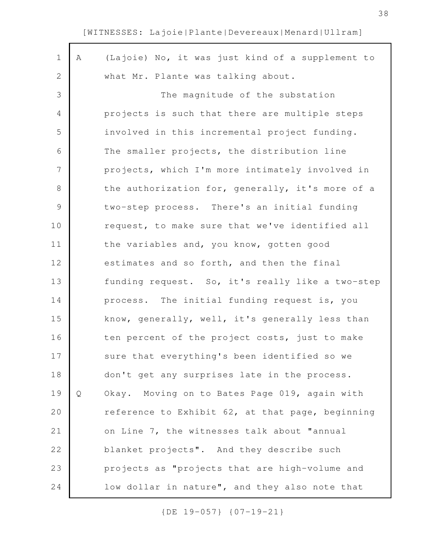| $\mathbf 1$  | A | (Lajoie) No, it was just kind of a supplement to |
|--------------|---|--------------------------------------------------|
| $\mathbf{2}$ |   | what Mr. Plante was talking about.               |
| 3            |   | The magnitude of the substation                  |
| 4            |   | projects is such that there are multiple steps   |
| 5            |   | involved in this incremental project funding.    |
| 6            |   | The smaller projects, the distribution line      |
| 7            |   | projects, which I'm more intimately involved in  |
| $8\,$        |   | the authorization for, generally, it's more of a |
| 9            |   | two-step process. There's an initial funding     |
| 10           |   | request, to make sure that we've identified all  |
| 11           |   | the variables and, you know, gotten good         |
| 12           |   | estimates and so forth, and then the final       |
| 13           |   | funding request. So, it's really like a two-step |
| 14           |   | process. The initial funding request is, you     |
| 15           |   | know, generally, well, it's generally less than  |
| 16           |   | ten percent of the project costs, just to make   |
| 17           |   | sure that everything's been identified so we     |
| 18           |   | don't get any surprises late in the process.     |
| 19           | Q | Okay. Moving on to Bates Page 019, again with    |
| 20           |   | reference to Exhibit 62, at that page, beginning |
| 21           |   | on Line 7, the witnesses talk about "annual      |
| 22           |   | blanket projects". And they describe such        |
| 23           |   | projects as "projects that are high-volume and   |
| 24           |   | low dollar in nature", and they also note that   |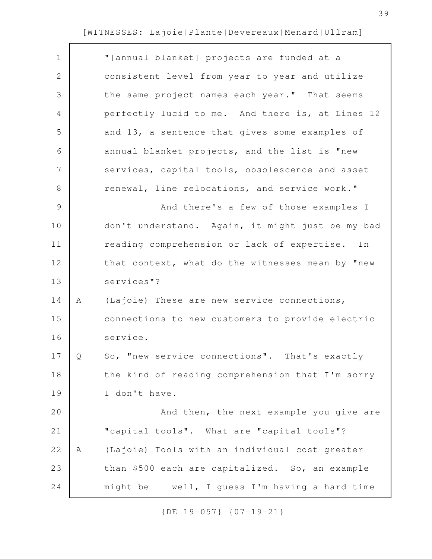| $\mathbf 1$  |   | "[annual blanket] projects are funded at a        |
|--------------|---|---------------------------------------------------|
| $\mathbf{2}$ |   | consistent level from year to year and utilize    |
| 3            |   | the same project names each year." That seems     |
| 4            |   | perfectly lucid to me. And there is, at Lines 12  |
| 5            |   | and 13, a sentence that gives some examples of    |
| 6            |   | annual blanket projects, and the list is "new     |
| 7            |   | services, capital tools, obsolescence and asset   |
| 8            |   | renewal, line relocations, and service work."     |
| 9            |   | And there's a few of those examples I             |
| 10           |   | don't understand. Again, it might just be my bad  |
| 11           |   | reading comprehension or lack of expertise.<br>In |
| 12           |   | that context, what do the witnesses mean by "new  |
| 13           |   | services"?                                        |
| 14           | Α | (Lajoie) These are new service connections,       |
| 15           |   | connections to new customers to provide electric  |
| 16           |   | service.                                          |
| 17           | Q | So, "new service connections". That's exactly     |
| 18           |   | the kind of reading comprehension that I'm sorry  |
| 19           |   | I don't have.                                     |
| 20           |   | And then, the next example you give are           |
| 21           |   | "capital tools". What are "capital tools"?        |
| 22           | Α | (Lajoie) Tools with an individual cost greater    |
| 23           |   | than \$500 each are capitalized. So, an example   |
| 24           |   | might be -- well, I guess I'm having a hard time  |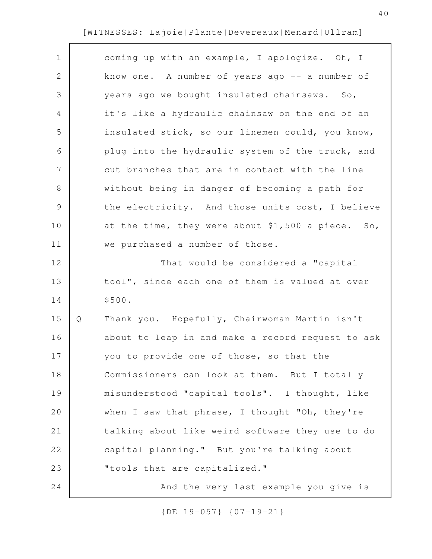| $\mathbf 1$    |   | coming up with an example, I apologize. Oh, I     |
|----------------|---|---------------------------------------------------|
| $\mathbf{2}$   |   | know one. A number of years ago -- a number of    |
| 3              |   | years ago we bought insulated chainsaws. So,      |
| 4              |   | it's like a hydraulic chainsaw on the end of an   |
| 5              |   | insulated stick, so our linemen could, you know,  |
| 6              |   | plug into the hydraulic system of the truck, and  |
| $\overline{7}$ |   | cut branches that are in contact with the line    |
| $8\,$          |   | without being in danger of becoming a path for    |
| $\mathsf 9$    |   | the electricity. And those units cost, I believe  |
| 10             |   | at the time, they were about \$1,500 a piece. So, |
| 11             |   | we purchased a number of those.                   |
| 12             |   | That would be considered a "capital               |
| 13             |   | tool", since each one of them is valued at over   |
| 14             |   | \$500.                                            |
| 15             | Q | Thank you. Hopefully, Chairwoman Martin isn't     |
| 16             |   | about to leap in and make a record request to ask |
| 17             |   | you to provide one of those, so that the          |
| 18             |   | Commissioners can look at them. But I totally     |
| 19             |   | misunderstood "capital tools". I thought, like    |
| 20             |   | when I saw that phrase, I thought "Oh, they're    |
| 21             |   | talking about like weird software they use to do  |
| 22             |   | capital planning." But you're talking about       |
| 23             |   | "tools that are capitalized."                     |
| 24             |   | And the very last example you give is             |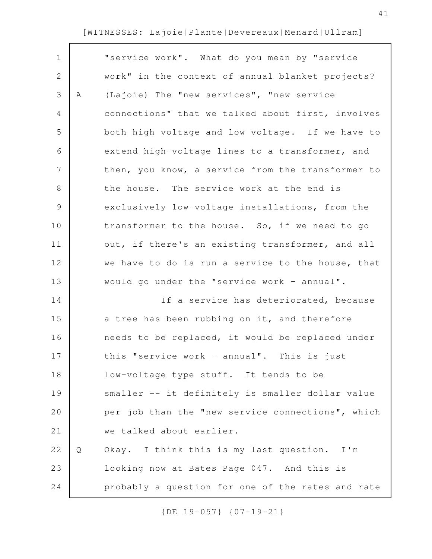|   | "service work". What do you mean by "service      |
|---|---------------------------------------------------|
|   | work" in the context of annual blanket projects?  |
| Α | (Lajoie) The "new services", "new service         |
|   | connections" that we talked about first, involves |
|   | both high voltage and low voltage. If we have to  |
|   | extend high-voltage lines to a transformer, and   |
|   | then, you know, a service from the transformer to |
|   | the house. The service work at the end is         |
|   | exclusively low-voltage installations, from the   |
|   | transformer to the house. So, if we need to go    |
|   | out, if there's an existing transformer, and all  |
|   | we have to do is run a service to the house, that |
|   | would go under the "service work - annual".       |
|   | If a service has deteriorated, because            |
|   | a tree has been rubbing on it, and therefore      |
|   | needs to be replaced, it would be replaced under  |
|   | this "service work - annual". This is just        |
|   | low-voltage type stuff. It tends to be            |
|   | smaller -- it definitely is smaller dollar value  |
|   | per job than the "new service connections", which |
|   | we talked about earlier.                          |
| Q | Okay. I think this is my last question. I'm       |
|   | looking now at Bates Page 047. And this is        |
|   | probably a question for one of the rates and rate |
|   |                                                   |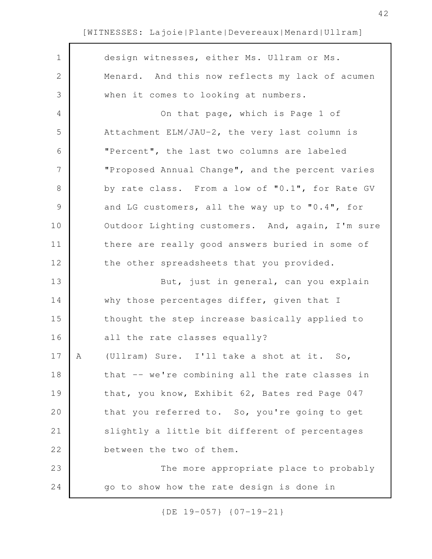| $\mathbf 1$    |   | design witnesses, either Ms. Ullram or Ms.       |
|----------------|---|--------------------------------------------------|
| $\mathbf{2}$   |   | Menard. And this now reflects my lack of acumen  |
| 3              |   | when it comes to looking at numbers.             |
| 4              |   | On that page, which is Page 1 of                 |
| 5              |   | Attachment ELM/JAU-2, the very last column is    |
| 6              |   | "Percent", the last two columns are labeled      |
| $\overline{7}$ |   | "Proposed Annual Change", and the percent varies |
| $8\,$          |   | by rate class. From a low of "0.1", for Rate GV  |
| $\mathcal{G}$  |   | and LG customers, all the way up to "0.4", for   |
| 10             |   | Outdoor Lighting customers. And, again, I'm sure |
| 11             |   | there are really good answers buried in some of  |
| 12             |   | the other spreadsheets that you provided.        |
| 13             |   | But, just in general, can you explain            |
| 14             |   | why those percentages differ, given that I       |
| 15             |   | thought the step increase basically applied to   |
| 16             |   | all the rate classes equally?                    |
| 17             | A | (Ullram) Sure. I'll take a shot at it. So,       |
| 18             |   | that -- we're combining all the rate classes in  |
| 19             |   | that, you know, Exhibit 62, Bates red Page 047   |
| 20             |   | that you referred to. So, you're going to get    |
| 21             |   | slightly a little bit different of percentages   |
| 22             |   | between the two of them.                         |
| 23             |   | The more appropriate place to probably           |
| 24             |   | go to show how the rate design is done in        |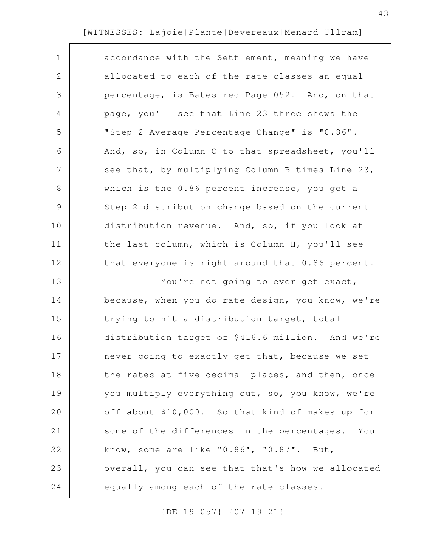| $\mathbf 1$    | accordance with the Settlement, meaning we have   |
|----------------|---------------------------------------------------|
| 2              | allocated to each of the rate classes an equal    |
| 3              | percentage, is Bates red Page 052. And, on that   |
| 4              | page, you'll see that Line 23 three shows the     |
| 5              | "Step 2 Average Percentage Change" is "0.86".     |
| 6              | And, so, in Column C to that spreadsheet, you'll  |
| $\overline{7}$ | see that, by multiplying Column B times Line 23,  |
| 8              | which is the 0.86 percent increase, you get a     |
| $\overline{9}$ | Step 2 distribution change based on the current   |
| 10             | distribution revenue. And, so, if you look at     |
| 11             | the last column, which is Column H, you'll see    |
| 12             | that everyone is right around that 0.86 percent.  |
| 13             | You're not going to ever get exact,               |
| 14             | because, when you do rate design, you know, we're |
| 15             | trying to hit a distribution target, total        |
| 16             | distribution target of \$416.6 million. And we're |
| 17             | never going to exactly get that, because we set   |
| 18             | the rates at five decimal places, and then, once  |
| 19             | you multiply everything out, so, you know, we're  |
| 20             | off about \$10,000. So that kind of makes up for  |
| 21             | some of the differences in the percentages. You   |
| 22             | know, some are like "0.86", "0.87". But,          |
| 23             | overall, you can see that that's how we allocated |
| 24             | equally among each of the rate classes.           |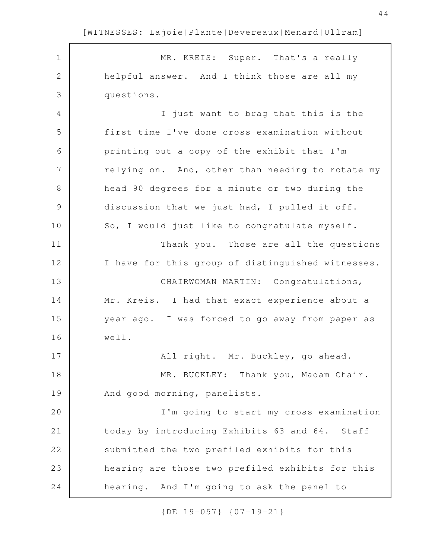MR. KREIS: Super. That's a really helpful answer. And I think those are all my questions. I just want to brag that this is the first time I've done cross-examination without printing out a copy of the exhibit that I'm relying on. And, other than needing to rotate my head 90 degrees for a minute or two during the discussion that we just had, I pulled it off. So, I would just like to congratulate myself. Thank you. Those are all the questions I have for this group of distinguished witnesses. CHAIRWOMAN MARTIN: Congratulations, Mr. Kreis. I had that exact experience about a year ago. I was forced to go away from paper as well. All right. Mr. Buckley, go ahead. MR. BUCKLEY: Thank you, Madam Chair. And good morning, panelists. I'm going to start my cross-examination today by introducing Exhibits 63 and 64. Staff submitted the two prefiled exhibits for this hearing are those two prefiled exhibits for this hearing. And I'm going to ask the panel to 1 2 3 4 5 6 7 8 9 10 11 12 13 14 15 16 17 18 19 20 21 22 23 24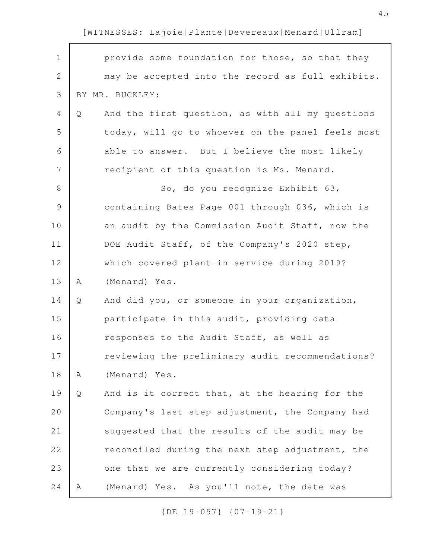| $\mathbf 1$   |   | provide some foundation for those, so that they   |
|---------------|---|---------------------------------------------------|
| 2             |   | may be accepted into the record as full exhibits. |
| 3             |   | BY MR. BUCKLEY:                                   |
| 4             | Q | And the first question, as with all my questions  |
| 5             |   | today, will go to whoever on the panel feels most |
| 6             |   | able to answer. But I believe the most likely     |
| 7             |   | recipient of this question is Ms. Menard.         |
| $\,8\,$       |   | So, do you recognize Exhibit 63,                  |
| $\mathcal{G}$ |   | containing Bates Page 001 through 036, which is   |
| 10            |   | an audit by the Commission Audit Staff, now the   |
| 11            |   | DOE Audit Staff, of the Company's 2020 step,      |
| 12            |   | which covered plant-in-service during 2019?       |
| 13            |   |                                                   |
|               | Α | (Menard) Yes.                                     |
| 14            | Q | And did you, or someone in your organization,     |
| 15            |   | participate in this audit, providing data         |
| 16            |   | responses to the Audit Staff, as well as          |
| 17            |   | reviewing the preliminary audit recommendations?  |
| 18            | Α | (Menard) Yes.                                     |
| 19            | Q | And is it correct that, at the hearing for the    |
| 20            |   | Company's last step adjustment, the Company had   |
| 21            |   | suggested that the results of the audit may be    |
| 22            |   | reconciled during the next step adjustment, the   |
| 23            |   | one that we are currently considering today?      |
| 24            | Α | (Menard) Yes. As you'll note, the date was        |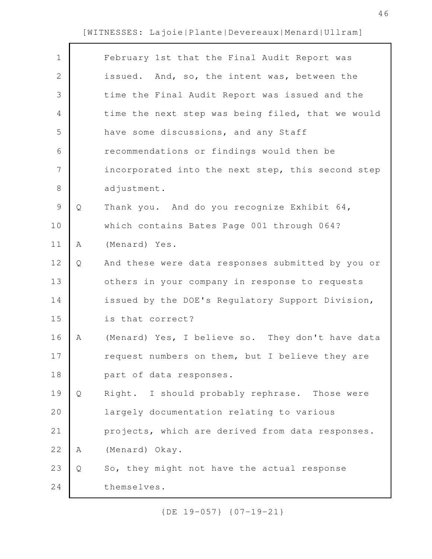$\Gamma$ 

| $\mathbf 1$    |              | February 1st that the Final Audit Report was      |
|----------------|--------------|---------------------------------------------------|
| $\mathbf{2}$   |              | issued. And, so, the intent was, between the      |
| 3              |              | time the Final Audit Report was issued and the    |
| $\overline{4}$ |              | time the next step was being filed, that we would |
| 5              |              | have some discussions, and any Staff              |
| 6              |              | recommendations or findings would then be         |
| 7              |              | incorporated into the next step, this second step |
| 8              |              | adjustment.                                       |
| $\mathcal{G}$  | Q            | Thank you. And do you recognize Exhibit 64,       |
| 10             |              | which contains Bates Page 001 through 064?        |
| 11             | A            | (Menard) Yes.                                     |
| 12             | $\mathsf{Q}$ | And these were data responses submitted by you or |
| 13             |              | others in your company in response to requests    |
| 14             |              | issued by the DOE's Regulatory Support Division,  |
| 15             |              | is that correct?                                  |
| 16             | Α            | (Menard) Yes, I believe so. They don't have data  |
| 17             |              | request numbers on them, but I believe they are   |
| 18             |              | part of data responses.                           |
| 19             | Q            | Right. I should probably rephrase. Those were     |
| 20             |              | largely documentation relating to various         |
| 21             |              | projects, which are derived from data responses.  |
| 22             | Α            | (Menard) Okay.                                    |
| 23             | Q            | So, they might not have the actual response       |
| 24             |              | themselves.                                       |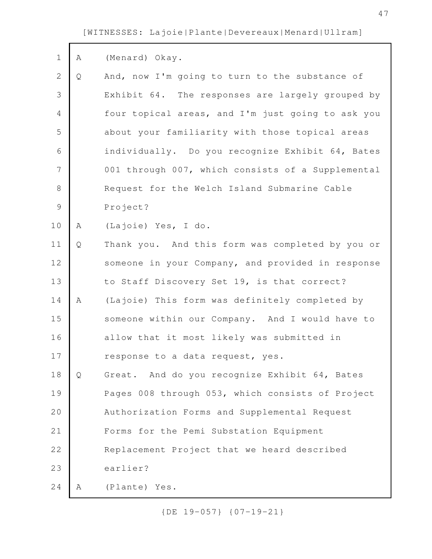| $1$ A | (Menard) Okay. |  |
|-------|----------------|--|
|       |                |  |

 $\Gamma$ 

| $\mathbf{2}$   | Q           | And, now I'm going to turn to the substance of    |
|----------------|-------------|---------------------------------------------------|
| 3              |             | Exhibit 64. The responses are largely grouped by  |
| $\overline{4}$ |             | four topical areas, and I'm just going to ask you |
| 5              |             | about your familiarity with those topical areas   |
| 6              |             | individually. Do you recognize Exhibit 64, Bates  |
| 7              |             | 001 through 007, which consists of a Supplemental |
| $8\,$          |             | Request for the Welch Island Submarine Cable      |
| $\mathcal{G}$  |             | Project?                                          |
| 10             | A           | (Lajoie) Yes, I do.                               |
| 11             | Q           | Thank you. And this form was completed by you or  |
| 12             |             | someone in your Company, and provided in response |
| 13             |             | to Staff Discovery Set 19, is that correct?       |
| 14             | $\mathbb A$ | (Lajoie) This form was definitely completed by    |
| 15             |             | someone within our Company. And I would have to   |
| 16             |             | allow that it most likely was submitted in        |
| 17             |             | response to a data request, yes.                  |
| 18             | Q           | Great. And do you recognize Exhibit 64, Bates     |
| 19             |             | Pages 008 through 053, which consists of Project  |
| 20             |             | Authorization Forms and Supplemental Request      |
| 21             |             | Forms for the Pemi Substation Equipment           |
| 22             |             | Replacement Project that we heard described       |
| 23             |             | earlier?                                          |
| 24             | Α           | (Plante) Yes.                                     |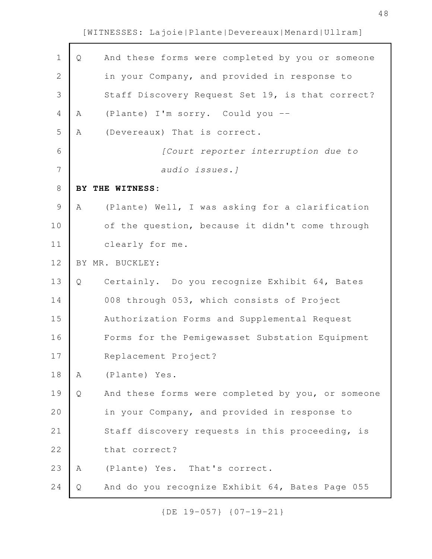$\Gamma$ 

| $\mathbf 1$    | Q | And these forms were completed by you or someone  |
|----------------|---|---------------------------------------------------|
| $\mathbf{2}$   |   | in your Company, and provided in response to      |
| 3              |   | Staff Discovery Request Set 19, is that correct?  |
| $\overline{4}$ | A | (Plante) I'm sorry. Could you --                  |
| 5              | A | (Devereaux) That is correct.                      |
| 6              |   | [Court reporter interruption due to               |
| 7              |   | audio issues.]                                    |
| $8\,$          |   | BY THE WITNESS:                                   |
| $\mathcal{G}$  | A | (Plante) Well, I was asking for a clarification   |
| 10             |   | of the question, because it didn't come through   |
| 11             |   | clearly for me.                                   |
| 12             |   | BY MR. BUCKLEY:                                   |
| 13             | Q | Certainly. Do you recognize Exhibit 64, Bates     |
| 14             |   | 008 through 053, which consists of Project        |
| 15             |   | Authorization Forms and Supplemental Request      |
| 16             |   | Forms for the Pemigewasset Substation Equipment   |
| 17             |   | Replacement Project?                              |
| 18             | Α | (Plante) Yes.                                     |
| 19             | Q | And these forms were completed by you, or someone |
| 20             |   | in your Company, and provided in response to      |
| 21             |   | Staff discovery requests in this proceeding, is   |
| 22             |   | that correct?                                     |
| 23             | Α | (Plante) Yes. That's correct.                     |
| 24             | Q | And do you recognize Exhibit 64, Bates Page 055   |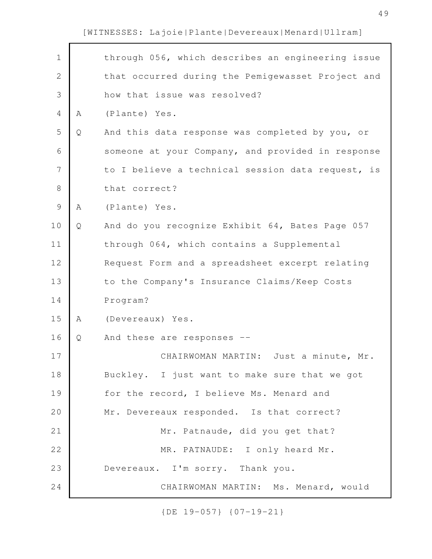|   | through 056, which describes an engineering issue |
|---|---------------------------------------------------|
|   | that occurred during the Pemigewasset Project and |
|   | how that issue was resolved?                      |
| Α | (Plante) Yes.                                     |
| Q | And this data response was completed by you, or   |
|   | someone at your Company, and provided in response |
|   | to I believe a technical session data request, is |
|   | that correct?                                     |
| Α | (Plante) Yes.                                     |
| Q | And do you recognize Exhibit 64, Bates Page 057   |
|   | through 064, which contains a Supplemental        |
|   | Request Form and a spreadsheet excerpt relating   |
|   | to the Company's Insurance Claims/Keep Costs      |
|   | Program?                                          |
| A | (Devereaux) Yes.                                  |
| Q | And these are responses --                        |
|   | CHAIRWOMAN MARTIN: Just a minute, Mr.             |
|   | Buckley. I just want to make sure that we got     |
|   | for the record, I believe Ms. Menard and          |
|   | Mr. Devereaux responded. Is that correct?         |
|   | Mr. Patnaude, did you get that?                   |
|   | MR. PATNAUDE: I only heard Mr.                    |
|   | Devereaux. I'm sorry. Thank you.                  |
|   | CHAIRWOMAN MARTIN: Ms. Menard, would              |
|   |                                                   |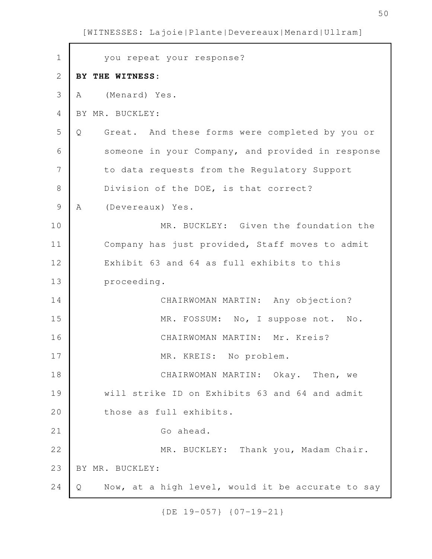you repeat your response? **BY THE WITNESS:** A (Menard) Yes. BY MR. BUCKLEY: Q Great. And these forms were completed by you or someone in your Company, and provided in response to data requests from the Regulatory Support Division of the DOE, is that correct? A (Devereaux) Yes. MR. BUCKLEY: Given the foundation the Company has just provided, Staff moves to admit Exhibit 63 and 64 as full exhibits to this proceeding. CHAIRWOMAN MARTIN: Any objection? MR. FOSSUM: No, I suppose not. No. CHAIRWOMAN MARTIN: Mr. Kreis? MR. KREIS: No problem. CHAIRWOMAN MARTIN: Okay. Then, we will strike ID on Exhibits 63 and 64 and admit those as full exhibits. Go ahead. MR. BUCKLEY: Thank you, Madam Chair. BY MR. BUCKLEY: Q Now, at a high level, would it be accurate to say 1 2 3 4 5 6 7 8 9 10 11 12 13 14 15 16 17 18 19 20 21 22 23 24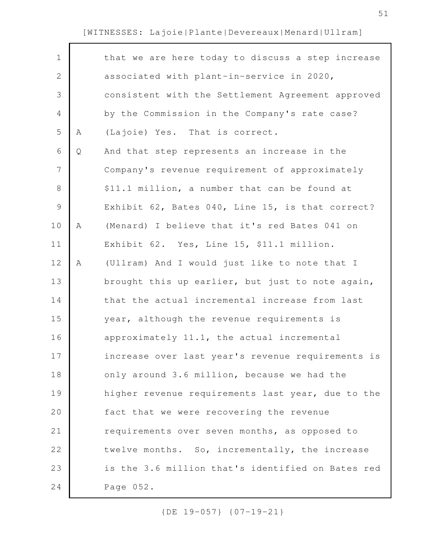| $\mathbf 1$   |   | that we are here today to discuss a step increase |
|---------------|---|---------------------------------------------------|
| $\mathbf{2}$  |   | associated with plant-in-service in 2020,         |
| 3             |   | consistent with the Settlement Agreement approved |
| 4             |   | by the Commission in the Company's rate case?     |
| 5             | Α | (Lajoie) Yes. That is correct.                    |
| 6             | Q | And that step represents an increase in the       |
| 7             |   | Company's revenue requirement of approximately    |
| 8             |   | \$11.1 million, a number that can be found at     |
| $\mathcal{G}$ |   | Exhibit 62, Bates 040, Line 15, is that correct?  |
| 10            | Α | (Menard) I believe that it's red Bates 041 on     |
| 11            |   | Exhibit 62. Yes, Line 15, \$11.1 million.         |
| 12            | Α | (Ullram) And I would just like to note that I     |
| 13            |   | brought this up earlier, but just to note again,  |
| 14            |   | that the actual incremental increase from last    |
| 15            |   | year, although the revenue requirements is        |
| 16            |   | approximately 11.1, the actual incremental        |
| 17            |   | increase over last year's revenue requirements is |
| 18            |   | only around 3.6 million, because we had the       |
| 19            |   | higher revenue requirements last year, due to the |
| 20            |   | fact that we were recovering the revenue          |
| 21            |   | requirements over seven months, as opposed to     |
| 22            |   | twelve months. So, incrementally, the increase    |
| 23            |   | is the 3.6 million that's identified on Bates red |
| 24            |   | Page 052.                                         |
|               |   |                                                   |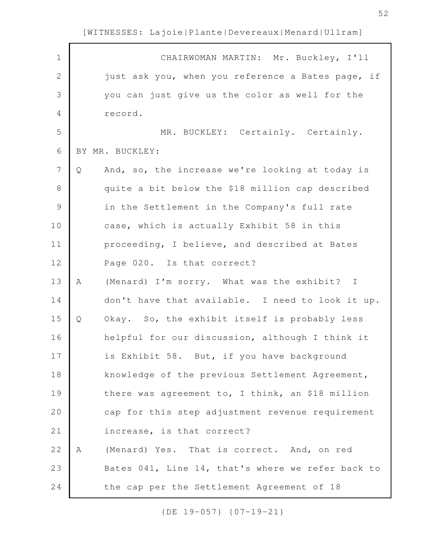| $\mathbf 1$    |   | CHAIRWOMAN MARTIN: Mr. Buckley, I'll              |
|----------------|---|---------------------------------------------------|
| $\mathbf{2}$   |   | just ask you, when you reference a Bates page, if |
| 3              |   | you can just give us the color as well for the    |
| 4              |   | record.                                           |
| 5              |   | MR. BUCKLEY: Certainly. Certainly.                |
| 6              |   | BY MR. BUCKLEY:                                   |
| $\overline{7}$ | Q | And, so, the increase we're looking at today is   |
| $8\,$          |   | quite a bit below the \$18 million cap described  |
| $\mathsf 9$    |   | in the Settlement in the Company's full rate      |
| 10             |   | case, which is actually Exhibit 58 in this        |
| 11             |   | proceeding, I believe, and described at Bates     |
| 12             |   | Page 020. Is that correct?                        |
| 13             | Α | (Menard) I'm sorry. What was the exhibit? I       |
| 14             |   | don't have that available. I need to look it up.  |
| 15             | Q | Okay. So, the exhibit itself is probably less     |
| 16             |   | helpful for our discussion, although I think it   |
| 17             |   | is Exhibit 58. But, if you have background        |
| 18             |   | knowledge of the previous Settlement Agreement,   |
| 19             |   | there was agreement to, I think, an \$18 million  |
| 20             |   | cap for this step adjustment revenue requirement  |
| 21             |   | increase, is that correct?                        |
| 22             | Α | (Menard) Yes. That is correct. And, on red        |
| 23             |   | Bates 041, Line 14, that's where we refer back to |
| 24             |   | the cap per the Settlement Agreement of 18        |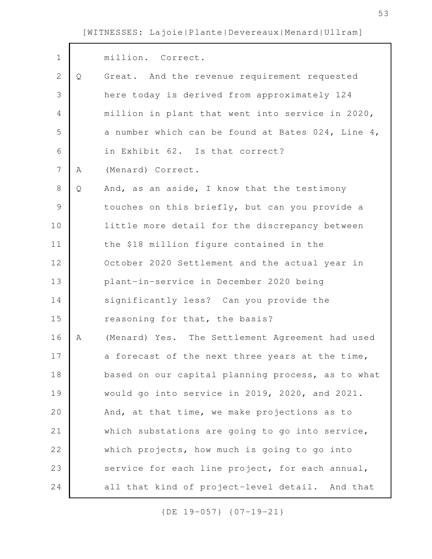| $\mathbf 1$    |   | million. Correct.                                 |
|----------------|---|---------------------------------------------------|
| $\mathbf{2}$   | Q | Great. And the revenue requirement requested      |
| 3              |   | here today is derived from approximately 124      |
| 4              |   | million in plant that went into service in 2020,  |
| 5              |   | a number which can be found at Bates 024, Line 4, |
| 6              |   | in Exhibit 62. Is that correct?                   |
| $\overline{7}$ | Α | (Menard) Correct.                                 |
| $8\,$          | Q | And, as an aside, I know that the testimony       |
| $\mathsf{S}$   |   | touches on this briefly, but can you provide a    |
| 10             |   | little more detail for the discrepancy between    |
| 11             |   | the \$18 million figure contained in the          |
| 12             |   | October 2020 Settlement and the actual year in    |
| 13             |   | plant-in-service in December 2020 being           |
| 14             |   | significantly less? Can you provide the           |
| 15             |   | reasoning for that, the basis?                    |
| 16             | Α | (Menard) Yes. The Settlement Agreement had used   |
| 17             |   | a forecast of the next three years at the time,   |
| 18             |   | based on our capital planning process, as to what |
| 19             |   | would go into service in 2019, 2020, and 2021.    |
| 20             |   | And, at that time, we make projections as to      |
| 21             |   | which substations are going to go into service,   |
| 22             |   | which projects, how much is going to go into      |
| 23             |   | service for each line project, for each annual,   |
| 24             |   | all that kind of project-level detail. And that   |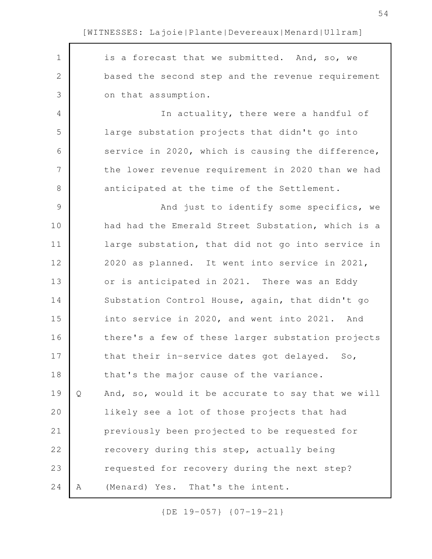is a forecast that we submitted. And, so, we based the second step and the revenue requirement on that assumption. In actuality, there were a handful of large substation projects that didn't go into service in 2020, which is causing the difference, the lower revenue requirement in 2020 than we had anticipated at the time of the Settlement. And just to identify some specifics, we had had the Emerald Street Substation, which is a large substation, that did not go into service in 2020 as planned. It went into service in 2021, or is anticipated in 2021. There was an Eddy Substation Control House, again, that didn't go into service in 2020, and went into 2021. And there's a few of these larger substation projects that their in-service dates got delayed. So, that's the major cause of the variance. Q And, so, would it be accurate to say that we will likely see a lot of those projects that had previously been projected to be requested for recovery during this step, actually being requested for recovery during the next step? A (Menard) Yes. That's the intent. 1 2 3 4 5 6 7 8 9 10 11 12 13 14 15 16 17 18 19 20 21 22 23 24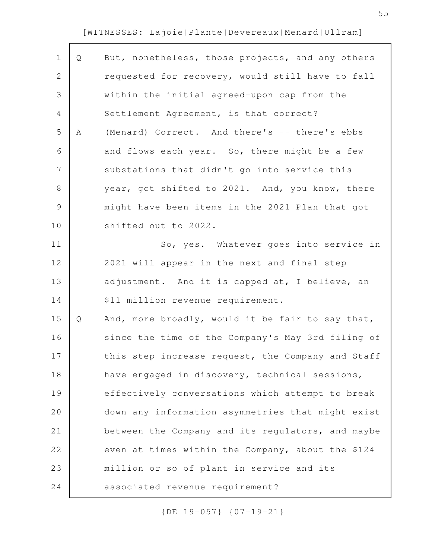| $\mathbf 1$    | Q | But, nonetheless, those projects, and any others  |
|----------------|---|---------------------------------------------------|
| $\mathbf{2}$   |   | requested for recovery, would still have to fall  |
| 3              |   | within the initial agreed-upon cap from the       |
| 4              |   | Settlement Agreement, is that correct?            |
| 5              | Α | (Menard) Correct. And there's -- there's ebbs     |
| 6              |   | and flows each year. So, there might be a few     |
| $\overline{7}$ |   | substations that didn't go into service this      |
| 8              |   | year, got shifted to 2021. And, you know, there   |
| 9              |   | might have been items in the 2021 Plan that got   |
| 10             |   | shifted out to 2022.                              |
| 11             |   | So, yes. Whatever goes into service in            |
| 12             |   | 2021 will appear in the next and final step       |
| 13             |   | adjustment. And it is capped at, I believe, an    |
| 14             |   | \$11 million revenue requirement.                 |
| 15             | Q | And, more broadly, would it be fair to say that,  |
| 16             |   | since the time of the Company's May 3rd filing of |
| 17             |   | this step increase request, the Company and Staff |
| 18             |   | have engaged in discovery, technical sessions,    |
| 19             |   | effectively conversations which attempt to break  |
| 20             |   | down any information asymmetries that might exist |
| 21             |   | between the Company and its regulators, and maybe |
| 22             |   | even at times within the Company, about the \$124 |
| 23             |   | million or so of plant in service and its         |
| 24             |   | associated revenue requirement?                   |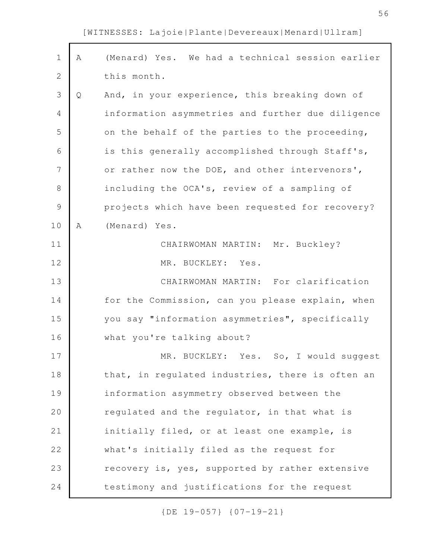$\Gamma$ 

| $\mathbf 1$   | Α | (Menard) Yes. We had a technical session earlier  |
|---------------|---|---------------------------------------------------|
| $\mathbf{2}$  |   | this month.                                       |
| 3             | Q | And, in your experience, this breaking down of    |
| 4             |   | information asymmetries and further due diligence |
| 5             |   | on the behalf of the parties to the proceeding,   |
| 6             |   | is this generally accomplished through Staff's,   |
| 7             |   | or rather now the DOE, and other intervenors',    |
| 8             |   | including the OCA's, review of a sampling of      |
| $\mathcal{G}$ |   | projects which have been requested for recovery?  |
| 10            | A | (Menard) Yes.                                     |
| 11            |   | CHAIRWOMAN MARTIN: Mr. Buckley?                   |
| 12            |   | MR. BUCKLEY: Yes.                                 |
| 13            |   | CHAIRWOMAN MARTIN: For clarification              |
| 14            |   | for the Commission, can you please explain, when  |
| 15            |   | you say "information asymmetries", specifically   |
| 16            |   | what you're talking about?                        |
| 17            |   | MR. BUCKLEY: Yes. So, I would suggest             |
| 18            |   | that, in regulated industries, there is often an  |
| 19            |   | information asymmetry observed between the        |
| 20            |   | regulated and the regulator, in that what is      |
| 21            |   | initially filed, or at least one example, is      |
| 22            |   | what's initially filed as the request for         |
| 23            |   | recovery is, yes, supported by rather extensive   |
| 24            |   | testimony and justifications for the request      |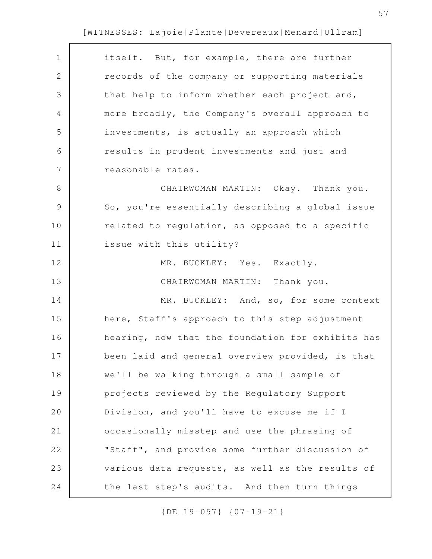| $\mathbf 1$ | itself. But, for example, there are further       |
|-------------|---------------------------------------------------|
| 2           | records of the company or supporting materials    |
| 3           | that help to inform whether each project and,     |
| 4           | more broadly, the Company's overall approach to   |
| 5           | investments, is actually an approach which        |
| 6           | results in prudent investments and just and       |
| 7           | reasonable rates.                                 |
| 8           | CHAIRWOMAN MARTIN: Okay. Thank you.               |
| 9           | So, you're essentially describing a global issue  |
| 10          | related to regulation, as opposed to a specific   |
| 11          | issue with this utility?                          |
| 12          | MR. BUCKLEY: Yes. Exactly.                        |
| 13          | CHAIRWOMAN MARTIN: Thank you.                     |
| 14          | MR. BUCKLEY: And, so, for some context            |
| 15          | here, Staff's approach to this step adjustment    |
| 16          | hearing, now that the foundation for exhibits has |
| 17          | been laid and general overview provided, is that  |
| 18          | we'll be walking through a small sample of        |
| 19          | projects reviewed by the Regulatory Support       |
| 20          | Division, and you'll have to excuse me if I       |
| 21          | occasionally misstep and use the phrasing of      |
| 22          | "Staff", and provide some further discussion of   |
| 23          | various data requests, as well as the results of  |
| 24          | the last step's audits. And then turn things      |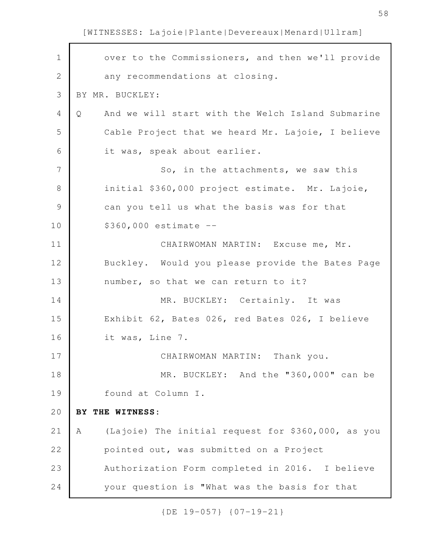| $\mathbf 1$  | over to the Commissioners, and then we'll provide       |
|--------------|---------------------------------------------------------|
| $\mathbf{2}$ | any recommendations at closing.                         |
| 3            | BY MR. BUCKLEY:                                         |
| 4            | And we will start with the Welch Island Submarine<br>Q  |
| 5            | Cable Project that we heard Mr. Lajoie, I believe       |
| 6            | it was, speak about earlier.                            |
| 7            | So, in the attachments, we saw this                     |
| 8            | initial \$360,000 project estimate. Mr. Lajoie,         |
| 9            | can you tell us what the basis was for that             |
| 10           | $$360,000$ estimate $-$                                 |
| 11           | CHAIRWOMAN MARTIN: Excuse me, Mr.                       |
| 12           | Buckley. Would you please provide the Bates Page        |
| 13           | number, so that we can return to it?                    |
| 14           | MR. BUCKLEY: Certainly. It was                          |
| 15           | Exhibit 62, Bates 026, red Bates 026, I believe         |
| 16           | it was, Line 7.                                         |
| 17           | CHAIRWOMAN MARTIN: Thank you.                           |
| 18           | MR. BUCKLEY: And the "360,000" can be                   |
| 19           | found at Column I.                                      |
| 20           | BY THE WITNESS:                                         |
| 21           | (Lajoie) The initial request for \$360,000, as you<br>A |
| 22           | pointed out, was submitted on a Project                 |
| 23           | Authorization Form completed in 2016. I believe         |
| 24           | your question is "What was the basis for that           |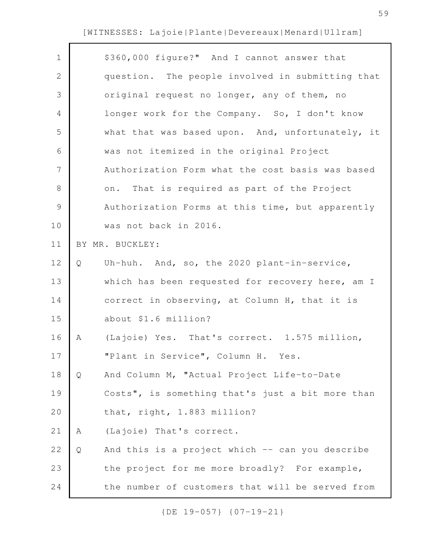| $\mathbf 1$    | \$360,000 figure?" And I cannot answer that          |
|----------------|------------------------------------------------------|
| $\mathbf{2}$   | question. The people involved in submitting that     |
| 3              | original request no longer, any of them, no          |
| 4              | longer work for the Company. So, I don't know        |
| 5              | what that was based upon. And, unfortunately, it     |
| 6              | was not itemized in the original Project             |
| $\overline{7}$ | Authorization Form what the cost basis was based     |
| $8\,$          | That is required as part of the Project<br>on.       |
| $\mathcal{G}$  | Authorization Forms at this time, but apparently     |
| 10             | was not back in 2016.                                |
| 11             | BY MR. BUCKLEY:                                      |
| 12             | Uh-huh. And, so, the 2020 plant-in-service,<br>Q     |
| 13             | which has been requested for recovery here, am I     |
| 14             | correct in observing, at Column H, that it is        |
| 15             | about \$1.6 million?                                 |
| 16             | (Lajoie) Yes. That's correct. 1.575 million,<br>A    |
| 17             | "Plant in Service", Column H. Yes.                   |
| 18             | And Column M, "Actual Project Life-to-Date<br>Q      |
| 19             | Costs", is something that's just a bit more than     |
| 20             | that, right, 1.883 million?                          |
| 21             | (Lajoie) That's correct.<br>Α                        |
| 22             | And this is a project which -- can you describe<br>Q |
| 23             | the project for me more broadly? For example,        |
| 24             | the number of customers that will be served from     |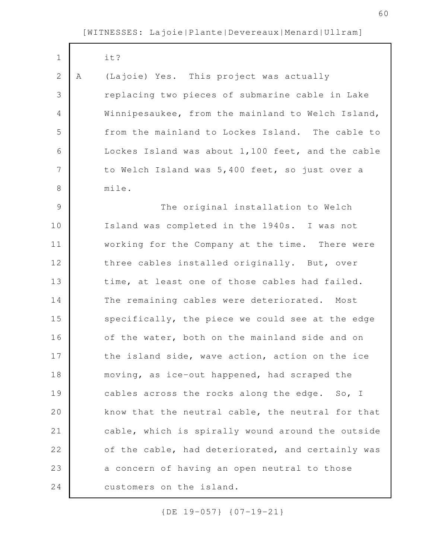| $\mathbf 1$    |   | it?                                               |
|----------------|---|---------------------------------------------------|
| 2              | Α | (Lajoie) Yes. This project was actually           |
| 3              |   | replacing two pieces of submarine cable in Lake   |
| 4              |   | Winnipesaukee, from the mainland to Welch Island, |
| 5              |   | from the mainland to Lockes Island. The cable to  |
| 6              |   | Lockes Island was about 1,100 feet, and the cable |
| $\overline{7}$ |   | to Welch Island was 5,400 feet, so just over a    |
| $\,8\,$        |   | mile.                                             |
| $\mathcal{G}$  |   | The original installation to Welch                |
| 10             |   | Island was completed in the 1940s. I was not      |
| 11             |   | working for the Company at the time. There were   |
| 12             |   | three cables installed originally. But, over      |
| 13             |   | time, at least one of those cables had failed.    |
| 14             |   | The remaining cables were deteriorated. Most      |
| 15             |   | specifically, the piece we could see at the edge  |
| 16             |   | of the water, both on the mainland side and on    |
| 17             |   | the island side, wave action, action on the ice   |
| 18             |   | moving, as ice-out happened, had scraped the      |
| 19             |   | cables across the rocks along the edge. So, I     |
| 20             |   | know that the neutral cable, the neutral for that |
| 21             |   | cable, which is spirally wound around the outside |
| 22             |   | of the cable, had deteriorated, and certainly was |
| 23             |   | a concern of having an open neutral to those      |
| 24             |   | customers on the island.                          |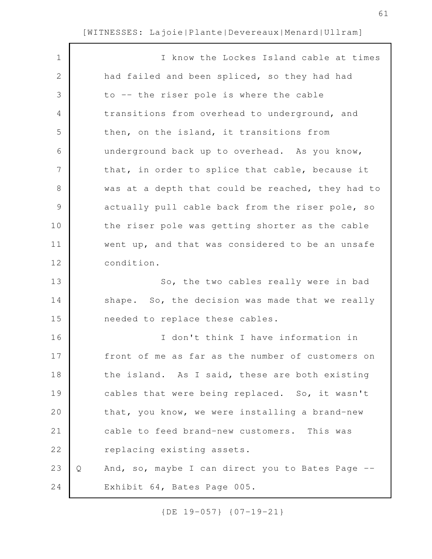| $\mathbf 1$  |   | I know the Lockes Island cable at times           |
|--------------|---|---------------------------------------------------|
| $\mathbf{2}$ |   | had failed and been spliced, so they had had      |
| 3            |   | to -- the riser pole is where the cable           |
| 4            |   | transitions from overhead to underground, and     |
| 5            |   | then, on the island, it transitions from          |
| 6            |   | underground back up to overhead. As you know,     |
| 7            |   | that, in order to splice that cable, because it   |
| 8            |   | was at a depth that could be reached, they had to |
| $\mathsf 9$  |   | actually pull cable back from the riser pole, so  |
| 10           |   | the riser pole was getting shorter as the cable   |
| 11           |   | went up, and that was considered to be an unsafe  |
| 12           |   | condition.                                        |
| 13           |   | So, the two cables really were in bad             |
| 14           |   | shape. So, the decision was made that we really   |
| 15           |   | needed to replace these cables.                   |
| 16           |   | I don't think I have information in               |
| 17           |   | front of me as far as the number of customers on  |
| 18           |   | the island. As I said, these are both existing    |
| 19           |   | cables that were being replaced. So, it wasn't    |
| 20           |   | that, you know, we were installing a brand-new    |
| 21           |   | cable to feed brand-new customers. This was       |
| 22           |   | replacing existing assets.                        |
| 23           | Q | And, so, maybe I can direct you to Bates Page --  |
| 24           |   | Exhibit 64, Bates Page 005.                       |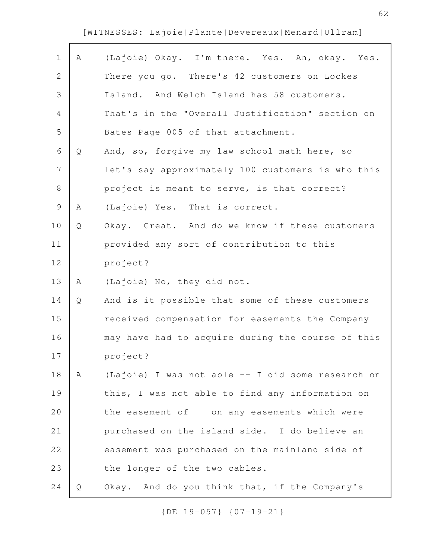| $\mathbf 1$    | Α | (Lajoie) Okay. I'm there. Yes. Ah, okay. Yes.     |
|----------------|---|---------------------------------------------------|
| $\mathbf{2}$   |   | There you go. There's 42 customers on Lockes      |
| $\mathfrak{Z}$ |   | Island. And Welch Island has 58 customers.        |
| $\overline{4}$ |   | That's in the "Overall Justification" section on  |
| 5              |   | Bates Page 005 of that attachment.                |
| 6              | Q | And, so, forgive my law school math here, so      |
| $\overline{7}$ |   | let's say approximately 100 customers is who this |
| $\,8\,$        |   | project is meant to serve, is that correct?       |
| $\mathsf 9$    | Α | (Lajoie) Yes. That is correct.                    |
| 10             | Q | Okay. Great. And do we know if these customers    |
| 11             |   | provided any sort of contribution to this         |
| 12             |   | project?                                          |
| 13             | Α | (Lajoie) No, they did not.                        |
| 14             | Q | And is it possible that some of these customers   |
| 15             |   | received compensation for easements the Company   |
| 16             |   | may have had to acquire during the course of this |
| 17             |   | project?                                          |
| 18             | А | (Lajoie) I was not able -- I did some research on |
| 19             |   | this, I was not able to find any information on   |
| 20             |   | the easement of $-$ on any easements which were   |
| 21             |   | purchased on the island side. I do believe an     |
| 22             |   | easement was purchased on the mainland side of    |
| 23             |   | the longer of the two cables.                     |
| 24             | Q | Okay. And do you think that, if the Company's     |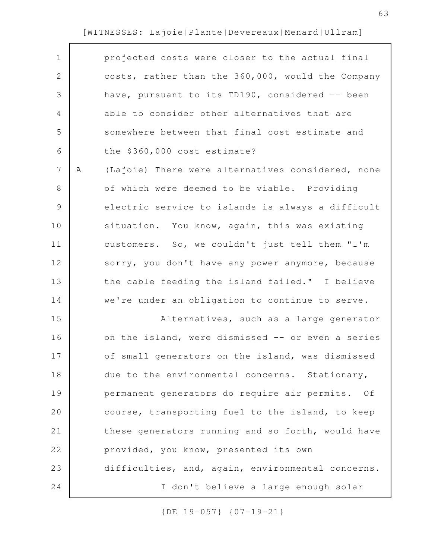| $\mathbf 1$    |   | projected costs were closer to the actual final   |
|----------------|---|---------------------------------------------------|
| $\mathbf{2}$   |   | costs, rather than the 360,000, would the Company |
| 3              |   | have, pursuant to its TD190, considered -- been   |
| 4              |   | able to consider other alternatives that are      |
| 5              |   | somewhere between that final cost estimate and    |
| 6              |   | the \$360,000 cost estimate?                      |
| $\overline{7}$ | Α | (Lajoie) There were alternatives considered, none |
| 8              |   | of which were deemed to be viable. Providing      |
| $\mathcal{G}$  |   | electric service to islands is always a difficult |
| 10             |   | situation. You know, again, this was existing     |
| 11             |   | customers. So, we couldn't just tell them "I'm    |
| 12             |   | sorry, you don't have any power anymore, because  |
| 13             |   | the cable feeding the island failed." I believe   |
| 14             |   | we're under an obligation to continue to serve.   |
| 15             |   | Alternatives, such as a large generator           |
| 16             |   | on the island, were dismissed -- or even a series |
| 17             |   | of small generators on the island, was dismissed  |
| 18             |   | due to the environmental concerns. Stationary,    |
| 19             |   | permanent generators do require air permits. Of   |
| 20             |   | course, transporting fuel to the island, to keep  |
| 21             |   | these generators running and so forth, would have |
| 22             |   | provided, you know, presented its own             |
| 23             |   | difficulties, and, again, environmental concerns. |
| 24             |   | I don't believe a large enough solar              |
|                |   |                                                   |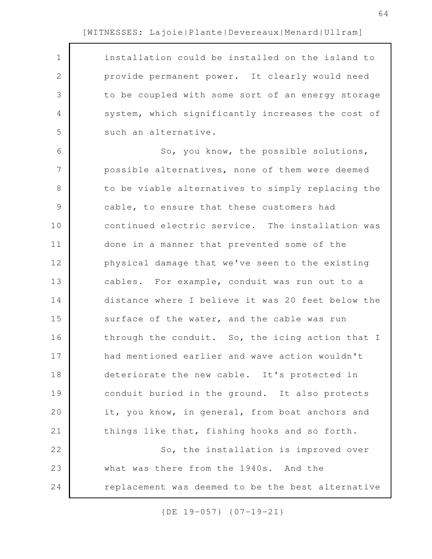installation could be installed on the island to provide permanent power. It clearly would need to be coupled with some sort of an energy storage system, which significantly increases the cost of such an alternative. So, you know, the possible solutions, possible alternatives, none of them were deemed to be viable alternatives to simply replacing the cable, to ensure that these customers had continued electric service. The installation was done in a manner that prevented some of the physical damage that we've seen to the existing cables. For example, conduit was run out to a distance where I believe it was 20 feet below the surface of the water, and the cable was run through the conduit. So, the icing action that I had mentioned earlier and wave action wouldn't deteriorate the new cable. It's protected in conduit buried in the ground. It also protects it, you know, in general, from boat anchors and things like that, fishing hooks and so forth. So, the installation is improved over what was there from the 1940s. And the replacement was deemed to be the best alternative 1 2 3 4 5 6 7 8 9 10 11 12 13 14 15 16 17 18 19 20 21 22 23 24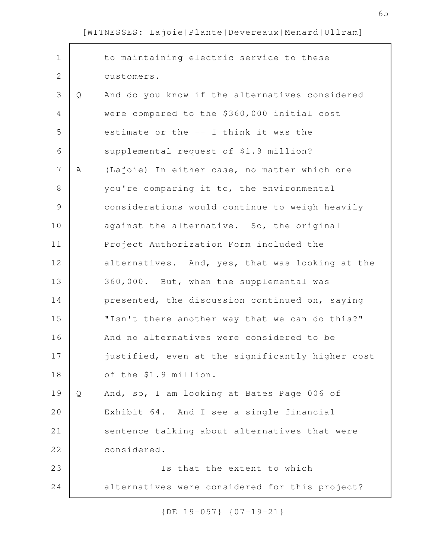| $\mathbf 1$    |   | to maintaining electric service to these         |
|----------------|---|--------------------------------------------------|
| $\mathbf{2}$   |   | customers.                                       |
| 3              | Q | And do you know if the alternatives considered   |
| 4              |   | were compared to the \$360,000 initial cost      |
| 5              |   | estimate or the -- I think it was the            |
| 6              |   | supplemental request of \$1.9 million?           |
| $\overline{7}$ | Α | (Lajoie) In either case, no matter which one     |
| $8\,$          |   | you're comparing it to, the environmental        |
| $\mathsf 9$    |   | considerations would continue to weigh heavily   |
| 10             |   | against the alternative. So, the original        |
| 11             |   | Project Authorization Form included the          |
| 12             |   | alternatives. And, yes, that was looking at the  |
| 13             |   | 360,000. But, when the supplemental was          |
| 14             |   | presented, the discussion continued on, saying   |
| 15             |   | "Isn't there another way that we can do this?"   |
| 16             |   | And no alternatives were considered to be        |
| 17             |   | justified, even at the significantly higher cost |
| 18             |   | of the \$1.9 million.                            |
| 19             | Q | And, so, I am looking at Bates Page 006 of       |
| 20             |   | Exhibit 64. And I see a single financial         |
| 21             |   | sentence talking about alternatives that were    |
| 22             |   | considered.                                      |
| 23             |   | Is that the extent to which                      |
| 24             |   | alternatives were considered for this project?   |
|                |   |                                                  |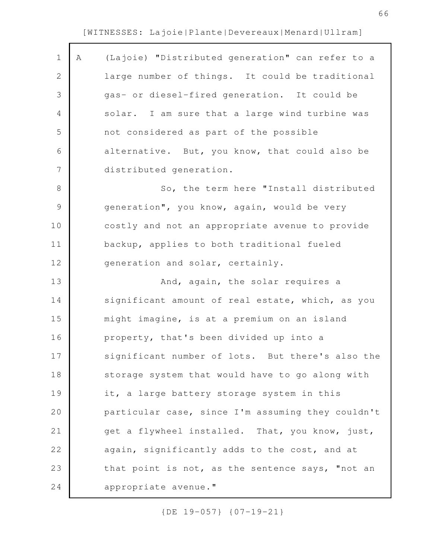| $\mathbf 1$    | Α | (Lajoie) "Distributed generation" can refer to a  |
|----------------|---|---------------------------------------------------|
| $\mathbf{2}$   |   | large number of things. It could be traditional   |
| 3              |   | gas- or diesel-fired generation. It could be      |
| $\overline{4}$ |   | solar. I am sure that a large wind turbine was    |
| 5              |   | not considered as part of the possible            |
| 6              |   | alternative. But, you know, that could also be    |
| $\overline{7}$ |   | distributed generation.                           |
| $\,8\,$        |   | So, the term here "Install distributed            |
| $\mathsf 9$    |   | generation", you know, again, would be very       |
| 10             |   | costly and not an appropriate avenue to provide   |
| 11             |   | backup, applies to both traditional fueled        |
| 12             |   | generation and solar, certainly.                  |
| 13             |   | And, again, the solar requires a                  |
| 14             |   | significant amount of real estate, which, as you  |
| 15             |   | might imagine, is at a premium on an island       |
| 16             |   | property, that's been divided up into a           |
| 17             |   | significant number of lots. But there's also the  |
| 18             |   | storage system that would have to go along with   |
| 19             |   | it, a large battery storage system in this        |
| 20             |   | particular case, since I'm assuming they couldn't |
| 21             |   | get a flywheel installed. That, you know, just,   |
| 22             |   | again, significantly adds to the cost, and at     |
| 23             |   | that point is not, as the sentence says, "not an  |
| 24             |   | appropriate avenue."                              |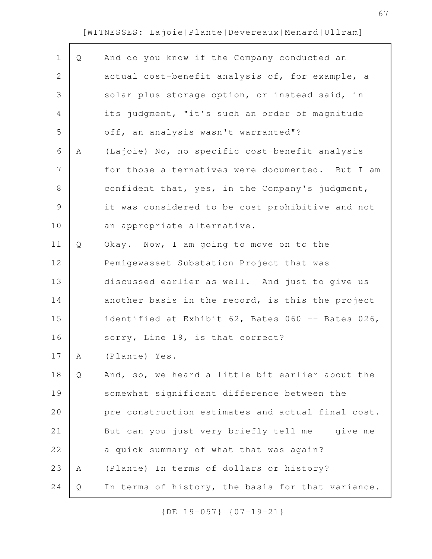| $\mathbf 1$    | Q | And do you know if the Company conducted an       |
|----------------|---|---------------------------------------------------|
| $\mathbf{2}$   |   | actual cost-benefit analysis of, for example, a   |
| 3              |   | solar plus storage option, or instead said, in    |
| 4              |   | its judgment, "it's such an order of magnitude    |
| 5              |   | off, an analysis wasn't warranted"?               |
| 6              | Α | (Lajoie) No, no specific cost-benefit analysis    |
| $\overline{7}$ |   | for those alternatives were documented. But I am  |
| 8              |   | confident that, yes, in the Company's judgment,   |
| $\mathcal{G}$  |   | it was considered to be cost-prohibitive and not  |
| 10             |   | an appropriate alternative.                       |
| 11             | Q | Okay. Now, I am going to move on to the           |
| 12             |   | Pemigewasset Substation Project that was          |
| 13             |   | discussed earlier as well. And just to give us    |
| 14             |   | another basis in the record, is this the project  |
| 15             |   | identified at Exhibit 62, Bates 060 -- Bates 026, |
| 16             |   | sorry, Line 19, is that correct?                  |
| 17             | A | (Plante) Yes.                                     |
| 18             | Q | And, so, we heard a little bit earlier about the  |
| 19             |   | somewhat significant difference between the       |
| 20             |   | pre-construction estimates and actual final cost. |
| 21             |   | But can you just very briefly tell me -- give me  |
| 22             |   | a quick summary of what that was again?           |
| 23             | Α | (Plante) In terms of dollars or history?          |
| 24             | Q | In terms of history, the basis for that variance. |
|                |   |                                                   |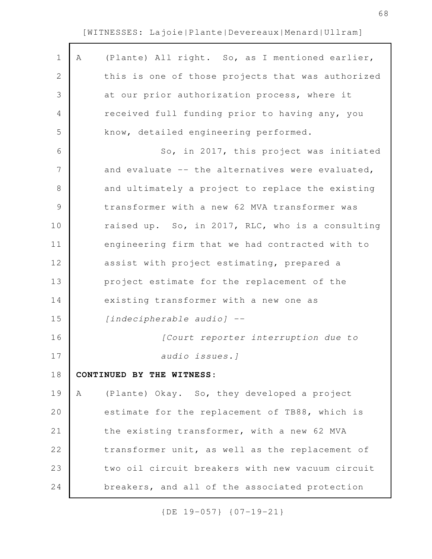| Α | (Plante) All right. So, as I mentioned earlier,   |
|---|---------------------------------------------------|
|   | this is one of those projects that was authorized |
|   | at our prior authorization process, where it      |
|   | received full funding prior to having any, you    |
|   | know, detailed engineering performed.             |
|   | So, in 2017, this project was initiated           |
|   | and evaluate -- the alternatives were evaluated,  |
|   | and ultimately a project to replace the existing  |
|   | transformer with a new 62 MVA transformer was     |
|   | raised up. So, in 2017, RLC, who is a consulting  |
|   | engineering firm that we had contracted with to   |
|   | assist with project estimating, prepared a        |
|   | project estimate for the replacement of the       |
|   | existing transformer with a new one as            |
|   | [indecipherable audio] --                         |
|   | [Court reporter interruption due to               |
|   | audio issues.]                                    |
|   | CONTINUED BY THE WITNESS:                         |
| A | (Plante) Okay. So, they developed a project       |
|   | estimate for the replacement of TB88, which is    |
|   | the existing transformer, with a new 62 MVA       |
|   | transformer unit, as well as the replacement of   |
|   | two oil circuit breakers with new vacuum circuit  |
|   | breakers, and all of the associated protection    |
|   |                                                   |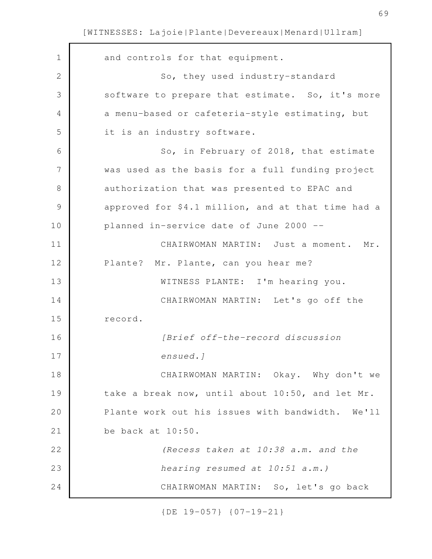and controls for that equipment. So, they used industry-standard software to prepare that estimate. So, it's more a menu-based or cafeteria-style estimating, but it is an industry software. So, in February of 2018, that estimate was used as the basis for a full funding project authorization that was presented to EPAC and approved for \$4.1 million, and at that time had a planned in-service date of June 2000 -- CHAIRWOMAN MARTIN: Just a moment. Mr. Plante? Mr. Plante, can you hear me? WITNESS PLANTE: I'm hearing you. CHAIRWOMAN MARTIN: Let's go off the record. *[Brief off-the-record discussion ensued.]* CHAIRWOMAN MARTIN: Okay. Why don't we take a break now, until about 10:50, and let Mr. Plante work out his issues with bandwidth. We'll be back at 10:50. *(Recess taken at 10:38 a.m. and the hearing resumed at 10:51 a.m.)*  CHAIRWOMAN MARTIN: So, let's go back 1 2 3 4 5 6 7 8 9 10 11 12 13 14 15 16 17 18 19 20 21 22 23 24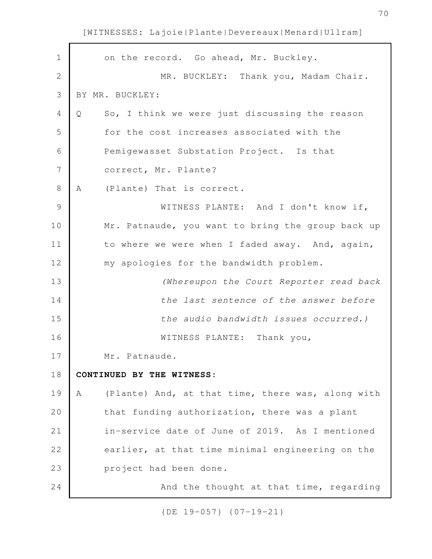| $\mathbf 1$   | on the record. Go ahead, Mr. Buckley.                  |
|---------------|--------------------------------------------------------|
| $\mathbf{2}$  | MR. BUCKLEY: Thank you, Madam Chair.                   |
| 3             | BY MR. BUCKLEY:                                        |
| 4             | So, I think we were just discussing the reason<br>Q    |
| 5             | for the cost increases associated with the             |
| 6             | Pemigewasset Substation Project. Is that               |
| 7             | correct, Mr. Plante?                                   |
| $8\,$         | (Plante) That is correct.<br>A                         |
| $\mathcal{G}$ | WITNESS PLANTE: And I don't know if,                   |
| 10            | Mr. Patnaude, you want to bring the group back up      |
| 11            | to where we were when I faded away. And, again,        |
| 12            | my apologies for the bandwidth problem.                |
| 13            | (Whereupon the Court Reporter read back                |
| 14            | the last sentence of the answer before                 |
| 15            | the audio bandwidth issues occurred.)                  |
| 16            | WITNESS PLANTE: Thank you,                             |
| 17            | Mr. Patnaude.                                          |
| 18            | CONTINUED BY THE WITNESS:                              |
| 19            | (Plante) And, at that time, there was, along with<br>A |
| 20            | that funding authorization, there was a plant          |
| 21            | in-service date of June of 2019. As I mentioned        |
| 22            | earlier, at that time minimal engineering on the       |
| 23            | project had been done.                                 |
| 24            | And the thought at that time, regarding                |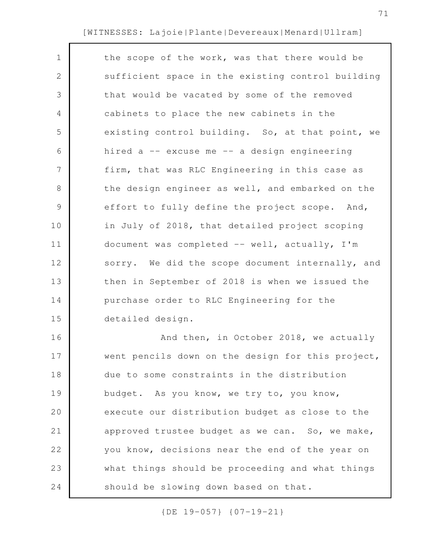| $\mathbf 1$ | the scope of the work, was that there would be    |
|-------------|---------------------------------------------------|
| 2           | sufficient space in the existing control building |
| 3           | that would be vacated by some of the removed      |
| 4           | cabinets to place the new cabinets in the         |
| 5           | existing control building. So, at that point, we  |
| 6           | hired a -- excuse me -- a design engineering      |
| 7           | firm, that was RLC Engineering in this case as    |
| 8           | the design engineer as well, and embarked on the  |
| $\mathsf 9$ | effort to fully define the project scope. And,    |
| 10          | in July of 2018, that detailed project scoping    |
| 11          | document was completed -- well, actually, I'm     |
| 12          | sorry. We did the scope document internally, and  |
| 13          | then in September of 2018 is when we issued the   |
| 14          | purchase order to RLC Engineering for the         |
| 15          | detailed design.                                  |
| 16          | And then, in October 2018, we actually            |
| 17          | went pencils down on the design for this project, |
| 18          | due to some constraints in the distribution       |
| 19          | budget. As you know, we try to, you know,         |
| 20          | execute our distribution budget as close to the   |
| 21          | approved trustee budget as we can. So, we make,   |
| 22          | you know, decisions near the end of the year on   |
| 23          | what things should be proceeding and what things  |
| 24          | should be slowing down based on that.             |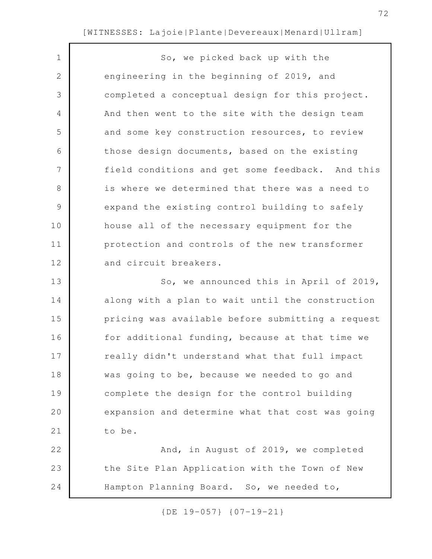So, we picked back up with the engineering in the beginning of 2019, and completed a conceptual design for this project. And then went to the site with the design team and some key construction resources, to review those design documents, based on the existing field conditions and get some feedback. And this is where we determined that there was a need to expand the existing control building to safely house all of the necessary equipment for the protection and controls of the new transformer and circuit breakers. So, we announced this in April of 2019, along with a plan to wait until the construction pricing was available before submitting a request for additional funding, because at that time we really didn't understand what that full impact was going to be, because we needed to go and complete the design for the control building expansion and determine what that cost was going to be. And, in August of 2019, we completed the Site Plan Application with the Town of New Hampton Planning Board. So, we needed to, 1 2 3 4 5 6 7 8 9 10 11 12 13 14 15 16 17 18 19 20 21 22 23 24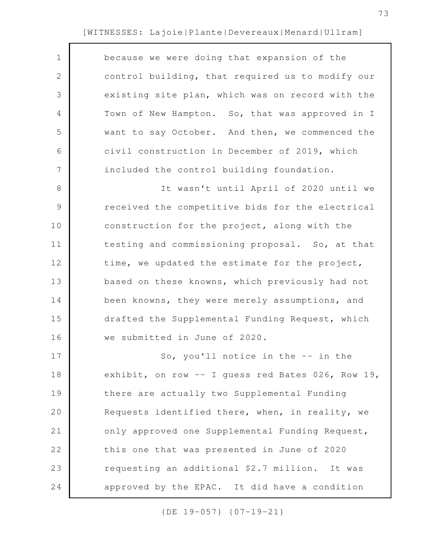| $\mathbf 1$   | because we were doing that expansion of the       |
|---------------|---------------------------------------------------|
| $\sqrt{2}$    | control building, that required us to modify our  |
| 3             | existing site plan, which was on record with the  |
| 4             | Town of New Hampton. So, that was approved in I   |
| 5             | want to say October. And then, we commenced the   |
| 6             | civil construction in December of 2019, which     |
| 7             | included the control building foundation.         |
| 8             | It wasn't until April of 2020 until we            |
| $\mathcal{G}$ | received the competitive bids for the electrical  |
| 10            | construction for the project, along with the      |
| 11            | testing and commissioning proposal. So, at that   |
| 12            | time, we updated the estimate for the project,    |
| 13            | based on these knowns, which previously had not   |
| 14            | been knowns, they were merely assumptions, and    |
| 15            | drafted the Supplemental Funding Request, which   |
| 16            | we submitted in June of 2020.                     |
| 17            | So, you'll notice in the $-$ in the               |
| 18            | exhibit, on row -- I guess red Bates 026, Row 19, |
| 19            | there are actually two Supplemental Funding       |
| 20            | Requests identified there, when, in reality, we   |
| 21            | only approved one Supplemental Funding Request,   |
| 22            | this one that was presented in June of 2020       |
| 23            | requesting an additional \$2.7 million. It was    |
| 24            | approved by the EPAC. It did have a condition     |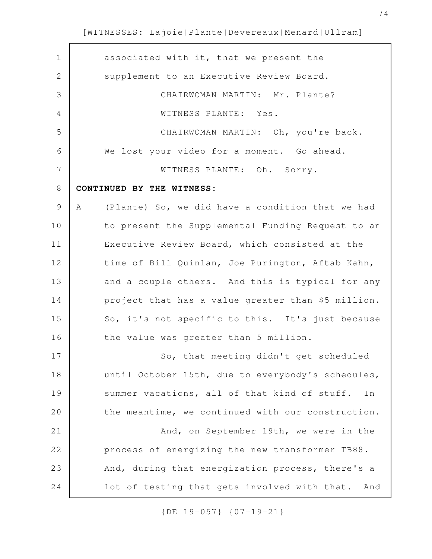| $\mathbf 1$     | associated with it, that we present the               |
|-----------------|-------------------------------------------------------|
| $\mathbf{2}$    | supplement to an Executive Review Board.              |
| 3               | CHAIRWOMAN MARTIN: Mr. Plante?                        |
| 4               | WITNESS PLANTE: Yes.                                  |
| 5               | CHAIRWOMAN MARTIN: Oh, you're back.                   |
| 6               | We lost your video for a moment. Go ahead.            |
| $7\phantom{.0}$ | WITNESS PLANTE: Oh. Sorry.                            |
| 8               | CONTINUED BY THE WITNESS:                             |
| $\mathcal{G}$   | Α<br>(Plante) So, we did have a condition that we had |
| 10              | to present the Supplemental Funding Request to an     |
| 11              | Executive Review Board, which consisted at the        |
| 12              | time of Bill Quinlan, Joe Purington, Aftab Kahn,      |
| 13              | and a couple others. And this is typical for any      |
| 14              | project that has a value greater than \$5 million.    |
| 15              | So, it's not specific to this. It's just because      |
| 16              | the value was greater than 5 million.                 |
| 17              | So, that meeting didn't get scheduled                 |
| 18              | until October 15th, due to everybody's schedules,     |
| 19              | summer vacations, all of that kind of stuff.<br>In    |
| 20              | the meantime, we continued with our construction.     |
| 21              | And, on September 19th, we were in the                |
| 22              | process of energizing the new transformer TB88.       |
| 23              | And, during that energization process, there's a      |
| 24              | lot of testing that gets involved with that.<br>And   |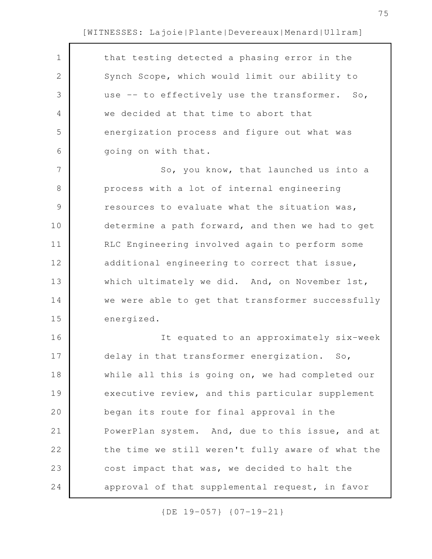| $\mathbf 1$   | that testing detected a phasing error in the      |
|---------------|---------------------------------------------------|
| 2             | Synch Scope, which would limit our ability to     |
| 3             | use -- to effectively use the transformer. So,    |
| 4             | we decided at that time to abort that             |
| 5             | energization process and figure out what was      |
| 6             | going on with that.                               |
| 7             | So, you know, that launched us into a             |
| 8             | process with a lot of internal engineering        |
| $\mathcal{G}$ | resources to evaluate what the situation was,     |
| 10            | determine a path forward, and then we had to get  |
| 11            | RLC Engineering involved again to perform some    |
| 12            | additional engineering to correct that issue,     |
| 13            | which ultimately we did. And, on November 1st,    |
| 14            | we were able to get that transformer successfully |
| 15            | energized.                                        |
| 16            | It equated to an approximately six-week           |
| 17            | delay in that transformer energization. So,       |
| 18            | while all this is going on, we had completed our  |
| 19            | executive review, and this particular supplement  |
| 20            | began its route for final approval in the         |
| 21            | PowerPlan system. And, due to this issue, and at  |
| 22            | the time we still weren't fully aware of what the |
| 23            | cost impact that was, we decided to halt the      |
| 24            | approval of that supplemental request, in favor   |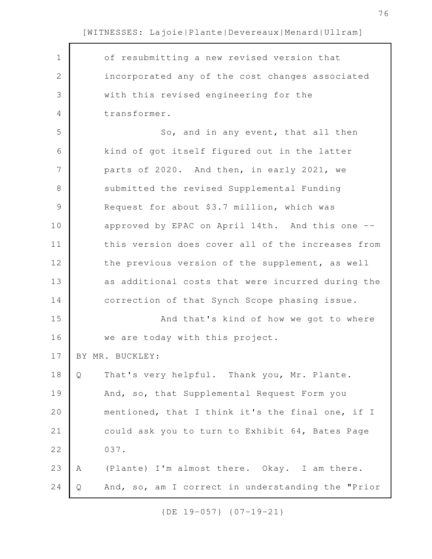of resubmitting a new revised version that incorporated any of the cost changes associated with this revised engineering for the transformer. So, and in any event, that all then kind of got itself figured out in the latter parts of 2020. And then, in early 2021, we submitted the revised Supplemental Funding Request for about \$3.7 million, which was approved by EPAC on April 14th. And this one - this version does cover all of the increases from the previous version of the supplement, as well as additional costs that were incurred during the correction of that Synch Scope phasing issue. And that's kind of how we got to where we are today with this project. BY MR. BUCKLEY: Q That's very helpful. Thank you, Mr. Plante. And, so, that Supplemental Request Form you mentioned, that I think it's the final one, if I could ask you to turn to Exhibit 64, Bates Page 037. A (Plante) I'm almost there. Okay. I am there. Q And, so, am I correct in understanding the "Prior 1 2 3 4 5 6 7 8 9 10 11 12 13 14 15 16 17 18 19 20 21 22 23 24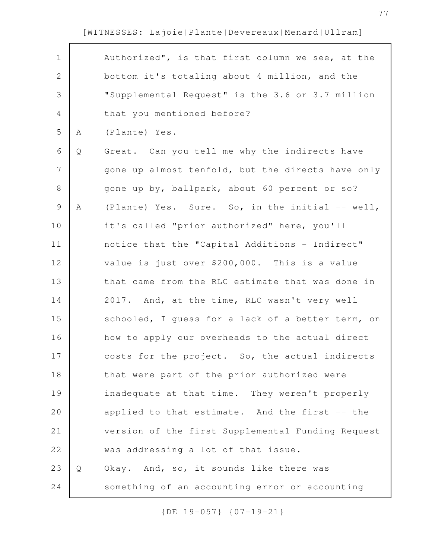| $\mathbf 1$     |   | Authorized", is that first column we see, at the  |
|-----------------|---|---------------------------------------------------|
| $\mathbf{2}$    |   | bottom it's totaling about 4 million, and the     |
| 3               |   | "Supplemental Request" is the 3.6 or 3.7 million  |
| 4               |   | that you mentioned before?                        |
| 5               | Α | (Plante) Yes.                                     |
| 6               | Q | Great. Can you tell me why the indirects have     |
| $7\phantom{.0}$ |   | gone up almost tenfold, but the directs have only |
| 8               |   | gone up by, ballpark, about 60 percent or so?     |
| 9               | Α | (Plante) Yes. Sure. So, in the initial -- well,   |
| 10              |   | it's called "prior authorized" here, you'll       |
| 11              |   | notice that the "Capital Additions - Indirect"    |
| 12              |   | value is just over \$200,000. This is a value     |
| 13              |   | that came from the RLC estimate that was done in  |
| 14              |   | 2017. And, at the time, RLC wasn't very well      |
| 15              |   | schooled, I quess for a lack of a better term, on |
| 16              |   | how to apply our overheads to the actual direct   |
| 17              |   | costs for the project. So, the actual indirects   |
| 18              |   | that were part of the prior authorized were       |
| 19              |   | inadequate at that time. They weren't properly    |
| 20              |   | applied to that estimate. And the first -- the    |
| 21              |   | version of the first Supplemental Funding Request |
| 22              |   | was addressing a lot of that issue.               |
| 23              | Q | Okay. And, so, it sounds like there was           |
| 24              |   | something of an accounting error or accounting    |
|                 |   |                                                   |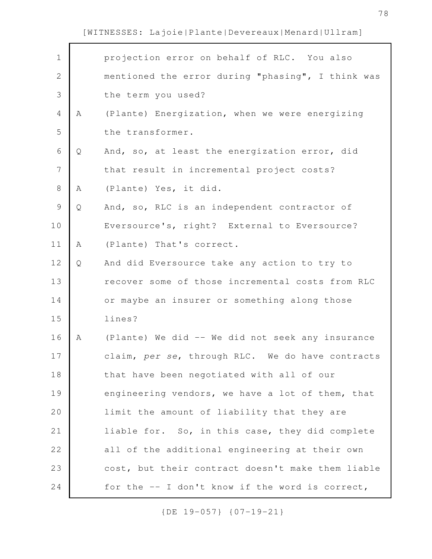| $\mathbf 1$    |   | projection error on behalf of RLC. You also       |
|----------------|---|---------------------------------------------------|
| $\mathbf{2}$   |   | mentioned the error during "phasing", I think was |
| 3              |   | the term you used?                                |
| $\overline{4}$ | Α | (Plante) Energization, when we were energizing    |
| 5              |   | the transformer.                                  |
| $\sqrt{6}$     | Q | And, so, at least the energization error, did     |
| $\overline{7}$ |   | that result in incremental project costs?         |
| $8\,$          | Α | (Plante) Yes, it did.                             |
| $\mathcal{G}$  | Q | And, so, RLC is an independent contractor of      |
| 10             |   | Eversource's, right? External to Eversource?      |
| 11             | A | (Plante) That's correct.                          |
| 12             | Q | And did Eversource take any action to try to      |
| 13             |   | recover some of those incremental costs from RLC  |
| 14             |   | or maybe an insurer or something along those      |
| 15             |   | lines?                                            |
| 16             | Α | (Plante) We did -- We did not seek any insurance  |
| 17             |   | claim, per se, through RLC. We do have contracts  |
| 18             |   | that have been negotiated with all of our         |
| 19             |   | engineering vendors, we have a lot of them, that  |
| 20             |   | limit the amount of liability that they are       |
| 21             |   | liable for. So, in this case, they did complete   |
| 22             |   | all of the additional engineering at their own    |
| 23             |   | cost, but their contract doesn't make them liable |
| 24             |   | for the -- I don't know if the word is correct,   |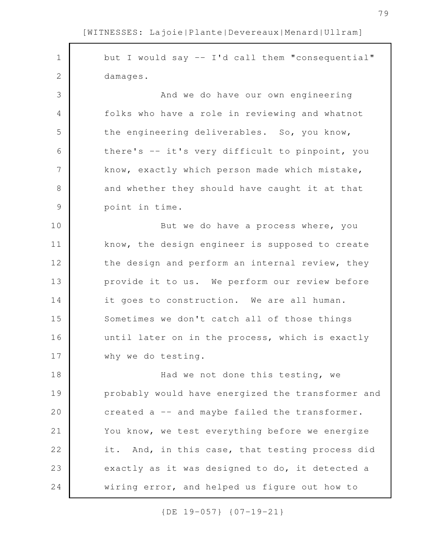but I would say -- I'd call them "consequential" damages. And we do have our own engineering folks who have a role in reviewing and whatnot the engineering deliverables. So, you know, there's -- it's very difficult to pinpoint, you know, exactly which person made which mistake, and whether they should have caught it at that point in time. But we do have a process where, you know, the design engineer is supposed to create the design and perform an internal review, they provide it to us. We perform our review before it goes to construction. We are all human. Sometimes we don't catch all of those things until later on in the process, which is exactly why we do testing. Had we not done this testing, we probably would have energized the transformer and created a -- and maybe failed the transformer. You know, we test everything before we energize it. And, in this case, that testing process did exactly as it was designed to do, it detected a wiring error, and helped us figure out how to 1 2 3 4 5 6 7 8 9 10 11 12 13 14 15 16 17 18 19 20 21 22 23 24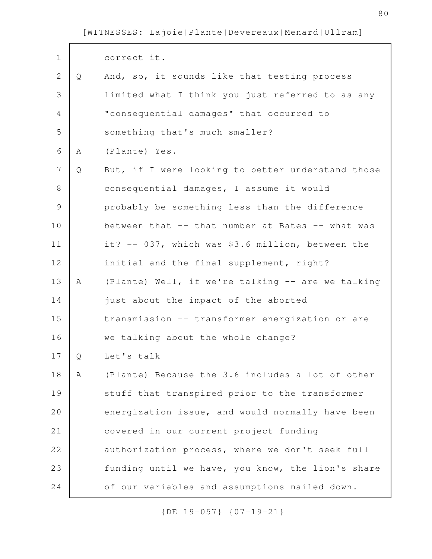| $\mathbf 1$  |   | correct it.                                       |
|--------------|---|---------------------------------------------------|
| $\mathbf{2}$ | Q | And, so, it sounds like that testing process      |
| 3            |   | limited what I think you just referred to as any  |
| 4            |   | "consequential damages" that occurred to          |
| 5            |   | something that's much smaller?                    |
| 6            | A | (Plante) Yes.                                     |
| 7            | Q | But, if I were looking to better understand those |
| $8\,$        |   | consequential damages, I assume it would          |
| 9            |   | probably be something less than the difference    |
| 10           |   | between that -- that number at Bates -- what was  |
| 11           |   | it? -- 037, which was \$3.6 million, between the  |
| 12           |   | initial and the final supplement, right?          |
| 13           | A | (Plante) Well, if we're talking -- are we talking |
| 14           |   | just about the impact of the aborted              |
| 15           |   | transmission -- transformer energization or are   |
| 16           |   | we talking about the whole change?                |
| 17           | Q | Let's talk --                                     |
| 18           | A | (Plante) Because the 3.6 includes a lot of other  |
| 19           |   | stuff that transpired prior to the transformer    |
| 20           |   | energization issue, and would normally have been  |
| 21           |   | covered in our current project funding            |
| 22           |   | authorization process, where we don't seek full   |
| 23           |   | funding until we have, you know, the lion's share |
| 24           |   | of our variables and assumptions nailed down.     |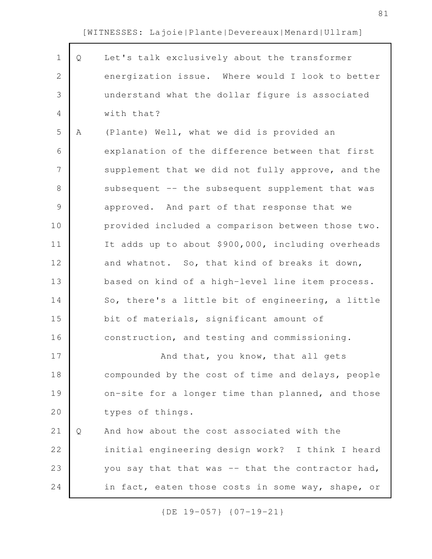| $\mathbf 1$    | Q | Let's talk exclusively about the transformer       |
|----------------|---|----------------------------------------------------|
| $\mathbf{2}$   |   | energization issue. Where would I look to better   |
| 3              |   | understand what the dollar figure is associated    |
| 4              |   | with that?                                         |
| 5              | Α | (Plante) Well, what we did is provided an          |
| 6              |   | explanation of the difference between that first   |
| $\overline{7}$ |   | supplement that we did not fully approve, and the  |
| 8              |   | subsequent -- the subsequent supplement that was   |
| $\mathsf 9$    |   | approved. And part of that response that we        |
| 10             |   | provided included a comparison between those two.  |
| 11             |   | It adds up to about \$900,000, including overheads |
| 12             |   | and whatnot. So, that kind of breaks it down,      |
| 13             |   | based on kind of a high-level line item process.   |
| 14             |   | So, there's a little bit of engineering, a little  |
| 15             |   | bit of materials, significant amount of            |
| 16             |   | construction, and testing and commissioning.       |
| 17             |   | And that, you know, that all gets                  |
| 18             |   | compounded by the cost of time and delays, people  |
| 19             |   | on-site for a longer time than planned, and those  |
| 20             |   | types of things.                                   |
| 21             | Q | And how about the cost associated with the         |
| 22             |   | initial engineering design work? I think I heard   |
| 23             |   | you say that that was -- that the contractor had,  |
| 24             |   | in fact, eaten those costs in some way, shape, or  |
|                |   |                                                    |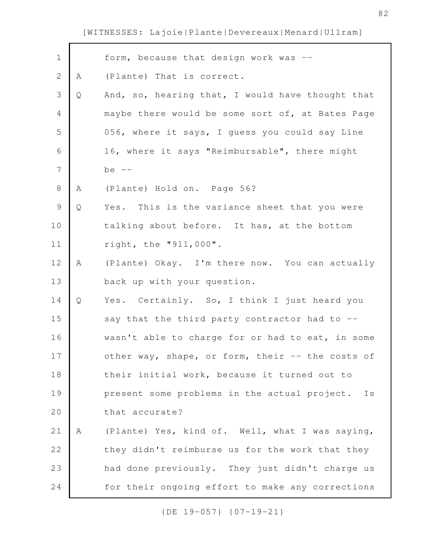| $\mathbf 1$    |   | form, because that design work was --              |
|----------------|---|----------------------------------------------------|
| 2              | Α | (Plante) That is correct.                          |
| 3              | Q | And, so, hearing that, I would have thought that   |
| 4              |   | maybe there would be some sort of, at Bates Page   |
| 5              |   | 056, where it says, I guess you could say Line     |
| 6              |   | 16, where it says "Reimbursable", there might      |
| $\overline{7}$ |   | be $--$                                            |
| $8\,$          | Α | (Plante) Hold on. Page 56?                         |
| 9              | Q | Yes. This is the variance sheet that you were      |
| 10             |   | talking about before. It has, at the bottom        |
| 11             |   | right, the "911,000".                              |
| 12             | Α | (Plante) Okay. I'm there now. You can actually     |
| 13             |   | back up with your question.                        |
| 14             | Q | Yes. Certainly. So, I think I just heard you       |
| 15             |   | say that the third party contractor had to --      |
| 16             |   | wasn't able to charge for or had to eat, in some   |
| 17             |   | other way, shape, or form, their -- the costs of   |
| 18             |   | their initial work, because it turned out to       |
| 19             |   | present some problems in the actual project.<br>Is |
| 20             |   | that accurate?                                     |
| 21             | A | (Plante) Yes, kind of. Well, what I was saying,    |
| 22             |   | they didn't reimburse us for the work that they    |
| 23             |   | had done previously. They just didn't charge us    |
| 24             |   | for their ongoing effort to make any corrections   |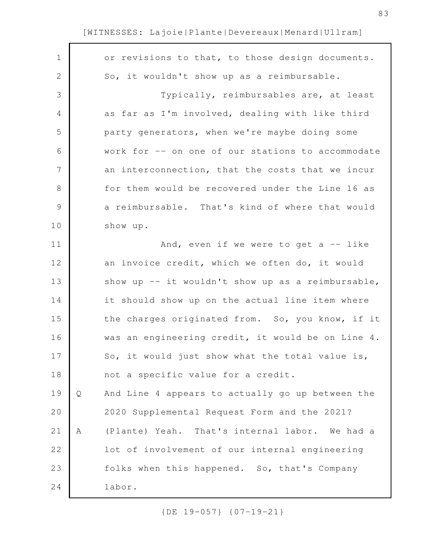$\Gamma$ 

| $\mathbf 1$   |   | or revisions to that, to those design documents.  |
|---------------|---|---------------------------------------------------|
| 2             |   | So, it wouldn't show up as a reimbursable.        |
| 3             |   | Typically, reimbursables are, at least            |
| 4             |   | as far as I'm involved, dealing with like third   |
| 5             |   | party generators, when we're maybe doing some     |
| 6             |   | work for -- on one of our stations to accommodate |
| 7             |   | an interconnection, that the costs that we incur  |
| 8             |   | for them would be recovered under the Line 16 as  |
| $\mathcal{G}$ |   | a reimbursable. That's kind of where that would   |
| 10            |   | show up.                                          |
| 11            |   | And, even if we were to get a $-$ like            |
| 12            |   | an invoice credit, which we often do, it would    |
| 13            |   | show up -- it wouldn't show up as a reimbursable, |
| 14            |   | it should show up on the actual line item where   |
| 15            |   | the charges originated from. So, you know, if it  |
| 16            |   | was an engineering credit, it would be on Line 4. |
| 17            |   | So, it would just show what the total value is,   |
| 18            |   | not a specific value for a credit.                |
| 19            | Q | And Line 4 appears to actually go up between the  |
| 20            |   | 2020 Supplemental Request Form and the 2021?      |
| 21            | Α | (Plante) Yeah. That's internal labor. We had a    |
| 22            |   | lot of involvement of our internal engineering    |
| 23            |   | folks when this happened. So, that's Company      |
| 24            |   | labor.                                            |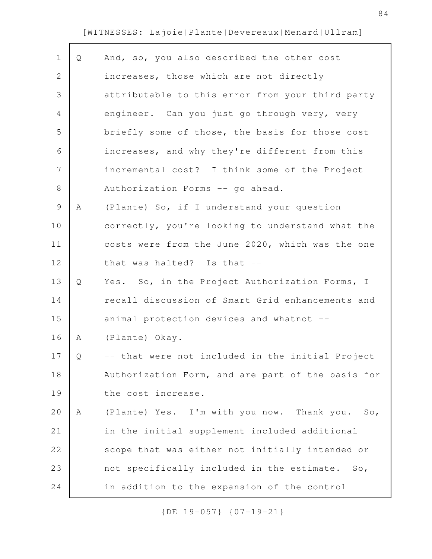$\Gamma$ 

| $\mathbf 1$  | Q | And, so, you also described the other cost                    |
|--------------|---|---------------------------------------------------------------|
| $\mathbf{2}$ |   | increases, those which are not directly                       |
| 3            |   | attributable to this error from your third party              |
| 4            |   | engineer. Can you just go through very, very                  |
| 5            |   | briefly some of those, the basis for those cost               |
| 6            |   | increases, and why they're different from this                |
| 7            |   | incremental cost? I think some of the Project                 |
| 8            |   | Authorization Forms -- go ahead.                              |
| $\mathsf 9$  | Α | (Plante) So, if I understand your question                    |
| 10           |   | correctly, you're looking to understand what the              |
| 11           |   | costs were from the June 2020, which was the one              |
| 12           |   | that was halted? Is that --                                   |
| 13           | Q | Yes. So, in the Project Authorization Forms, I                |
| 14           |   | recall discussion of Smart Grid enhancements and              |
| 15           |   | animal protection devices and whatnot --                      |
| 16           | Α | (Plante) Okay.                                                |
| 17           | Q | -- that were not included in the initial Project              |
| 18           |   | Authorization Form, and are part of the basis for             |
| 19           |   | the cost increase.                                            |
| 20           | Α | (Plante) Yes. I'm with you now. Thank you. So,                |
| 21           |   | in the initial supplement included additional                 |
| 22           |   | scope that was either not initially intended or               |
| 23           |   | not specifically included in the estimate.<br>SO <sub>2</sub> |
| 24           |   | in addition to the expansion of the control                   |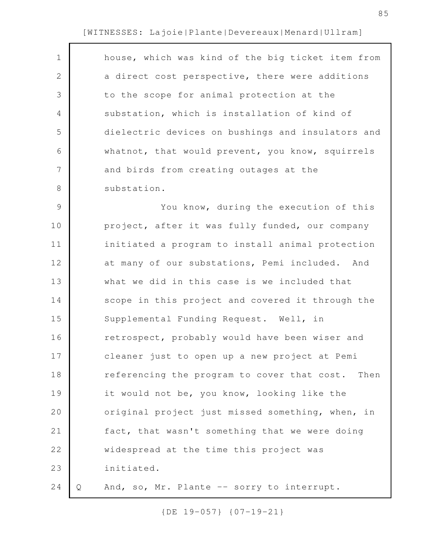| $\mathbf 1$    | house, which was kind of the big ticket item from |
|----------------|---------------------------------------------------|
| $\overline{2}$ | a direct cost perspective, there were additions   |
| 3              | to the scope for animal protection at the         |
| 4              | substation, which is installation of kind of      |
| 5              | dielectric devices on bushings and insulators and |
| 6              | whatnot, that would prevent, you know, squirrels  |
| 7              | and birds from creating outages at the            |
| 8              | substation.                                       |
| 9              | You know, during the execution of this            |
| 10             | project, after it was fully funded, our company   |
| 11             | initiated a program to install animal protection  |
| 12             | at many of our substations, Pemi included. And    |
| 13             | what we did in this case is we included that      |
| 14             | scope in this project and covered it through the  |
| 15             | Supplemental Funding Request. Well, in            |
| 16             | retrospect, probably would have been wiser and    |
| 17             | cleaner just to open up a new project at Pemi     |
| 18             | referencing the program to cover that cost. Then  |
| 19             | it would not be, you know, looking like the       |

original project just missed something, when, in fact, that wasn't something that we were doing widespread at the time this project was initiated. 20 21 22 23

Q And, so, Mr. Plante -- sorry to interrupt. 24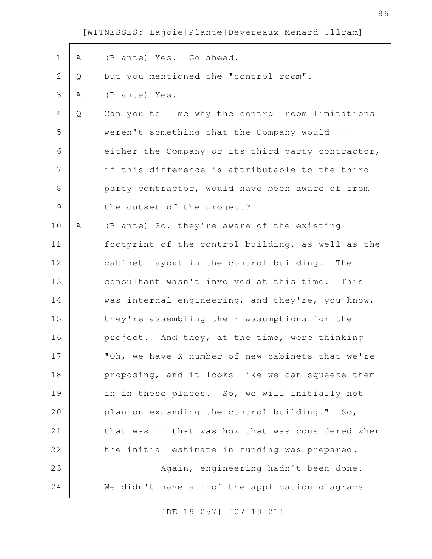| $\mathbf 1$    | Α | (Plante) Yes. Go ahead.                           |
|----------------|---|---------------------------------------------------|
| $\overline{2}$ | Q | But you mentioned the "control room".             |
| 3              | Α | (Plante) Yes.                                     |
| 4              | Q | Can you tell me why the control room limitations  |
| 5              |   | weren't something that the Company would --       |
| 6              |   | either the Company or its third party contractor, |
| 7              |   | if this difference is attributable to the third   |
| 8              |   | party contractor, would have been aware of from   |
| $\mathsf 9$    |   | the outset of the project?                        |
| 10             | Α | (Plante) So, they're aware of the existing        |
| 11             |   | footprint of the control building, as well as the |
| 12             |   | cabinet layout in the control building.<br>The    |
| 13             |   | consultant wasn't involved at this time. This     |
| 14             |   | was internal engineering, and they're, you know,  |
| 15             |   | they're assembling their assumptions for the      |
| 16             |   | project. And they, at the time, were thinking     |
| 17             |   | "Oh, we have X number of new cabinets that we're  |
| 18             |   | proposing, and it looks like we can squeeze them  |
| 19             |   | in in these places. So, we will initially not     |
| 20             |   | plan on expanding the control building." So,      |
| 21             |   | that was -- that was how that was considered when |
| 22             |   | the initial estimate in funding was prepared.     |
| 23             |   | Again, engineering hadn't been done.              |
| 24             |   | We didn't have all of the application diagrams    |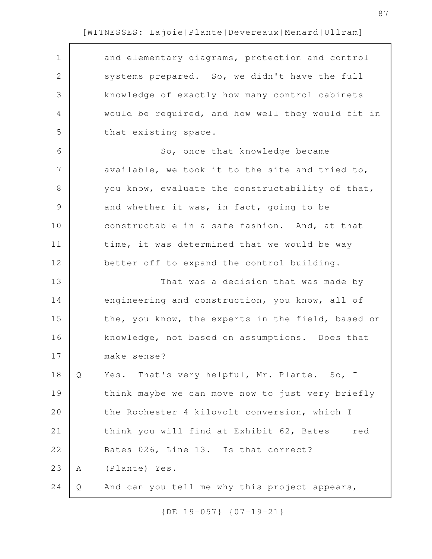| $\mathbf 1$   |   | and elementary diagrams, protection and control   |
|---------------|---|---------------------------------------------------|
| $\mathbf{2}$  |   | systems prepared. So, we didn't have the full     |
| 3             |   | knowledge of exactly how many control cabinets    |
| 4             |   | would be required, and how well they would fit in |
| 5             |   | that existing space.                              |
| 6             |   | So, once that knowledge became                    |
| 7             |   | available, we took it to the site and tried to,   |
| $8\,$         |   | you know, evaluate the constructability of that,  |
| $\mathcal{G}$ |   | and whether it was, in fact, going to be          |
| 10            |   | constructable in a safe fashion. And, at that     |
| 11            |   | time, it was determined that we would be way      |
| 12            |   | better off to expand the control building.        |
| 13            |   | That was a decision that was made by              |
| 14            |   | engineering and construction, you know, all of    |
| 15            |   | the, you know, the experts in the field, based on |
| 16            |   | knowledge, not based on assumptions. Does that    |
| 17            |   | make sense?                                       |
| 18            | Q | That's very helpful, Mr. Plante. So, I<br>Yes.    |
| 19            |   | think maybe we can move now to just very briefly  |
| 20            |   | the Rochester 4 kilovolt conversion, which I      |
| 21            |   | think you will find at Exhibit 62, Bates -- red   |
| 22            |   | Bates 026, Line 13. Is that correct?              |
| 23            | Α | (Plante) Yes.                                     |
| 24            | Q | And can you tell me why this project appears,     |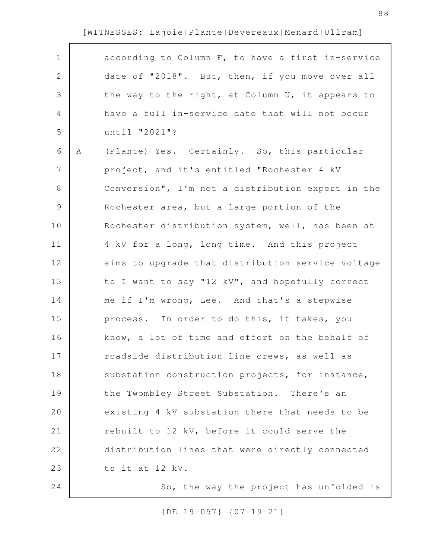| $\mathbf 1$    |   | according to Column F, to have a first in-service |
|----------------|---|---------------------------------------------------|
| $\mathbf{2}$   |   | date of "2018". But, then, if you move over all   |
| 3              |   | the way to the right, at Column U, it appears to  |
| 4              |   | have a full in-service date that will not occur   |
| 5              |   | until "2021"?                                     |
| 6              | Α | (Plante) Yes. Certainly. So, this particular      |
| $\overline{7}$ |   | project, and it's entitled "Rochester 4 kV        |
| $8\,$          |   | Conversion", I'm not a distribution expert in the |
| $\mathsf 9$    |   | Rochester area, but a large portion of the        |
| 10             |   | Rochester distribution system, well, has been at  |
| 11             |   | 4 kV for a long, long time. And this project      |
| 12             |   | aims to upgrade that distribution service voltage |
| 13             |   | to I want to say "12 kV", and hopefully correct   |
| 14             |   | me if I'm wrong, Lee. And that's a stepwise       |
| 15             |   | process. In order to do this, it takes, you       |
| 16             |   | know, a lot of time and effort on the behalf of   |
| 17             |   | roadside distribution line crews, as well as      |
| 18             |   | substation construction projects, for instance,   |
| 19             |   | the Twombley Street Substation. There's an        |
| 20             |   | existing 4 kV substation there that needs to be   |
| 21             |   | rebuilt to 12 kV, before it could serve the       |
| 22             |   | distribution lines that were directly connected   |
| 23             |   | to it at 12 kV.                                   |
| 24             |   | So, the way the project has unfolded is           |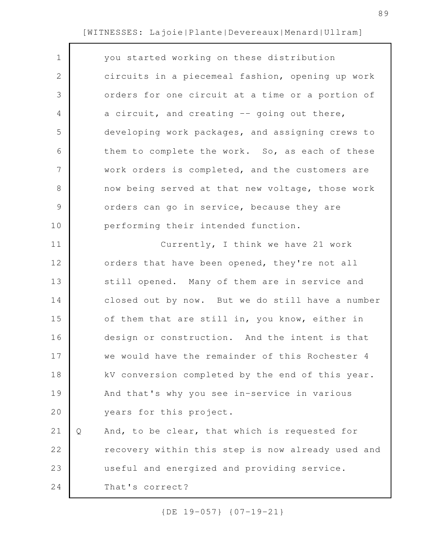|   | you started working on these distribution         |
|---|---------------------------------------------------|
|   | circuits in a piecemeal fashion, opening up work  |
|   | orders for one circuit at a time or a portion of  |
|   | a circuit, and creating -- going out there,       |
|   | developing work packages, and assigning crews to  |
|   | them to complete the work. So, as each of these   |
|   | work orders is completed, and the customers are   |
|   | now being served at that new voltage, those work  |
|   | orders can go in service, because they are        |
|   | performing their intended function.               |
|   | Currently, I think we have 21 work                |
|   | orders that have been opened, they're not all     |
|   | still opened. Many of them are in service and     |
|   | closed out by now. But we do still have a number  |
|   | of them that are still in, you know, either in    |
|   | design or construction. And the intent is that    |
|   | we would have the remainder of this Rochester 4   |
|   | kV conversion completed by the end of this year.  |
|   | And that's why you see in-service in various      |
|   | years for this project.                           |
| Q | And, to be clear, that which is requested for     |
|   | recovery within this step is now already used and |
|   | useful and energized and providing service.       |
|   | That's correct?                                   |
|   |                                                   |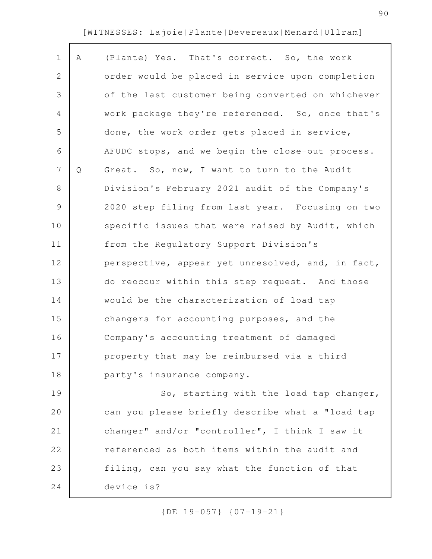| $\mathbf 1$    | Α | (Plante) Yes. That's correct. So, the work        |
|----------------|---|---------------------------------------------------|
| $\mathbf{2}$   |   | order would be placed in service upon completion  |
| 3              |   | of the last customer being converted on whichever |
| 4              |   | work package they're referenced. So, once that's  |
| 5              |   | done, the work order gets placed in service,      |
| 6              |   | AFUDC stops, and we begin the close-out process.  |
| $\overline{7}$ | Q | Great. So, now, I want to turn to the Audit       |
| 8              |   | Division's February 2021 audit of the Company's   |
| 9              |   | 2020 step filing from last year. Focusing on two  |
| 10             |   | specific issues that were raised by Audit, which  |
| 11             |   | from the Regulatory Support Division's            |
| 12             |   | perspective, appear yet unresolved, and, in fact, |
| 13             |   | do reoccur within this step request. And those    |
| 14             |   | would be the characterization of load tap         |
| 15             |   | changers for accounting purposes, and the         |
| 16             |   | Company's accounting treatment of damaged         |
| 17             |   | property that may be reimbursed via a third       |
| 18             |   | party's insurance company.                        |
| 19             |   | So, starting with the load tap changer,           |
| 20             |   | can you please briefly describe what a "load tap  |
| 21             |   | changer" and/or "controller", I think I saw it    |
| 22             |   | referenced as both items within the audit and     |
| 23             |   | filing, can you say what the function of that     |
| 24             |   | device is?                                        |
|                |   |                                                   |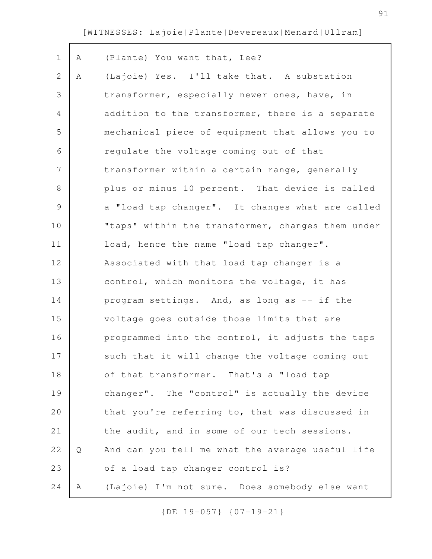A (Plante) You want that, Lee? A (Lajoie) Yes. I'll take that. A substation transformer, especially newer ones, have, in addition to the transformer, there is a separate mechanical piece of equipment that allows you to regulate the voltage coming out of that transformer within a certain range, generally plus or minus 10 percent. That device is called a "load tap changer". It changes what are called "taps" within the transformer, changes them under load, hence the name "load tap changer". Associated with that load tap changer is a control, which monitors the voltage, it has program settings. And, as long as -- if the voltage goes outside those limits that are programmed into the control, it adjusts the taps such that it will change the voltage coming out of that transformer. That's a "load tap changer". The "control" is actually the device that you're referring to, that was discussed in the audit, and in some of our tech sessions. Q And can you tell me what the average useful life of a load tap changer control is? A (Lajoie) I'm not sure. Does somebody else want 1 2 3 4 5 6 7 8 9 10 11 12 13 14 15 16 17 18 19 20 21 22 23 24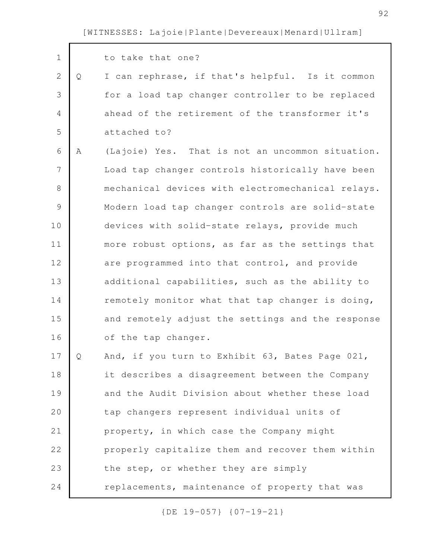| $\mathbf 1$    |   | to take that one?                                 |
|----------------|---|---------------------------------------------------|
| $\mathbf{2}$   | Q | I can rephrase, if that's helpful. Is it common   |
| 3              |   | for a load tap changer controller to be replaced  |
| 4              |   | ahead of the retirement of the transformer it's   |
| 5              |   | attached to?                                      |
| 6              | Α | (Lajoie) Yes. That is not an uncommon situation.  |
| $\overline{7}$ |   | Load tap changer controls historically have been  |
| $8\,$          |   | mechanical devices with electromechanical relays. |
| $\mathcal{G}$  |   | Modern load tap changer controls are solid-state  |
| 10             |   | devices with solid-state relays, provide much     |
| 11             |   | more robust options, as far as the settings that  |
| 12             |   | are programmed into that control, and provide     |
| 13             |   | additional capabilities, such as the ability to   |
| 14             |   | remotely monitor what that tap changer is doing,  |
| 15             |   | and remotely adjust the settings and the response |
| 16             |   | of the tap changer.                               |
| 17             | O | And, if you turn to Exhibit 63, Bates Page 021,   |
| 18             |   | it describes a disagreement between the Company   |
| 19             |   | and the Audit Division about whether these load   |
| 20             |   | tap changers represent individual units of        |
| 21             |   | property, in which case the Company might         |
| 22             |   | properly capitalize them and recover them within  |
| 23             |   | the step, or whether they are simply              |
| 24             |   | replacements, maintenance of property that was    |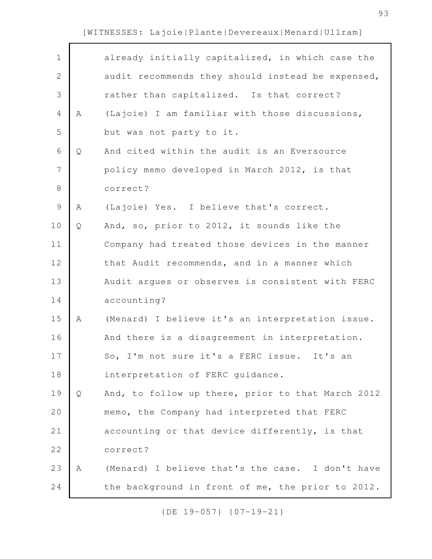|   | already initially capitalized, in which case the  |
|---|---------------------------------------------------|
|   | audit recommends they should instead be expensed, |
|   | rather than capitalized. Is that correct?         |
| A | (Lajoie) I am familiar with those discussions,    |
|   | but was not party to it.                          |
| Q | And cited within the audit is an Eversource       |
|   | policy memo developed in March 2012, is that      |
|   | correct?                                          |
| Α | (Lajoie) Yes. I believe that's correct.           |
| Q | And, so, prior to 2012, it sounds like the        |
|   | Company had treated those devices in the manner   |
|   | that Audit recommends, and in a manner which      |
|   | Audit argues or observes is consistent with FERC  |
|   | accounting?                                       |
| Α | (Menard) I believe it's an interpretation issue.  |
|   | And there is a disagreement in interpretation.    |
|   | So, I'm not sure it's a FERC issue. It's an       |
|   | interpretation of FERC quidance.                  |
| Q | And, to follow up there, prior to that March 2012 |
|   | memo, the Company had interpreted that FERC       |
|   | accounting or that device differently, is that    |
|   | correct?                                          |
| Α | (Menard) I believe that's the case. I don't have  |
|   |                                                   |
|   |                                                   |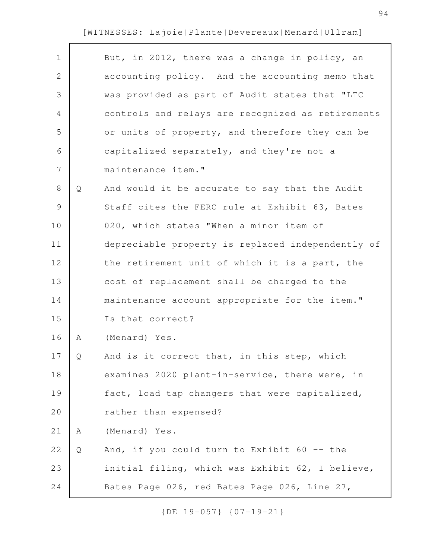| $\mathbf 1$    |   | But, in 2012, there was a change in policy, an    |
|----------------|---|---------------------------------------------------|
| $\mathbf{2}$   |   | accounting policy. And the accounting memo that   |
| 3              |   | was provided as part of Audit states that "LTC    |
| 4              |   | controls and relays are recognized as retirements |
| 5              |   | or units of property, and therefore they can be   |
| 6              |   | capitalized separately, and they're not a         |
| $\overline{7}$ |   | maintenance item."                                |
| 8              | Q | And would it be accurate to say that the Audit    |
| 9              |   | Staff cites the FERC rule at Exhibit 63, Bates    |
| 10             |   | 020, which states "When a minor item of           |
| 11             |   | depreciable property is replaced independently of |
| 12             |   | the retirement unit of which it is a part, the    |
| 13             |   | cost of replacement shall be charged to the       |
| 14             |   | maintenance account appropriate for the item."    |
| 15             |   | Is that correct?                                  |
| 16             | Α | (Menard) Yes.                                     |
| 17             | Q | And is it correct that, in this step, which       |
| 18             |   | examines 2020 plant-in-service, there were, in    |
| 19             |   | fact, load tap changers that were capitalized,    |
| 20             |   | rather than expensed?                             |
| 21             | Α | (Menard) Yes.                                     |
| 22             | Q | And, if you could turn to Exhibit 60 -- the       |
| 23             |   | initial filing, which was Exhibit 62, I believe,  |
| 24             |   | Bates Page 026, red Bates Page 026, Line 27,      |
|                |   |                                                   |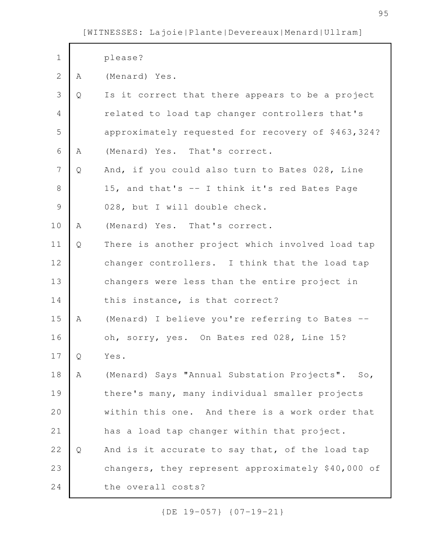| $\mathbf 1$   |   | please?                                            |
|---------------|---|----------------------------------------------------|
| $\mathbf{2}$  | A | (Menard) Yes.                                      |
| 3             | Q | Is it correct that there appears to be a project   |
| 4             |   | related to load tap changer controllers that's     |
| 5             |   | approximately requested for recovery of \$463,324? |
| 6             | Α | (Menard) Yes. That's correct.                      |
| 7             | Q | And, if you could also turn to Bates 028, Line     |
| 8             |   | 15, and that's -- I think it's red Bates Page      |
| $\mathcal{G}$ |   | 028, but I will double check.                      |
| 10            | Α | (Menard) Yes. That's correct.                      |
| 11            | Q | There is another project which involved load tap   |
| 12            |   | changer controllers. I think that the load tap     |
| 13            |   | changers were less than the entire project in      |
| 14            |   | this instance, is that correct?                    |
| 15            | Α | (Menard) I believe you're referring to Bates --    |
| 16            |   | oh, sorry, yes. On Bates red 028, Line 15?         |
| 17            | Q | Yes.                                               |
| 18            | Α | (Menard) Says "Annual Substation Projects". So,    |
| 19            |   | there's many, many individual smaller projects     |
| 20            |   | within this one. And there is a work order that    |
| 21            |   | has a load tap changer within that project.        |
| 22            | Q | And is it accurate to say that, of the load tap    |
| 23            |   | changers, they represent approximately \$40,000 of |
| 24            |   | the overall costs?                                 |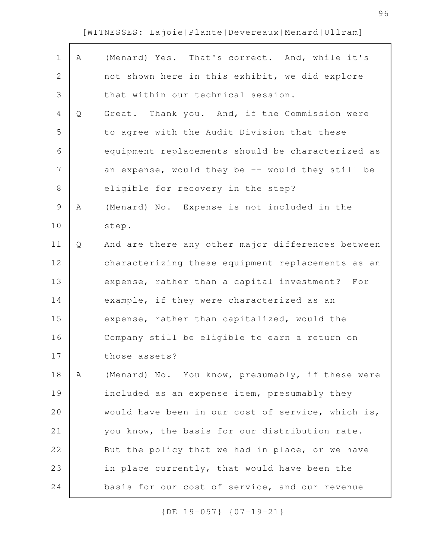| $\mathbf 1$    | Α | (Menard) Yes. That's correct. And, while it's     |
|----------------|---|---------------------------------------------------|
| $\mathbf{2}$   |   | not shown here in this exhibit, we did explore    |
| 3              |   | that within our technical session.                |
| $\overline{4}$ | Q | Great. Thank you. And, if the Commission were     |
| 5              |   | to agree with the Audit Division that these       |
| 6              |   | equipment replacements should be characterized as |
| $\overline{7}$ |   | an expense, would they be -- would they still be  |
| $\,8\,$        |   | eligible for recovery in the step?                |
| $\mathcal{G}$  | Α | (Menard) No. Expense is not included in the       |
| 10             |   | step.                                             |
| 11             | Q | And are there any other major differences between |
| 12             |   | characterizing these equipment replacements as an |
| 13             |   | expense, rather than a capital investment? For    |
| 14             |   | example, if they were characterized as an         |
| 15             |   | expense, rather than capitalized, would the       |
| 16             |   | Company still be eligible to earn a return on     |
| 17             |   | those assets?                                     |
| 18             | Α | (Menard) No. You know, presumably, if these were  |
| 19             |   | included as an expense item, presumably they      |
| 20             |   | would have been in our cost of service, which is, |
| 21             |   | you know, the basis for our distribution rate.    |
| 22             |   | But the policy that we had in place, or we have   |
| 23             |   | in place currently, that would have been the      |
| 24             |   | basis for our cost of service, and our revenue    |
|                |   |                                                   |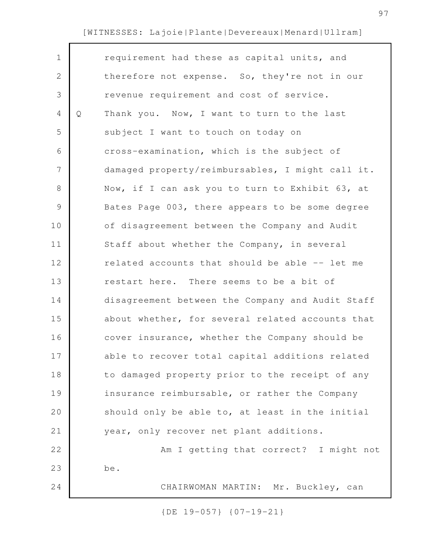| $\mathbf 1$    |   | requirement had these as capital units, and      |
|----------------|---|--------------------------------------------------|
| 2              |   | therefore not expense. So, they're not in our    |
| 3              |   | revenue requirement and cost of service.         |
| 4              | Q | Thank you. Now, I want to turn to the last       |
| 5              |   | subject I want to touch on today on              |
| 6              |   | cross-examination, which is the subject of       |
| $\overline{7}$ |   | damaged property/reimbursables, I might call it. |
| 8              |   | Now, if I can ask you to turn to Exhibit 63, at  |
| 9              |   | Bates Page 003, there appears to be some degree  |
| 10             |   | of disagreement between the Company and Audit    |
| 11             |   | Staff about whether the Company, in several      |
| 12             |   | related accounts that should be able -- let me   |
| 13             |   | restart here. There seems to be a bit of         |
| 14             |   | disagreement between the Company and Audit Staff |
| 15             |   | about whether, for several related accounts that |
| 16             |   | cover insurance, whether the Company should be   |
| 17             |   | able to recover total capital additions related  |
| 18             |   | to damaged property prior to the receipt of any  |
| 19             |   | insurance reimbursable, or rather the Company    |
| 20             |   | should only be able to, at least in the initial  |
| 21             |   | year, only recover net plant additions.          |
| 22             |   | Am I getting that correct? I might not           |
| 23             |   | be.                                              |
| 24             |   | CHAIRWOMAN MARTIN: Mr. Buckley, can              |
|                |   |                                                  |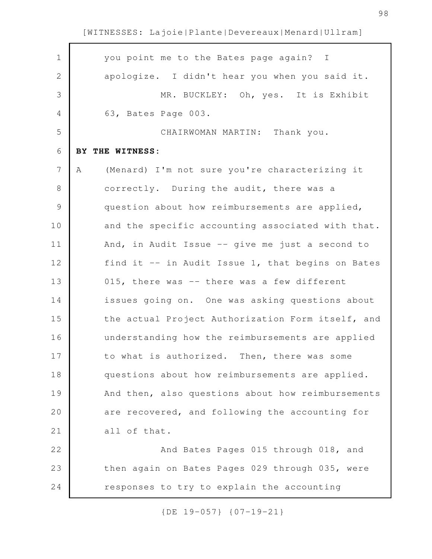| $\mathbf 1$  | you point me to the Bates page again? I             |
|--------------|-----------------------------------------------------|
| $\mathbf{2}$ | apologize. I didn't hear you when you said it.      |
| 3            | MR. BUCKLEY: Oh, yes. It is Exhibit                 |
| 4            | 63, Bates Page 003.                                 |
| 5            | CHAIRWOMAN MARTIN: Thank you.                       |
| 6            | BY THE WITNESS:                                     |
| 7            | (Menard) I'm not sure you're characterizing it<br>Α |
| 8            | correctly. During the audit, there was a            |
| $\mathsf 9$  | question about how reimbursements are applied,      |
| 10           | and the specific accounting associated with that.   |
| 11           | And, in Audit Issue -- give me just a second to     |
| 12           | find it -- in Audit Issue 1, that begins on Bates   |
| 13           | 015, there was -- there was a few different         |
| 14           | issues going on. One was asking questions about     |
| 15           | the actual Project Authorization Form itself, and   |
| 16           | understanding how the reimbursements are applied    |
| 17           | to what is authorized. Then, there was some         |
| 18           | questions about how reimbursements are applied.     |
| 19           | And then, also questions about how reimbursements   |
| 20           | are recovered, and following the accounting for     |
| 21           | all of that.                                        |
| 22           | And Bates Pages 015 through 018, and                |
| 23           | then again on Bates Pages 029 through 035, were     |
| 24           | responses to try to explain the accounting          |
|              |                                                     |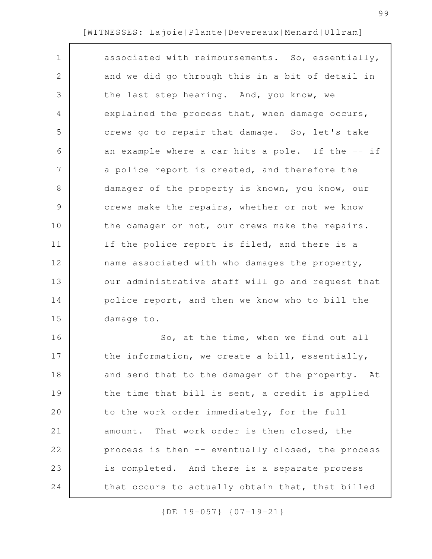| $\mathbf 1$   | associated with reimbursements. So, essentially,  |
|---------------|---------------------------------------------------|
| $\mathbf{2}$  | and we did go through this in a bit of detail in  |
| 3             | the last step hearing. And, you know, we          |
| 4             | explained the process that, when damage occurs,   |
| 5             | crews go to repair that damage. So, let's take    |
| 6             | an example where a car hits a pole. If the -- if  |
| 7             | a police report is created, and therefore the     |
| 8             | damager of the property is known, you know, our   |
| $\mathcal{G}$ | crews make the repairs, whether or not we know    |
| 10            | the damager or not, our crews make the repairs.   |
| 11            | If the police report is filed, and there is a     |
| 12            | name associated with who damages the property,    |
| 13            | our administrative staff will go and request that |
| 14            | police report, and then we know who to bill the   |
| 15            | damage to.                                        |
| 16            | So, at the time, when we find out all             |
| 17            | the information, we create a bill, essentially,   |
| 18            | and send that to the damager of the property. At  |
| 19            | the time that bill is sent, a credit is applied   |
| 20            | to the work order immediately, for the full       |
| 21            | amount. That work order is then closed, the       |
| 22            | process is then -- eventually closed, the process |
| 23            | is completed. And there is a separate process     |
| 24            | that occurs to actually obtain that, that billed  |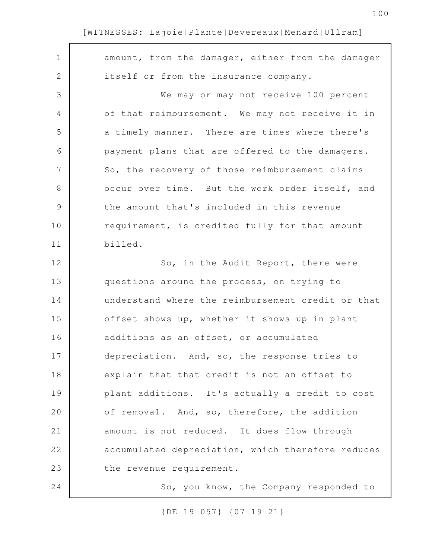| $\mathbf 1$    | amount, from the damager, either from the damager |
|----------------|---------------------------------------------------|
| $\mathbf{2}$   | itself or from the insurance company.             |
| 3              | We may or may not receive 100 percent             |
| $\overline{4}$ | of that reimbursement. We may not receive it in   |
| 5              | a timely manner. There are times where there's    |
| 6              | payment plans that are offered to the damagers.   |
| 7              | So, the recovery of those reimbursement claims    |
| $8\,$          | occur over time. But the work order itself, and   |
| $\mathcal{G}$  | the amount that's included in this revenue        |
| 10             | requirement, is credited fully for that amount    |
| 11             | billed.                                           |
| 12             | So, in the Audit Report, there were               |
| 13             | questions around the process, on trying to        |
| 14             | understand where the reimbursement credit or that |
| 15             | offset shows up, whether it shows up in plant     |
| 16             | additions as an offset, or accumulated            |
| 17             | depreciation. And, so, the response tries to      |
| 18             | explain that that credit is not an offset to      |
| 19             | plant additions. It's actually a credit to cost   |
| 20             | of removal. And, so, therefore, the addition      |
| 21             | amount is not reduced. It does flow through       |
| 22             | accumulated depreciation, which therefore reduces |
| 23             | the revenue requirement.                          |
| 24             | So, you know, the Company responded to            |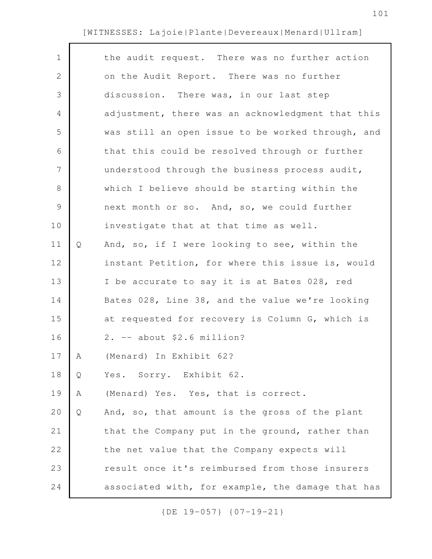| $\mathbf 1$    |   | the audit request. There was no further action    |
|----------------|---|---------------------------------------------------|
| 2              |   | on the Audit Report. There was no further         |
| 3              |   | discussion. There was, in our last step           |
| 4              |   | adjustment, there was an acknowledgment that this |
| 5              |   | was still an open issue to be worked through, and |
| 6              |   | that this could be resolved through or further    |
| $\overline{7}$ |   | understood through the business process audit,    |
| 8              |   | which I believe should be starting within the     |
| 9              |   | next month or so. And, so, we could further       |
| 10             |   | investigate that at that time as well.            |
| 11             | Q | And, so, if I were looking to see, within the     |
| 12             |   | instant Petition, for where this issue is, would  |
| 13             |   | I be accurate to say it is at Bates 028, red      |
| 14             |   | Bates 028, Line 38, and the value we're looking   |
| 15             |   | at requested for recovery is Column G, which is   |
| 16             |   | $2.$ -- about \$2.6 million?                      |
| 17             | A | (Menard) In Exhibit 62?                           |
| 18             | Q | Yes. Sorry. Exhibit 62.                           |
| 19             | Α | (Menard) Yes. Yes, that is correct.               |
| 20             | Q | And, so, that amount is the gross of the plant    |
| 21             |   | that the Company put in the ground, rather than   |
| 22             |   | the net value that the Company expects will       |
| 23             |   | result once it's reimbursed from those insurers   |
| 24             |   | associated with, for example, the damage that has |
|                |   |                                                   |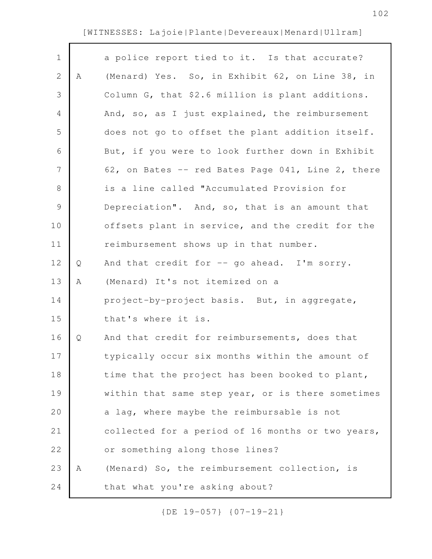| $\mathbf 1$    |   | a police report tied to it. Is that accurate?     |
|----------------|---|---------------------------------------------------|
| $\mathbf{2}$   | Α | (Menard) Yes. So, in Exhibit 62, on Line 38, in   |
| 3              |   | Column G, that \$2.6 million is plant additions.  |
| 4              |   | And, so, as I just explained, the reimbursement   |
| 5              |   | does not go to offset the plant addition itself.  |
| 6              |   | But, if you were to look further down in Exhibit  |
| $\overline{7}$ |   | 62, on Bates -- red Bates Page 041, Line 2, there |
| 8              |   | is a line called "Accumulated Provision for       |
| 9              |   | Depreciation". And, so, that is an amount that    |
| 10             |   | offsets plant in service, and the credit for the  |
| 11             |   | reimbursement shows up in that number.            |
| 12             | Q | And that credit for -- go ahead. I'm sorry.       |
| 13             | Α | (Menard) It's not itemized on a                   |
| 14             |   | project-by-project basis. But, in aggregate,      |
| 15             |   | that's where it is.                               |
| 16             | Q | And that credit for reimbursements, does that     |
| 17             |   | typically occur six months within the amount of   |
| 18             |   | time that the project has been booked to plant,   |
| 19             |   | within that same step year, or is there sometimes |
| 20             |   | a lag, where maybe the reimbursable is not        |
| 21             |   | collected for a period of 16 months or two years, |
| 22             |   | or something along those lines?                   |
| 23             | Α | (Menard) So, the reimbursement collection, is     |
| 24             |   | that what you're asking about?                    |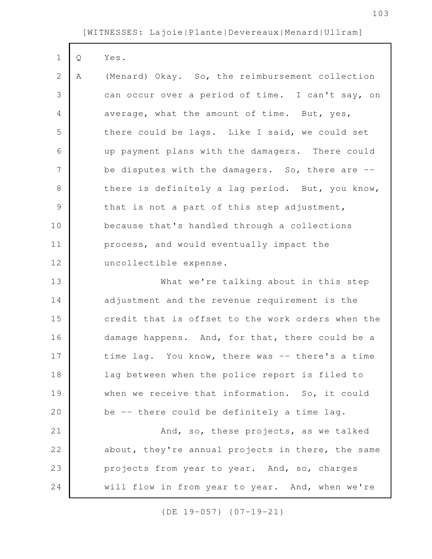| $\mathbf 1$    | Q | Yes.                                              |
|----------------|---|---------------------------------------------------|
| $\mathbf{2}$   | Α | (Menard) Okay. So, the reimbursement collection   |
| 3              |   | can occur over a period of time. I can't say, on  |
| 4              |   | average, what the amount of time. But, yes,       |
| 5              |   | there could be lags. Like I said, we could set    |
| 6              |   | up payment plans with the damagers. There could   |
| $\overline{7}$ |   | be disputes with the damagers. So, there are --   |
| $8\,$          |   | there is definitely a lag period. But, you know,  |
| $\mathcal{G}$  |   | that is not a part of this step adjustment,       |
| 10             |   | because that's handled through a collections      |
| 11             |   | process, and would eventually impact the          |
| 12             |   | uncollectible expense.                            |
| 13             |   | What we're talking about in this step             |
| 14             |   | adjustment and the revenue requirement is the     |
| 15             |   | credit that is offset to the work orders when the |
| 16             |   | damage happens. And, for that, there could be a   |
| 17             |   | time lag. You know, there was -- there's a time   |
| 18             |   | lag between when the police report is filed to    |
| 19             |   | when we receive that information. So, it could    |
| 20             |   | be -- there could be definitely a time lag.       |
| 21             |   | And, so, these projects, as we talked             |
| 22             |   | about, they're annual projects in there, the same |
| 23             |   | projects from year to year. And, so, charges      |
| 24             |   | will flow in from year to year. And, when we're   |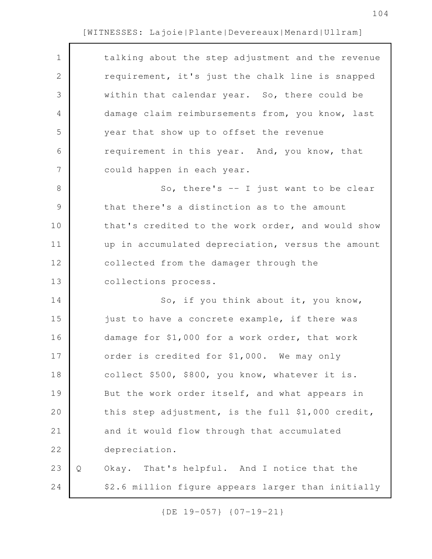| $\mathbf 1$  |   | talking about the step adjustment and the revenue  |
|--------------|---|----------------------------------------------------|
| $\mathbf{2}$ |   | requirement, it's just the chalk line is snapped   |
| 3            |   | within that calendar year. So, there could be      |
| 4            |   | damage claim reimbursements from, you know, last   |
| 5            |   | year that show up to offset the revenue            |
| 6            |   | requirement in this year. And, you know, that      |
| 7            |   | could happen in each year.                         |
| 8            |   | So, there's $-$ I just want to be clear            |
| $\mathsf 9$  |   | that there's a distinction as to the amount        |
| 10           |   | that's credited to the work order, and would show  |
| 11           |   | up in accumulated depreciation, versus the amount  |
| 12           |   | collected from the damager through the             |
| 13           |   | collections process.                               |
| 14           |   | So, if you think about it, you know,               |
| 15           |   | just to have a concrete example, if there was      |
| 16           |   | damage for \$1,000 for a work order, that work     |
| 17           |   | order is credited for \$1,000. We may only         |
| 18           |   | collect \$500, \$800, you know, whatever it is.    |
| 19           |   | But the work order itself, and what appears in     |
| 20           |   | this step adjustment, is the full \$1,000 credit,  |
| 21           |   | and it would flow through that accumulated         |
| 22           |   | depreciation.                                      |
| 23           | Q | Okay. That's helpful. And I notice that the        |
| 24           |   | \$2.6 million figure appears larger than initially |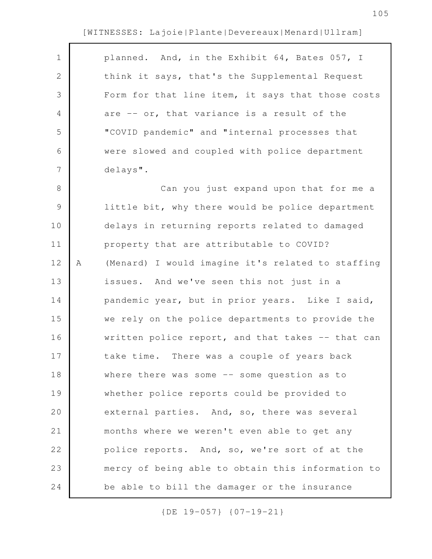| $\mathbf 1$    |   | planned. And, in the Exhibit 64, Bates 057, I     |
|----------------|---|---------------------------------------------------|
| 2              |   | think it says, that's the Supplemental Request    |
| 3              |   | Form for that line item, it says that those costs |
| 4              |   | are -- or, that variance is a result of the       |
| 5              |   | "COVID pandemic" and "internal processes that     |
| 6              |   | were slowed and coupled with police department    |
| $\overline{7}$ |   | delays".                                          |
| 8              |   | Can you just expand upon that for me a            |
| 9              |   | little bit, why there would be police department  |
| 10             |   | delays in returning reports related to damaged    |
| 11             |   | property that are attributable to COVID?          |
| 12             | Α | (Menard) I would imagine it's related to staffing |
| 13             |   | issues. And we've seen this not just in a         |
| 14             |   | pandemic year, but in prior years. Like I said,   |
| 15             |   | we rely on the police departments to provide the  |
| 16             |   | written police report, and that takes -- that can |
| 17             |   | take time. There was a couple of years back       |
| 18             |   | where there was some $-$ some question as to      |
| 19             |   | whether police reports could be provided to       |
| 20             |   | external parties. And, so, there was several      |
| 21             |   | months where we weren't even able to get any      |
| 22             |   | police reports. And, so, we're sort of at the     |
| 23             |   | mercy of being able to obtain this information to |
| 24             |   | be able to bill the damager or the insurance      |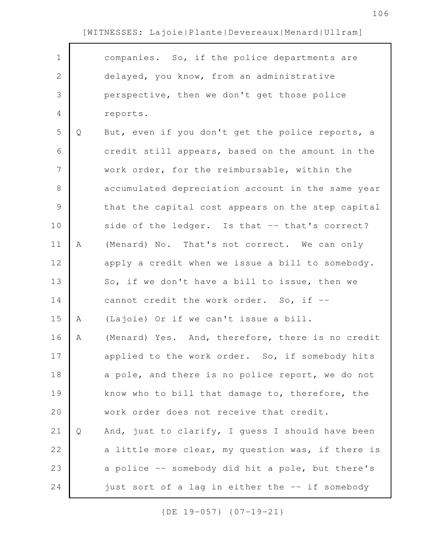| $\mathbf 1$    |   | companies. So, if the police departments are      |
|----------------|---|---------------------------------------------------|
| $\mathbf{2}$   |   | delayed, you know, from an administrative         |
| 3              |   | perspective, then we don't get those police       |
| 4              |   | reports.                                          |
| 5              | Q | But, even if you don't get the police reports, a  |
| 6              |   | credit still appears, based on the amount in the  |
| $7\phantom{.}$ |   | work order, for the reimbursable, within the      |
| $8\,$          |   | accumulated depreciation account in the same year |
| $\mathsf 9$    |   | that the capital cost appears on the step capital |
| 10             |   | side of the ledger. Is that -- that's correct?    |
| 11             | Α | (Menard) No. That's not correct. We can only      |
| 12             |   | apply a credit when we issue a bill to somebody.  |
| 13             |   | So, if we don't have a bill to issue, then we     |
| 14             |   | cannot credit the work order. So, if --           |
| 15             | Α | (Lajoie) Or if we can't issue a bill.             |
| 16             | Α | (Menard) Yes. And, therefore, there is no credit  |
| 17             |   | applied to the work order. So, if somebody hits   |
| 18             |   | a pole, and there is no police report, we do not  |
| 19             |   | know who to bill that damage to, therefore, the   |
| 20             |   | work order does not receive that credit.          |
| 21             | Q | And, just to clarify, I guess I should have been  |
| 22             |   | a little more clear, my question was, if there is |
| 23             |   | a police -- somebody did hit a pole, but there's  |
| 24             |   | just sort of a lag in either the -- if somebody   |
|                |   |                                                   |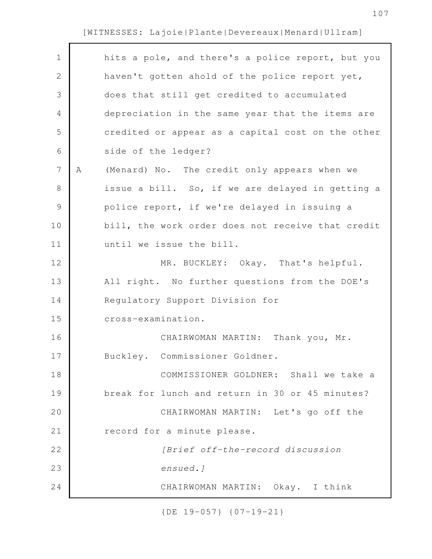| $\mathbf 1$   |   | hits a pole, and there's a police report, but you |
|---------------|---|---------------------------------------------------|
| $\mathbf{2}$  |   | haven't gotten ahold of the police report yet,    |
| 3             |   | does that still get credited to accumulated       |
| 4             |   | depreciation in the same year that the items are  |
| 5             |   | credited or appear as a capital cost on the other |
| 6             |   | side of the ledger?                               |
| 7             | Α | (Menard) No. The credit only appears when we      |
| $8\,$         |   | issue a bill. So, if we are delayed in getting a  |
| $\mathcal{G}$ |   | police report, if we're delayed in issuing a      |
| 10            |   | bill, the work order does not receive that credit |
| 11            |   | until we issue the bill.                          |
| 12            |   | MR. BUCKLEY: Okay. That's helpful.                |
| 13            |   | All right. No further questions from the DOE's    |
| 14            |   | Regulatory Support Division for                   |
| 15            |   | cross-examination.                                |
| 16            |   | CHAIRWOMAN MARTIN:<br>Thank you, Mr.              |
| 17            |   | Buckley. Commissioner Goldner.                    |
| 18            |   | COMMISSIONER GOLDNER: Shall we take a             |
| 19            |   | break for lunch and return in 30 or 45 minutes?   |
| 20            |   | CHAIRWOMAN MARTIN: Let's go off the               |
| 21            |   | record for a minute please.                       |
| 22            |   | [Brief off-the-record discussion                  |
| 23            |   | ensued.]                                          |
| 24            |   | CHAIRWOMAN MARTIN: Okay. I think                  |
|               |   |                                                   |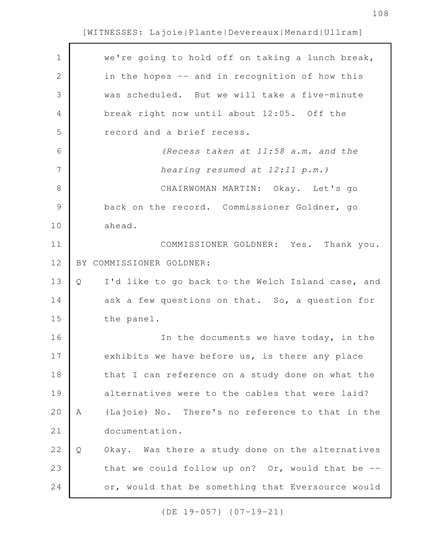| $\mathbf 1$ | we're going to hold off on taking a lunch break,       |
|-------------|--------------------------------------------------------|
| 2           | in the hopes -- and in recognition of how this         |
| 3           | was scheduled. But we will take a five-minute          |
| 4           | break right now until about 12:05. Off the             |
| 5           | record and a brief recess.                             |
| 6           | (Recess taken at 11:58 a.m. and the                    |
| 7           | hearing resumed at 12:11 p.m.)                         |
| 8           | CHAIRWOMAN MARTIN: Okay. Let's go                      |
| 9           | back on the record. Commissioner Goldner, go           |
| 10          | ahead.                                                 |
| 11          | COMMISSIONER GOLDNER: Yes. Thank you.                  |
| 12          | BY COMMISSIONER GOLDNER:                               |
| 13          | I'd like to go back to the Welch Island case, and<br>Q |
| 14          | ask a few questions on that. So, a question for        |
| 15          | the panel.                                             |
| 16          | In the documents we have today, in the                 |
| 17          | exhibits we have before us, is there any place         |
| 18          | that I can reference on a study done on what the       |
| 19          | alternatives were to the cables that were laid?        |
| 20          | (Lajoie) No. There's no reference to that in the<br>Α  |
| 21          | documentation.                                         |
| 22          | Okay. Was there a study done on the alternatives<br>Q  |
| 23          | that we could follow up on? Or, would that be --       |
| 24          | or, would that be something that Eversource would      |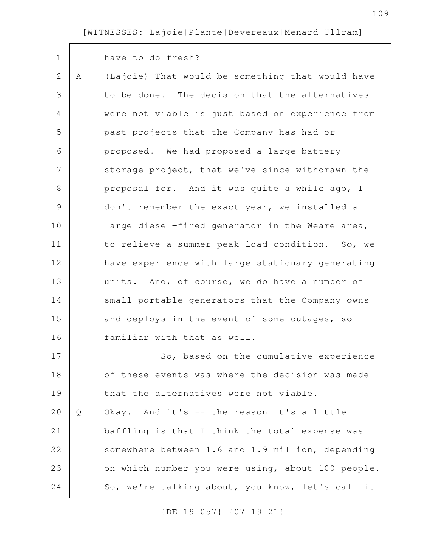| $\mathbf 1$  |   | have to do fresh?                                 |
|--------------|---|---------------------------------------------------|
| $\mathbf{2}$ | Α | (Lajoie) That would be something that would have  |
| 3            |   | to be done. The decision that the alternatives    |
| 4            |   | were not viable is just based on experience from  |
| 5            |   | past projects that the Company has had or         |
| 6            |   | proposed. We had proposed a large battery         |
| 7            |   | storage project, that we've since withdrawn the   |
| 8            |   | proposal for. And it was quite a while ago, I     |
| 9            |   | don't remember the exact year, we installed a     |
| 10           |   | large diesel-fired generator in the Weare area,   |
| 11           |   | to relieve a summer peak load condition. So, we   |
| 12           |   | have experience with large stationary generating  |
| 13           |   | units. And, of course, we do have a number of     |
| 14           |   | small portable generators that the Company owns   |
| 15           |   | and deploys in the event of some outages, so      |
| 16           |   | familiar with that as well.                       |
| 17           |   | So, based on the cumulative experience            |
| 18           |   | of these events was where the decision was made   |
| 19           |   | that the alternatives were not viable.            |
| 20           | Q | Okay. And it's -- the reason it's a little        |
| 21           |   | baffling is that I think the total expense was    |
| 22           |   | somewhere between 1.6 and 1.9 million, depending  |
| 23           |   | on which number you were using, about 100 people. |
| 24           |   | So, we're talking about, you know, let's call it  |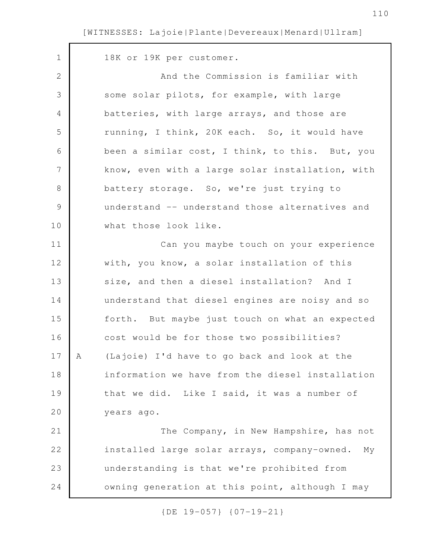18K or 19K per customer. And the Commission is familiar with some solar pilots, for example, with large batteries, with large arrays, and those are running, I think, 20K each. So, it would have been a similar cost, I think, to this. But, you know, even with a large solar installation, with battery storage. So, we're just trying to understand -- understand those alternatives and what those look like. Can you maybe touch on your experience with, you know, a solar installation of this size, and then a diesel installation? And I understand that diesel engines are noisy and so forth. But maybe just touch on what an expected cost would be for those two possibilities? A (Lajoie) I'd have to go back and look at the information we have from the diesel installation that we did. Like I said, it was a number of years ago. The Company, in New Hampshire, has not installed large solar arrays, company-owned. My understanding is that we're prohibited from owning generation at this point, although I may 1 2 3 4 5 6 7 8 9 10 11 12 13 14 15 16 17 18 19 20 21 22 23 24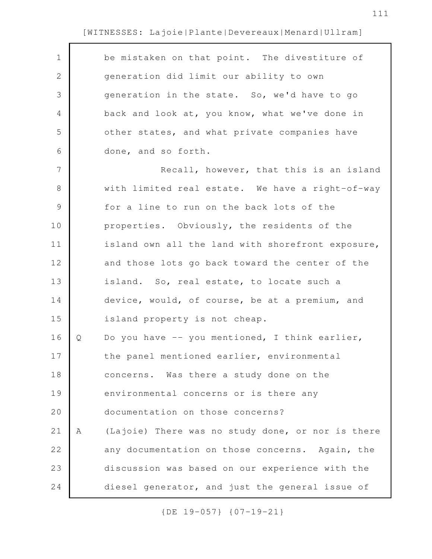| $\mathbf 1$ |   | be mistaken on that point. The divestiture of     |
|-------------|---|---------------------------------------------------|
| 2           |   | generation did limit our ability to own           |
| 3           |   | generation in the state. So, we'd have to go      |
| 4           |   | back and look at, you know, what we've done in    |
| 5           |   | other states, and what private companies have     |
| 6           |   | done, and so forth.                               |
| 7           |   | Recall, however, that this is an island           |
| 8           |   | with limited real estate. We have a right-of-way  |
| 9           |   | for a line to run on the back lots of the         |
| 10          |   | properties. Obviously, the residents of the       |
| 11          |   | island own all the land with shorefront exposure, |
| 12          |   | and those lots go back toward the center of the   |
| 13          |   | island. So, real estate, to locate such a         |
| 14          |   | device, would, of course, be at a premium, and    |
| 15          |   | island property is not cheap.                     |
| 16          | Q | Do you have -- you mentioned, I think earlier,    |
| 17          |   | the panel mentioned earlier, environmental        |
| 18          |   | concerns. Was there a study done on the           |
| 19          |   | environmental concerns or is there any            |
| 20          |   | documentation on those concerns?                  |
| 21          | Α | (Lajoie) There was no study done, or nor is there |
| 22          |   | any documentation on those concerns. Again, the   |
| 23          |   | discussion was based on our experience with the   |
| 24          |   | diesel generator, and just the general issue of   |
|             |   |                                                   |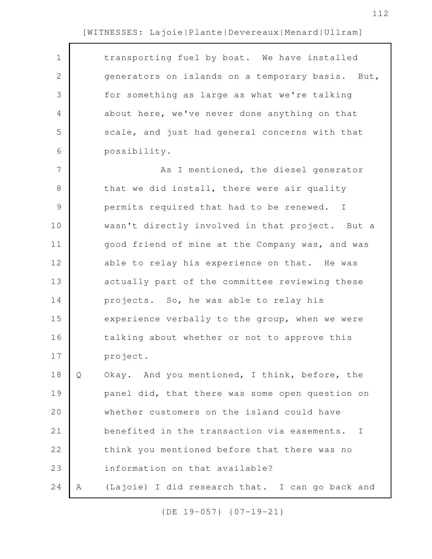| $\mathbf 1$    |   | transporting fuel by boat. We have installed               |
|----------------|---|------------------------------------------------------------|
| $\mathbf{2}$   |   | generators on islands on a temporary basis. But,           |
| 3              |   | for something as large as what we're talking               |
| $\overline{4}$ |   | about here, we've never done anything on that              |
| 5              |   | scale, and just had general concerns with that             |
| 6              |   | possibility.                                               |
| $\overline{7}$ |   | As I mentioned, the diesel generator                       |
| 8              |   | that we did install, there were air quality                |
| $\mathcal{G}$  |   | permits required that had to be renewed. I                 |
| 10             |   | wasn't directly involved in that project. But a            |
| 11             |   | good friend of mine at the Company was, and was            |
| 12             |   | able to relay his experience on that. He was               |
| 13             |   | actually part of the committee reviewing these             |
| 14             |   | projects. So, he was able to relay his                     |
| 15             |   | experience verbally to the group, when we were             |
| 16             |   | talking about whether or not to approve this               |
| 17             |   | project.                                                   |
| 18             | Q | Okay. And you mentioned, I think, before, the              |
| 19             |   | panel did, that there was some open question on            |
| 20             |   | whether customers on the island could have                 |
| 21             |   | benefited in the transaction via easements.<br>$\mathbf I$ |
| 22             |   | think you mentioned before that there was no               |
| 23             |   | information on that available?                             |
| 24             | Α | (Lajoie) I did research that. I can go back and            |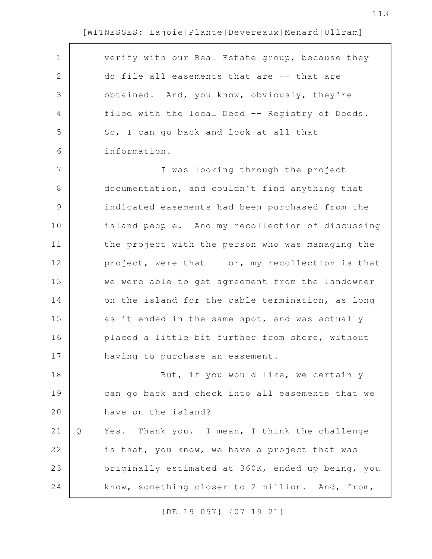| 1             |   | verify with our Real Estate group, because they   |
|---------------|---|---------------------------------------------------|
| 2             |   | do file all easements that are -- that are        |
| 3             |   | obtained. And, you know, obviously, they're       |
| 4             |   | filed with the local Deed -- Registry of Deeds.   |
| 5             |   | So, I can go back and look at all that            |
| 6             |   | information.                                      |
| 7             |   | I was looking through the project                 |
| 8             |   | documentation, and couldn't find anything that    |
| $\mathcal{G}$ |   | indicated easements had been purchased from the   |
| 10            |   | island people. And my recollection of discussing  |
| 11            |   | the project with the person who was managing the  |
| 12            |   | project, were that -- or, my recollection is that |
| 13            |   | we were able to get agreement from the landowner  |
| 14            |   | on the island for the cable termination, as long  |
| 15            |   | as it ended in the same spot, and was actually    |
| 16            |   | placed a little bit further from shore, without   |
| 17            |   | having to purchase an easement.                   |
| 18            |   | But, if you would like, we certainly              |
| 19            |   | can go back and check into all easements that we  |
| 20            |   | have on the island?                               |
| 21            | Q | Yes. Thank you. I mean, I think the challenge     |
| 22            |   | is that, you know, we have a project that was     |
| 23            |   | originally estimated at 360K, ended up being, you |
| 24            |   | know, something closer to 2 million. And, from,   |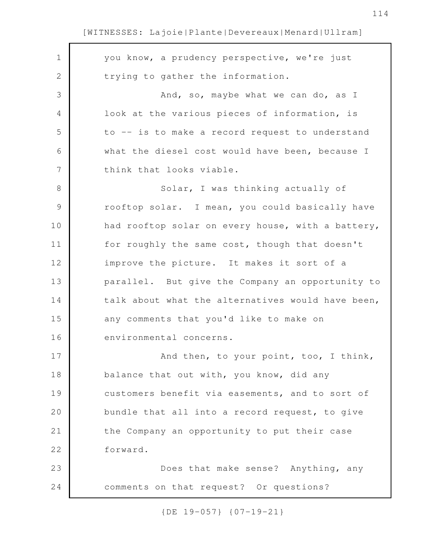| $\mathbf 1$   | you know, a prudency perspective, we're just      |
|---------------|---------------------------------------------------|
| $\mathbf{2}$  | trying to gather the information.                 |
| 3             | And, so, maybe what we can do, as I               |
| 4             | look at the various pieces of information, is     |
| 5             | to -- is to make a record request to understand   |
| 6             | what the diesel cost would have been, because I   |
| 7             | think that looks viable.                          |
| $8\,$         | Solar, I was thinking actually of                 |
| $\mathcal{G}$ | rooftop solar. I mean, you could basically have   |
| 10            | had rooftop solar on every house, with a battery, |
| 11            | for roughly the same cost, though that doesn't    |
| 12            | improve the picture. It makes it sort of a        |
| 13            | parallel. But give the Company an opportunity to  |
| 14            | talk about what the alternatives would have been, |
| 15            | any comments that you'd like to make on           |
| 16            | environmental concerns.                           |
| 17            | And then, to your point, too, I think,            |
| 18            | balance that out with, you know, did any          |
| 19            | customers benefit via easements, and to sort of   |
| 20            | bundle that all into a record request, to give    |
| 21            | the Company an opportunity to put their case      |
| 22            | forward.                                          |
| 23            | Does that make sense? Anything, any               |
| 24            | comments on that request? Or questions?           |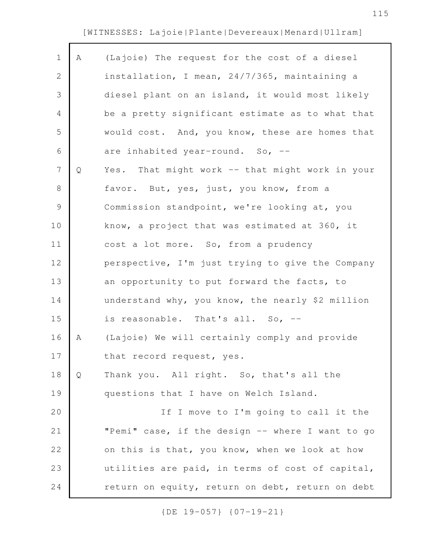$\Gamma$ 

| $\mathbf 1$  | Α | (Lajoie) The request for the cost of a diesel    |
|--------------|---|--------------------------------------------------|
| $\mathbf{2}$ |   | installation, I mean, 24/7/365, maintaining a    |
| 3            |   | diesel plant on an island, it would most likely  |
| 4            |   | be a pretty significant estimate as to what that |
| 5            |   | would cost. And, you know, these are homes that  |
| 6            |   | are inhabited year-round. So, --                 |
| 7            | Q | Yes. That might work -- that might work in your  |
| 8            |   | favor. But, yes, just, you know, from a          |
| 9            |   | Commission standpoint, we're looking at, you     |
| 10           |   | know, a project that was estimated at 360, it    |
| 11           |   | cost a lot more. So, from a prudency             |
| 12           |   | perspective, I'm just trying to give the Company |
| 13           |   | an opportunity to put forward the facts, to      |
| 14           |   | understand why, you know, the nearly \$2 million |
| 15           |   | is reasonable. That's all. So, --                |
| 16           | Α | (Lajoie) We will certainly comply and provide    |
| 17           |   | that record request, yes.                        |
| 18           | Q | Thank you. All right. So, that's all the         |
| 19           |   | questions that I have on Welch Island.           |
| 20           |   | If I move to I'm going to call it the            |
| 21           |   | "Pemi" case, if the design -- where I want to go |
| 22           |   | on this is that, you know, when we look at how   |
| 23           |   | utilities are paid, in terms of cost of capital, |
| 24           |   | return on equity, return on debt, return on debt |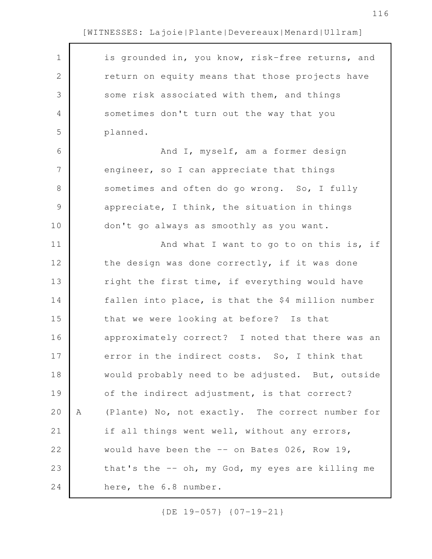| $\mathbf 1$  |   | is grounded in, you know, risk-free returns, and  |
|--------------|---|---------------------------------------------------|
| $\mathbf{2}$ |   | return on equity means that those projects have   |
| 3            |   | some risk associated with them, and things        |
| 4            |   | sometimes don't turn out the way that you         |
| 5            |   | planned.                                          |
| 6            |   | And I, myself, am a former design                 |
| 7            |   | engineer, so I can appreciate that things         |
| 8            |   | sometimes and often do go wrong. So, I fully      |
| 9            |   | appreciate, I think, the situation in things      |
| 10           |   | don't go always as smoothly as you want.          |
| 11           |   | And what I want to go to on this is, if           |
| 12           |   | the design was done correctly, if it was done     |
| 13           |   | right the first time, if everything would have    |
| 14           |   | fallen into place, is that the \$4 million number |
| 15           |   | that we were looking at before? Is that           |
| 16           |   | approximately correct? I noted that there was an  |
| 17           |   | error in the indirect costs. So, I think that     |
| 18           |   | would probably need to be adjusted. But, outside  |
| 19           |   | of the indirect adjustment, is that correct?      |
| 20           | Α | (Plante) No, not exactly. The correct number for  |
| 21           |   | if all things went well, without any errors,      |
| 22           |   | would have been the -- on Bates 026, Row 19,      |
| 23           |   | that's the -- oh, my God, my eyes are killing me  |
| 24           |   | here, the 6.8 number.                             |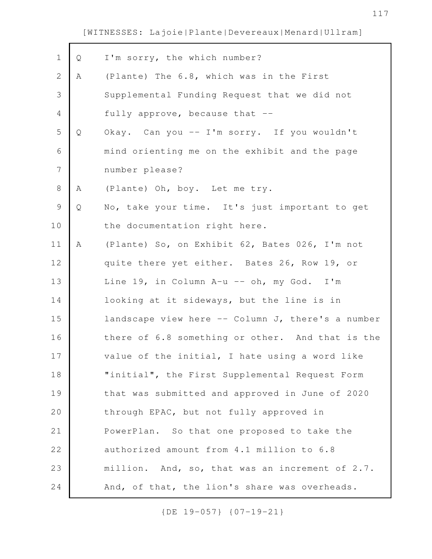| $\mathbf 1$  | Q | I'm sorry, the which number?                      |
|--------------|---|---------------------------------------------------|
| $\mathbf{2}$ | Α | (Plante) The 6.8, which was in the First          |
| 3            |   | Supplemental Funding Request that we did not      |
| 4            |   | fully approve, because that --                    |
| 5            | Q | Okay. Can you -- I'm sorry. If you wouldn't       |
| 6            |   | mind orienting me on the exhibit and the page     |
| 7            |   | number please?                                    |
| 8            | А | (Plante) Oh, boy. Let me try.                     |
| $\mathsf 9$  | Q | No, take your time. It's just important to get    |
| 10           |   | the documentation right here.                     |
| 11           | Α | (Plante) So, on Exhibit 62, Bates 026, I'm not    |
| 12           |   | quite there yet either. Bates 26, Row 19, or      |
| 13           |   | Line 19, in Column A-u -- oh, my God. I'm         |
| 14           |   | looking at it sideways, but the line is in        |
| 15           |   | landscape view here -- Column J, there's a number |
| 16           |   | there of 6.8 something or other. And that is the  |
| 17           |   | value of the initial, I hate using a word like    |
| 18           |   | "initial", the First Supplemental Request Form    |
| 19           |   | that was submitted and approved in June of 2020   |
| 20           |   | through EPAC, but not fully approved in           |
| 21           |   | PowerPlan. So that one proposed to take the       |
| 22           |   | authorized amount from 4.1 million to 6.8         |
| 23           |   | million. And, so, that was an increment of 2.7.   |
| 24           |   | And, of that, the lion's share was overheads.     |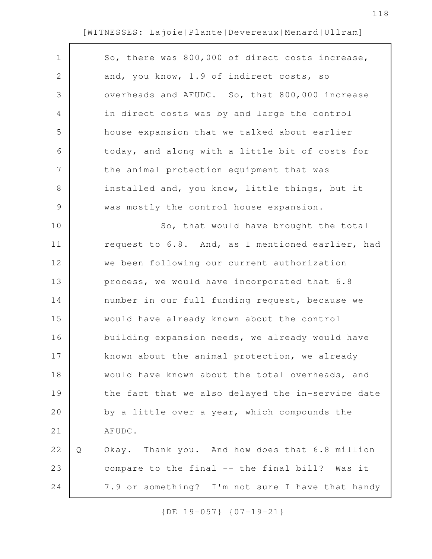| $\mathbf 1$    |   | So, there was 800,000 of direct costs increase,   |
|----------------|---|---------------------------------------------------|
| 2              |   | and, you know, 1.9 of indirect costs, so          |
| 3              |   | overheads and AFUDC. So, that 800,000 increase    |
| 4              |   | in direct costs was by and large the control      |
| 5              |   | house expansion that we talked about earlier      |
| 6              |   | today, and along with a little bit of costs for   |
| $\overline{7}$ |   | the animal protection equipment that was          |
| 8              |   | installed and, you know, little things, but it    |
| 9              |   | was mostly the control house expansion.           |
| 10             |   | So, that would have brought the total             |
| 11             |   | request to 6.8. And, as I mentioned earlier, had  |
| 12             |   | we been following our current authorization       |
| 13             |   | process, we would have incorporated that 6.8      |
| 14             |   | number in our full funding request, because we    |
| 15             |   | would have already known about the control        |
| 16             |   | building expansion needs, we already would have   |
| 17             |   | known about the animal protection, we already     |
| 18             |   | would have known about the total overheads, and   |
| 19             |   | the fact that we also delayed the in-service date |
| 20             |   | by a little over a year, which compounds the      |
| 21             |   | AFUDC.                                            |
| 22             | Q | Okay. Thank you. And how does that 6.8 million    |
| 23             |   | compare to the final -- the final bill? Was it    |
| 24             |   | 7.9 or something? I'm not sure I have that handy  |
|                |   |                                                   |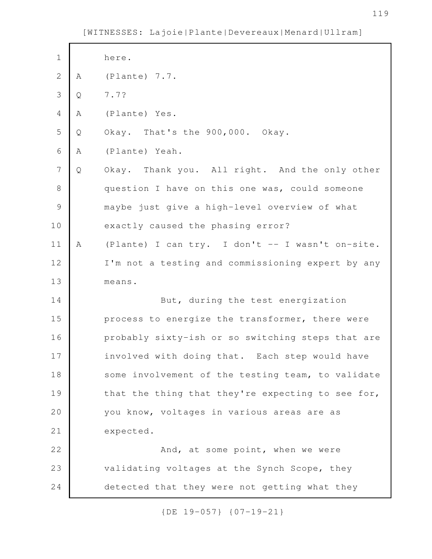| $\mathbf 1$    |   | here.                                             |
|----------------|---|---------------------------------------------------|
| $\mathbf{2}$   | A | (Plante) 7.7.                                     |
| 3              | Q | 7.7?                                              |
| $\overline{4}$ | Α | (Plante) Yes.                                     |
| 5              | Q | Okay. That's the 900,000. Okay.                   |
| 6              | Α | (Plante) Yeah.                                    |
| $\overline{7}$ | Q | Okay. Thank you. All right. And the only other    |
| $8\,$          |   | question I have on this one was, could someone    |
| $\mathcal{G}$  |   | maybe just give a high-level overview of what     |
| 10             |   | exactly caused the phasing error?                 |
| 11             | Α | (Plante) I can try. I don't -- I wasn't on-site.  |
| 12             |   | I'm not a testing and commissioning expert by any |
| 13             |   | means.                                            |
| 14             |   | But, during the test energization                 |
| 15             |   | process to energize the transformer, there were   |
| 16             |   | probably sixty-ish or so switching steps that are |
| 17             |   | involved with doing that. Each step would have    |
| 18             |   | some involvement of the testing team, to validate |
| 19             |   | that the thing that they're expecting to see for, |
| 20             |   | you know, voltages in various areas are as        |
| 21             |   | expected.                                         |
| 22             |   | And, at some point, when we were                  |
| 23             |   | validating voltages at the Synch Scope, they      |
| 24             |   | detected that they were not getting what they     |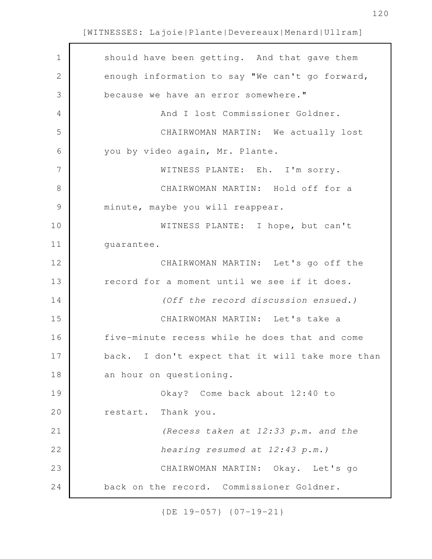| $\mathbf 1$   | should have been getting. And that gave them     |
|---------------|--------------------------------------------------|
| $\mathbf{2}$  | enough information to say "We can't go forward,  |
| 3             | because we have an error somewhere."             |
| 4             | And I lost Commissioner Goldner.                 |
| 5             | CHAIRWOMAN MARTIN: We actually lost              |
| 6             | you by video again, Mr. Plante.                  |
| 7             | WITNESS PLANTE: Eh. I'm sorry.                   |
| 8             | CHAIRWOMAN MARTIN: Hold off for a                |
| $\mathcal{G}$ | minute, maybe you will reappear.                 |
| 10            | WITNESS PLANTE: I hope, but can't                |
| 11            | guarantee.                                       |
| 12            | CHAIRWOMAN MARTIN: Let's go off the              |
| 13            | record for a moment until we see if it does.     |
| 14            | (Off the record discussion ensued.)              |
| 15            | CHAIRWOMAN MARTIN: Let's take a                  |
| 16            | five-minute recess while he does that and come   |
| 17            | back. I don't expect that it will take more than |
| 18            | an hour on questioning.                          |
| 19            | Okay? Come back about 12:40 to                   |
| 20            | restart. Thank you.                              |
| 21            | (Recess taken at 12:33 p.m. and the              |
| 22            | hearing resumed at 12:43 p.m.)                   |
| 23            | CHAIRWOMAN MARTIN: Okay. Let's go                |
| 24            | back on the record. Commissioner Goldner.        |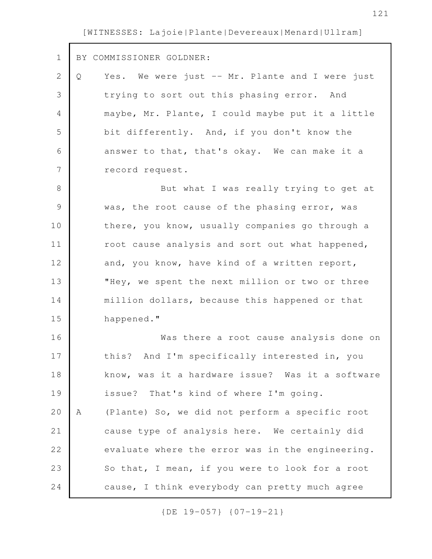| $\mathbf 1$  | BY COMMISSIONER GOLDNER:                             |
|--------------|------------------------------------------------------|
| $\mathbf{2}$ | Yes. We were just -- Mr. Plante and I were just<br>Q |
| 3            | trying to sort out this phasing error. And           |
| 4            | maybe, Mr. Plante, I could maybe put it a little     |
| 5            | bit differently. And, if you don't know the          |
| 6            | answer to that, that's okay. We can make it a        |
| 7            | record request.                                      |
| 8            | But what I was really trying to get at               |
| $\mathsf 9$  | was, the root cause of the phasing error, was        |
| 10           | there, you know, usually companies go through a      |
| 11           | root cause analysis and sort out what happened,      |
| 12           | and, you know, have kind of a written report,        |
| 13           | "Hey, we spent the next million or two or three      |
| 14           | million dollars, because this happened or that       |
| 15           | happened."                                           |
| 16           | Was there a root cause analysis done on              |
| 17           | this? And I'm specifically interested in, you        |
| 18           | know, was it a hardware issue? Was it a software     |
| 19           | issue? That's kind of where I'm going.               |
| 20           | (Plante) So, we did not perform a specific root<br>Α |
| 21           | cause type of analysis here. We certainly did        |
| 22           | evaluate where the error was in the engineering.     |
| 23           | So that, I mean, if you were to look for a root      |
| 24           | cause, I think everybody can pretty much agree       |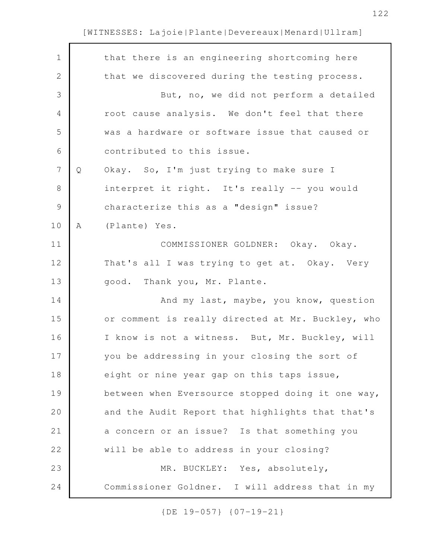| $\mathbf 1$    |   | that there is an engineering shortcoming here     |
|----------------|---|---------------------------------------------------|
| $\mathbf 2$    |   | that we discovered during the testing process.    |
| 3              |   | But, no, we did not perform a detailed            |
| $\overline{4}$ |   | root cause analysis. We don't feel that there     |
| 5              |   | was a hardware or software issue that caused or   |
| 6              |   | contributed to this issue.                        |
| $\overline{7}$ | Q | Okay. So, I'm just trying to make sure I          |
| $\,8\,$        |   | interpret it right. It's really -- you would      |
| $\mathcal{G}$  |   | characterize this as a "design" issue?            |
| 10             | Α | (Plante) Yes.                                     |
| 11             |   | COMMISSIONER GOLDNER: Okay. Okay.                 |
| 12             |   | That's all I was trying to get at. Okay. Very     |
| 13             |   | good. Thank you, Mr. Plante.                      |
| 14             |   | And my last, maybe, you know, question            |
| 15             |   | or comment is really directed at Mr. Buckley, who |
| 16             |   | I know is not a witness. But, Mr. Buckley, will   |
| 17             |   | you be addressing in your closing the sort of     |
| 18             |   | eight or nine year gap on this taps issue,        |
| 19             |   | between when Eversource stopped doing it one way, |
| 20             |   | and the Audit Report that highlights that that's  |
| 21             |   | a concern or an issue? Is that something you      |
| 22             |   | will be able to address in your closing?          |
| 23             |   | MR. BUCKLEY: Yes, absolutely,                     |
| 24             |   | Commissioner Goldner. I will address that in my   |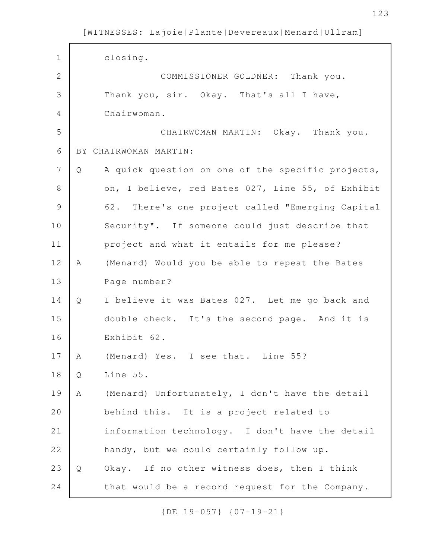| $\mathbf 1$   |   | closing.                                          |
|---------------|---|---------------------------------------------------|
| $\mathbf{2}$  |   | COMMISSIONER GOLDNER: Thank you.                  |
| 3             |   | Thank you, sir. Okay. That's all I have,          |
| 4             |   | Chairwoman.                                       |
| 5             |   | CHAIRWOMAN MARTIN: Okay. Thank you.               |
| 6             |   | BY CHAIRWOMAN MARTIN:                             |
| 7             | Q | A quick question on one of the specific projects, |
| $8\,$         |   | on, I believe, red Bates 027, Line 55, of Exhibit |
| $\mathcal{G}$ |   | 62. There's one project called "Emerging Capital  |
| 10            |   | Security". If someone could just describe that    |
| 11            |   | project and what it entails for me please?        |
| 12            | A | (Menard) Would you be able to repeat the Bates    |
| 13            |   | Page number?                                      |
| 14            | Q | I believe it was Bates 027. Let me go back and    |
| 15            |   | double check. It's the second page. And it is     |
| 16            |   | Exhibit 62.                                       |
| 17            | Α | (Menard) Yes. I see that. Line 55?                |
| 18            | Q | Line 55.                                          |
| 19            | Α | (Menard) Unfortunately, I don't have the detail   |
| 20            |   | behind this. It is a project related to           |
| 21            |   | information technology. I don't have the detail   |
| 22            |   | handy, but we could certainly follow up.          |
| 23            | Q | Okay. If no other witness does, then I think      |
| 24            |   | that would be a record request for the Company.   |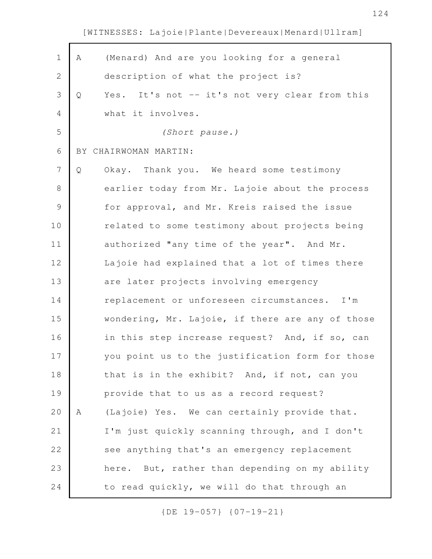| Α | (Menard) And are you looking for a general       |
|---|--------------------------------------------------|
|   | description of what the project is?              |
| Q | Yes. It's not -- it's not very clear from this   |
|   | what it involves.                                |
|   | (Short pause.)                                   |
|   | BY CHAIRWOMAN MARTIN:                            |
| Q | Okay. Thank you. We heard some testimony         |
|   | earlier today from Mr. Lajoie about the process  |
|   | for approval, and Mr. Kreis raised the issue     |
|   | related to some testimony about projects being   |
|   | authorized "any time of the year". And Mr.       |
|   | Lajoie had explained that a lot of times there   |
|   | are later projects involving emergency           |
|   | replacement or unforeseen circumstances. I'm     |
|   | wondering, Mr. Lajoie, if there are any of those |
|   | in this step increase request? And, if so, can   |
|   | you point us to the justification form for those |
|   | that is in the exhibit? And, if not, can you     |
|   | provide that to us as a record request?          |
| Α | (Lajoie) Yes. We can certainly provide that.     |
|   | I'm just quickly scanning through, and I don't   |
|   | see anything that's an emergency replacement     |
|   | here. But, rather than depending on my ability   |
|   | to read quickly, we will do that through an      |
|   |                                                  |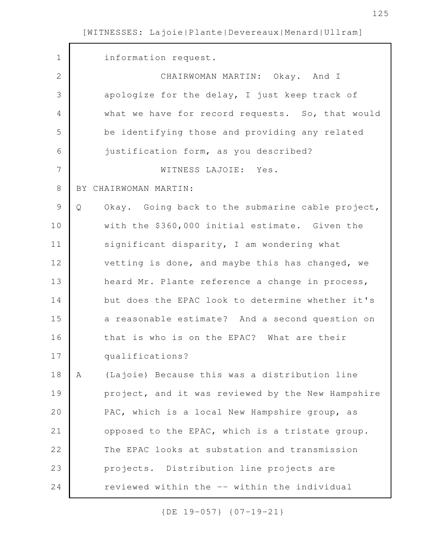$\Gamma$ 

| $\mathbf 1$  | information request.                                  |
|--------------|-------------------------------------------------------|
| $\mathbf{2}$ | CHAIRWOMAN MARTIN: Okay. And I                        |
| 3            | apologize for the delay, I just keep track of         |
| 4            | what we have for record requests. So, that would      |
| 5            | be identifying those and providing any related        |
| 6            | justification form, as you described?                 |
| 7            | WITNESS LAJOIE: Yes.                                  |
| 8            | BY CHAIRWOMAN MARTIN:                                 |
| $\mathsf 9$  | Okay. Going back to the submarine cable project,<br>Q |
| 10           | with the \$360,000 initial estimate. Given the        |
| 11           | significant disparity, I am wondering what            |
| 12           | vetting is done, and maybe this has changed, we       |
| 13           | heard Mr. Plante reference a change in process,       |
| 14           | but does the EPAC look to determine whether it's      |
| 15           | a reasonable estimate? And a second question on       |
| 16           | that is who is on the EPAC? What are their            |
| 17           | qualifications?                                       |
| 18           | (Lajoie) Because this was a distribution line<br>Α    |
| 19           | project, and it was reviewed by the New Hampshire     |
| 20           | PAC, which is a local New Hampshire group, as         |
| 21           | opposed to the EPAC, which is a tristate group.       |
| 22           | The EPAC looks at substation and transmission         |
| 23           | projects. Distribution line projects are              |
| 24           | reviewed within the -- within the individual          |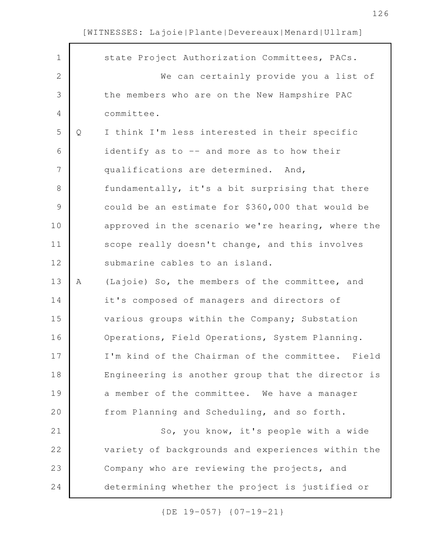| $\mathbf 1$ |   | state Project Authorization Committees, PACs.     |
|-------------|---|---------------------------------------------------|
| $\mathbf 2$ |   | We can certainly provide you a list of            |
| 3           |   | the members who are on the New Hampshire PAC      |
| 4           |   | committee.                                        |
| 5           | Q | I think I'm less interested in their specific     |
| 6           |   | identify as to -- and more as to how their        |
| 7           |   | qualifications are determined. And,               |
| 8           |   | fundamentally, it's a bit surprising that there   |
| $\mathsf 9$ |   | could be an estimate for \$360,000 that would be  |
| 10          |   | approved in the scenario we're hearing, where the |
| 11          |   | scope really doesn't change, and this involves    |
| 12          |   | submarine cables to an island.                    |
| 13          | Α | (Lajoie) So, the members of the committee, and    |
| 14          |   | it's composed of managers and directors of        |
| 15          |   | various groups within the Company; Substation     |
| 16          |   | Operations, Field Operations, System Planning.    |
| 17          |   | I'm kind of the Chairman of the committee. Field  |
| 18          |   | Engineering is another group that the director is |
| 19          |   | a member of the committee. We have a manager      |
| 20          |   | from Planning and Scheduling, and so forth.       |
| 21          |   | So, you know, it's people with a wide             |
| 22          |   | variety of backgrounds and experiences within the |
| 23          |   | Company who are reviewing the projects, and       |
| 24          |   | determining whether the project is justified or   |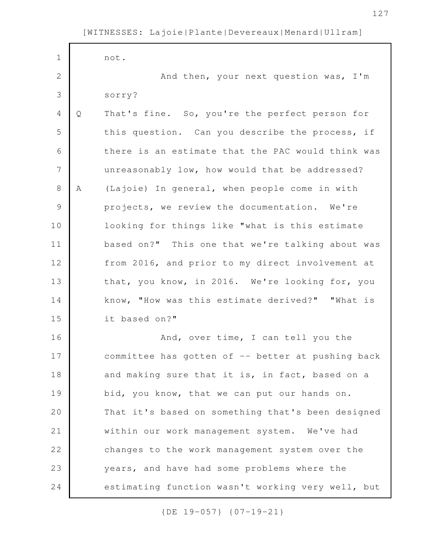| $\mathbf 1$ |              | not.                                              |
|-------------|--------------|---------------------------------------------------|
| 2           |              | And then, your next question was, I'm             |
| 3           |              | sorry?                                            |
| 4           | $\mathsf{Q}$ | That's fine. So, you're the perfect person for    |
| 5           |              | this question. Can you describe the process, if   |
| 6           |              | there is an estimate that the PAC would think was |
| 7           |              | unreasonably low, how would that be addressed?    |
| 8           | Α            | (Lajoie) In general, when people come in with     |
| $\mathsf 9$ |              | projects, we review the documentation. We're      |
| 10          |              | looking for things like "what is this estimate    |
| 11          |              | based on?" This one that we're talking about was  |
| 12          |              | from 2016, and prior to my direct involvement at  |
| 13          |              | that, you know, in 2016. We're looking for, you   |
| 14          |              | know, "How was this estimate derived?" "What is   |
| 15          |              | it based on?"                                     |
| 16          |              | And, over time, I can tell you the                |
| 17          |              | committee has gotten of -- better at pushing back |
| 18          |              | and making sure that it is, in fact, based on a   |
| 19          |              | bid, you know, that we can put our hands on.      |
| 20          |              | That it's based on something that's been designed |
| 21          |              | within our work management system. We've had      |
| 22          |              | changes to the work management system over the    |
| 23          |              | years, and have had some problems where the       |
| 24          |              | estimating function wasn't working very well, but |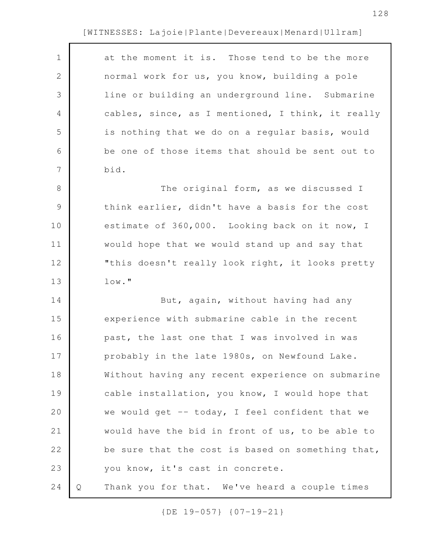| $\mathbf 1$    |   | at the moment it is. Those tend to be the more    |
|----------------|---|---------------------------------------------------|
| $\mathbf{2}$   |   | normal work for us, you know, building a pole     |
| 3              |   | line or building an underground line. Submarine   |
| 4              |   | cables, since, as I mentioned, I think, it really |
| 5              |   | is nothing that we do on a regular basis, would   |
| 6              |   | be one of those items that should be sent out to  |
| $\overline{7}$ |   | bid.                                              |
| 8              |   | The original form, as we discussed I              |
| $\mathcal{G}$  |   | think earlier, didn't have a basis for the cost   |
| 10             |   | estimate of 360,000. Looking back on it now, I    |
| 11             |   | would hope that we would stand up and say that    |
| 12             |   | "this doesn't really look right, it looks pretty  |
| 13             |   | $low.$ "                                          |
| 14             |   | But, again, without having had any                |
| 15             |   | experience with submarine cable in the recent     |
| 16             |   | past, the last one that I was involved in was     |
| 17             |   | probably in the late 1980s, on Newfound Lake.     |
| 18             |   | Without having any recent experience on submarine |
| 19             |   | cable installation, you know, I would hope that   |
| 20             |   | we would get -- today, I feel confident that we   |
| 21             |   | would have the bid in front of us, to be able to  |
| 22             |   | be sure that the cost is based on something that, |
| 23             |   | you know, it's cast in concrete.                  |
| 24             | Q | Thank you for that. We've heard a couple times    |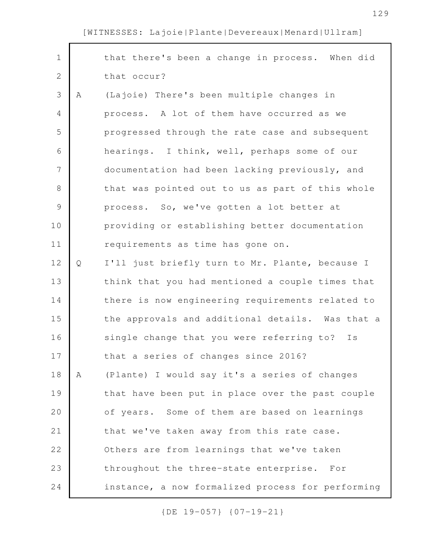| $\mathbf 1$    |   | that there's been a change in process. When did       |
|----------------|---|-------------------------------------------------------|
| $\mathbf{2}$   |   | that occur?                                           |
| 3              | A | (Lajoie) There's been multiple changes in             |
| $\overline{4}$ |   | process. A lot of them have occurred as we            |
| 5              |   | progressed through the rate case and subsequent       |
| 6              |   | hearings. I think, well, perhaps some of our          |
| 7              |   | documentation had been lacking previously, and        |
| 8              |   | that was pointed out to us as part of this whole      |
| $\mathsf 9$    |   | process. So, we've gotten a lot better at             |
| 10             |   | providing or establishing better documentation        |
| 11             |   | requirements as time has gone on.                     |
| 12             | Q | I'll just briefly turn to Mr. Plante, because I       |
| 13             |   | think that you had mentioned a couple times that      |
| 14             |   | there is now engineering requirements related to      |
| 15             |   | the approvals and additional details. Was that a      |
| 16             |   | single change that you were referring to?<br>Is       |
| 17             |   | that a series of changes since 2016?                  |
| 18             | Α | (Plante) I would say it's a series of changes         |
| 19             |   | that have been put in place over the past couple      |
| 20             |   | of years. Some of them are based on learnings         |
| 21             |   | that we've taken away from this rate case.            |
| 22             |   | Others are from learnings that we've taken            |
| 23             |   | throughout the three-state enterprise.<br>$F \circ r$ |
| 24             |   | instance, a now formalized process for performing     |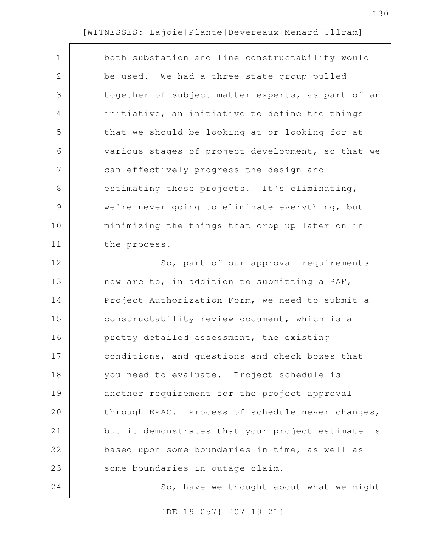| $\mathbf 1$  | both substation and line constructability would   |
|--------------|---------------------------------------------------|
| $\mathbf{2}$ | be used. We had a three-state group pulled        |
| 3            | together of subject matter experts, as part of an |
| 4            | initiative, an initiative to define the things    |
| 5            | that we should be looking at or looking for at    |
| 6            | various stages of project development, so that we |
| 7            | can effectively progress the design and           |
| 8            | estimating those projects. It's eliminating,      |
| 9            | we're never going to eliminate everything, but    |
| 10           | minimizing the things that crop up later on in    |
| 11           | the process.                                      |
| 12           | So, part of our approval requirements             |
| 13           | now are to, in addition to submitting a PAF,      |
| 14           | Project Authorization Form, we need to submit a   |
| 15           | constructability review document, which is a      |
| 16           | pretty detailed assessment, the existing          |
| 17           | conditions, and questions and check boxes that    |
| 18           | you need to evaluate. Project schedule is         |
| 19           | another requirement for the project approval      |
| 20           | through EPAC. Process of schedule never changes,  |
| 21           | but it demonstrates that your project estimate is |
| 22           | based upon some boundaries in time, as well as    |
| 23           | some boundaries in outage claim.                  |
| 24           | So, have we thought about what we might           |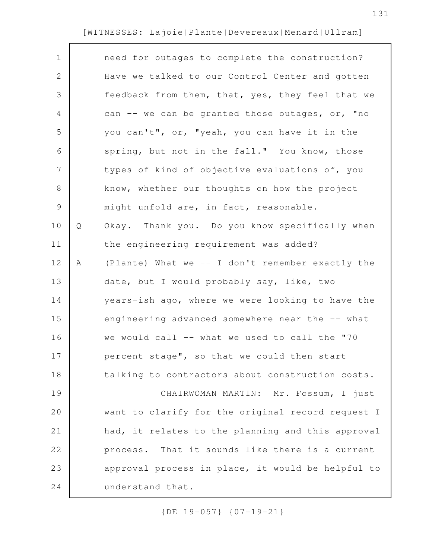| $\mathbf 1$ |   | need for outages to complete the construction?    |
|-------------|---|---------------------------------------------------|
| 2           |   | Have we talked to our Control Center and gotten   |
| 3           |   | feedback from them, that, yes, they feel that we  |
| 4           |   | can -- we can be granted those outages, or, "no   |
| 5           |   | you can't", or, "yeah, you can have it in the     |
| 6           |   | spring, but not in the fall." You know, those     |
| 7           |   | types of kind of objective evaluations of, you    |
| 8           |   | know, whether our thoughts on how the project     |
| 9           |   | might unfold are, in fact, reasonable.            |
| 10          | Q | Okay. Thank you. Do you know specifically when    |
| 11          |   | the engineering requirement was added?            |
| 12          | Α | (Plante) What we -- I don't remember exactly the  |
| 13          |   | date, but I would probably say, like, two         |
| 14          |   | years-ish ago, where we were looking to have the  |
| 15          |   | engineering advanced somewhere near the -- what   |
| 16          |   | we would call -- what we used to call the "70     |
| 17          |   | percent stage", so that we could then start       |
| 18          |   | talking to contractors about construction costs.  |
| 19          |   | CHAIRWOMAN MARTIN: Mr. Fossum, I just             |
| 20          |   | want to clarify for the original record request I |
| 21          |   | had, it relates to the planning and this approval |
| 22          |   | process. That it sounds like there is a current   |
| 23          |   | approval process in place, it would be helpful to |
| 24          |   | understand that.                                  |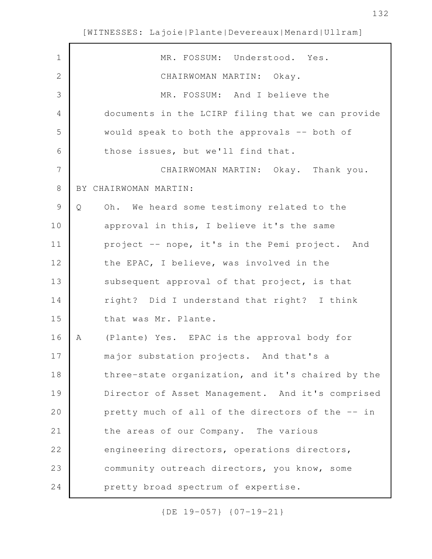| $\mathbf 1$    | MR. FOSSUM: Understood. Yes.                      |
|----------------|---------------------------------------------------|
| $\overline{2}$ | CHAIRWOMAN MARTIN: Okay.                          |
| 3              | MR. FOSSUM: And I believe the                     |
| 4              | documents in the LCIRP filing that we can provide |
| 5              | would speak to both the approvals -- both of      |
| 6              | those issues, but we'll find that.                |
| $\overline{7}$ | CHAIRWOMAN MARTIN: Okay. Thank you.               |
| $8\,$          | BY CHAIRWOMAN MARTIN:                             |
| $\mathcal{G}$  | Oh. We heard some testimony related to the<br>Q   |
| 10             | approval in this, I believe it's the same         |
| 11             | project -- nope, it's in the Pemi project. And    |
| 12             | the EPAC, I believe, was involved in the          |
| 13             | subsequent approval of that project, is that      |
| 14             | right? Did I understand that right? I think       |
| 15             | that was Mr. Plante.                              |
| 16             | (Plante) Yes. EPAC is the approval body for<br>A  |
| 17             | major substation projects. And that's a           |
| 18             | three-state organization, and it's chaired by the |
| 19             | Director of Asset Management. And it's comprised  |
| 20             | pretty much of all of the directors of the -- in  |
| 21             | the areas of our Company. The various             |
| 22             | engineering directors, operations directors,      |
| 23             | community outreach directors, you know, some      |
| 24             | pretty broad spectrum of expertise.               |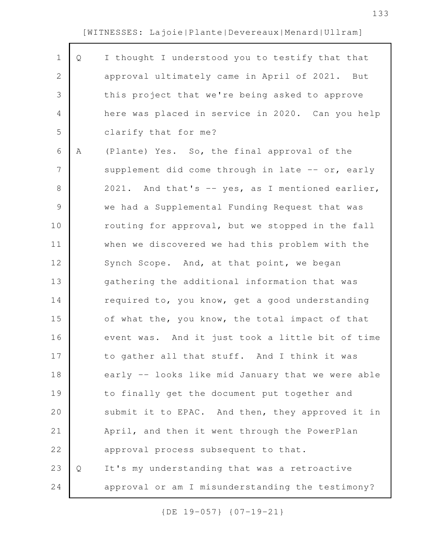| Q | I thought I understood you to testify that that   |
|---|---------------------------------------------------|
|   | approval ultimately came in April of 2021. But    |
|   | this project that we're being asked to approve    |
|   | here was placed in service in 2020. Can you help  |
|   | clarify that for me?                              |
| Α | (Plante) Yes. So, the final approval of the       |
|   | supplement did come through in late -- or, early  |
|   | 2021. And that's -- yes, as I mentioned earlier,  |
|   | we had a Supplemental Funding Request that was    |
|   | routing for approval, but we stopped in the fall  |
|   | when we discovered we had this problem with the   |
|   | Synch Scope. And, at that point, we began         |
|   | gathering the additional information that was     |
|   | required to, you know, get a good understanding   |
|   | of what the, you know, the total impact of that   |
|   | event was. And it just took a little bit of time  |
|   | to gather all that stuff. And I think it was      |
|   | early -- looks like mid January that we were able |
|   | to finally get the document put together and      |
|   | submit it to EPAC. And then, they approved it in  |
|   | April, and then it went through the PowerPlan     |
|   | approval process subsequent to that.              |
| Q | It's my understanding that was a retroactive      |
|   | approval or am I misunderstanding the testimony?  |
|   |                                                   |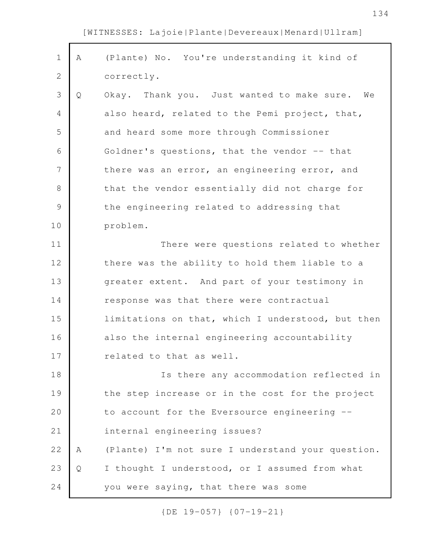| $\mathbf 1$    | Α | (Plante) No. You're understanding it kind of      |
|----------------|---|---------------------------------------------------|
| $\mathbf{2}$   |   | correctly.                                        |
| 3              | Q | Okay. Thank you. Just wanted to make sure. We     |
| $\overline{4}$ |   | also heard, related to the Pemi project, that,    |
| 5              |   | and heard some more through Commissioner          |
| 6              |   | Goldner's questions, that the vendor -- that      |
| 7              |   | there was an error, an engineering error, and     |
| $\,8\,$        |   | that the vendor essentially did not charge for    |
| $\mathsf 9$    |   | the engineering related to addressing that        |
| 10             |   | problem.                                          |
| 11             |   | There were questions related to whether           |
| 12             |   | there was the ability to hold them liable to a    |
| 13             |   | greater extent. And part of your testimony in     |
| 14             |   | response was that there were contractual          |
| 15             |   | limitations on that, which I understood, but then |
| 16             |   | also the internal engineering accountability      |
| 17             |   | related to that as well.                          |
| 18             |   | Is there any accommodation reflected in           |
| 19             |   | the step increase or in the cost for the project  |
| 20             |   | to account for the Eversource engineering --      |
| 21             |   | internal engineering issues?                      |
| 22             | Α | (Plante) I'm not sure I understand your question. |
| 23             | Q | I thought I understood, or I assumed from what    |
| 24             |   | you were saying, that there was some              |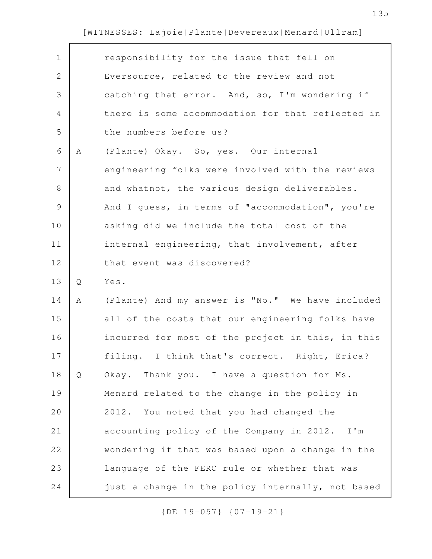| $\mathbf 1$    |   | responsibility for the issue that fell on         |
|----------------|---|---------------------------------------------------|
| $\sqrt{2}$     |   | Eversource, related to the review and not         |
| 3              |   | catching that error. And, so, I'm wondering if    |
| $\overline{4}$ |   | there is some accommodation for that reflected in |
| 5              |   | the numbers before us?                            |
| 6              | Α | (Plante) Okay. So, yes. Our internal              |
| $\overline{7}$ |   | engineering folks were involved with the reviews  |
| $\,8\,$        |   | and whatnot, the various design deliverables.     |
| $\mathcal{G}$  |   | And I guess, in terms of "accommodation", you're  |
| 10             |   | asking did we include the total cost of the       |
| 11             |   | internal engineering, that involvement, after     |
| 12             |   | that event was discovered?                        |
| 13             | Q | Yes.                                              |
|                |   |                                                   |
| 14             | A | (Plante) And my answer is "No." We have included  |
| 15             |   | all of the costs that our engineering folks have  |
| 16             |   | incurred for most of the project in this, in this |
| 17             |   | filing. I think that's correct. Right, Erica?     |
| 18             | Q | Okay. Thank you. I have a question for Ms.        |
| 19             |   | Menard related to the change in the policy in     |
| 20             |   | 2012. You noted that you had changed the          |
| 21             |   | accounting policy of the Company in 2012. I'm     |
| 22             |   | wondering if that was based upon a change in the  |
| 23             |   | language of the FERC rule or whether that was     |
| 24             |   | just a change in the policy internally, not based |
|                |   |                                                   |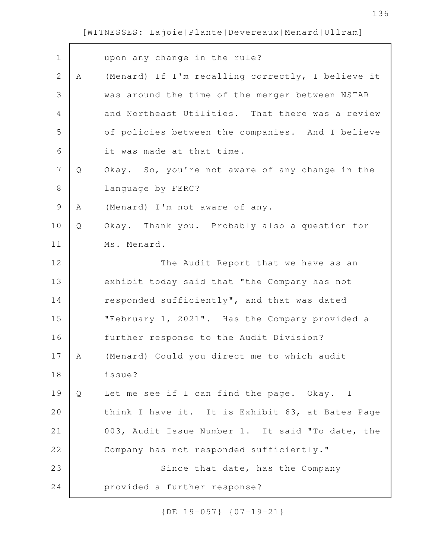| $\mathbf 1$    |   | upon any change in the rule?                      |
|----------------|---|---------------------------------------------------|
| $\mathbf{2}$   | A | (Menard) If I'm recalling correctly, I believe it |
| 3              |   | was around the time of the merger between NSTAR   |
| 4              |   | and Northeast Utilities. That there was a review  |
| 5              |   | of policies between the companies. And I believe  |
| 6              |   | it was made at that time.                         |
| $7\phantom{.}$ | Q | Okay. So, you're not aware of any change in the   |
| 8              |   | language by FERC?                                 |
| $\mathsf 9$    | Α | (Menard) I'm not aware of any.                    |
| 10             | Q | Okay. Thank you. Probably also a question for     |
| 11             |   | Ms. Menard.                                       |
| 12             |   | The Audit Report that we have as an               |
| 13             |   | exhibit today said that "the Company has not      |
| 14             |   | responded sufficiently", and that was dated       |
| 15             |   | "February 1, 2021". Has the Company provided a    |
| 16             |   | further response to the Audit Division?           |
| 17             | Α | (Menard) Could you direct me to which audit       |
| 18             |   | issue?                                            |
| 19             | Q | Let me see if I can find the page. Okay. I        |
| 20             |   | think I have it. It is Exhibit 63, at Bates Page  |
| 21             |   | 003, Audit Issue Number 1. It said "To date, the  |
| 22             |   | Company has not responded sufficiently."          |
| 23             |   | Since that date, has the Company                  |
| 24             |   | provided a further response?                      |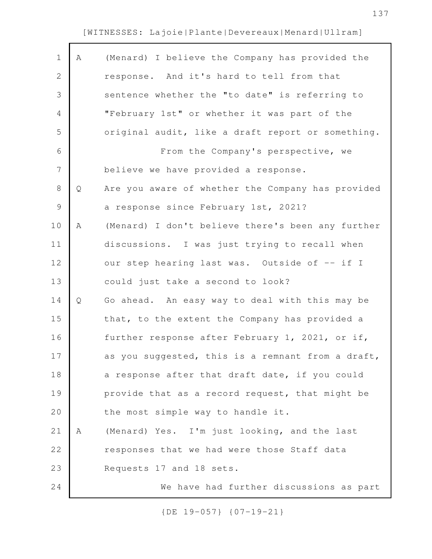| $\mathbf 1$    | Α | (Menard) I believe the Company has provided the   |
|----------------|---|---------------------------------------------------|
| $\mathbf{2}$   |   | response. And it's hard to tell from that         |
| 3              |   | sentence whether the "to date" is referring to    |
| 4              |   | "February 1st" or whether it was part of the      |
| 5              |   | original audit, like a draft report or something. |
| 6              |   | From the Company's perspective, we                |
| $\overline{7}$ |   | believe we have provided a response.              |
| 8              | Q | Are you aware of whether the Company has provided |
| $\mathcal{G}$  |   | a response since February 1st, 2021?              |
| 10             | Α | (Menard) I don't believe there's been any further |
| 11             |   | discussions. I was just trying to recall when     |
| 12             |   | our step hearing last was. Outside of -- if I     |
| 13             |   | could just take a second to look?                 |
| 14             | Q | Go ahead. An easy way to deal with this may be    |
| 15             |   | that, to the extent the Company has provided a    |
| 16             |   | further response after February 1, 2021, or if,   |
| 17             |   | as you suggested, this is a remnant from a draft, |
| 18             |   | a response after that draft date, if you could    |
| 19             |   | provide that as a record request, that might be   |
| 20             |   | the most simple way to handle it.                 |
| 21             | Α | (Menard) Yes. I'm just looking, and the last      |
| 22             |   | responses that we had were those Staff data       |
| 23             |   | Requests 17 and 18 sets.                          |
| 24             |   | We have had further discussions as part           |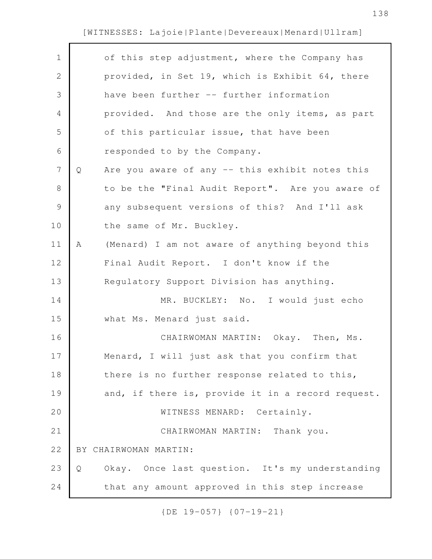| $\mathbf 1$<br>of this step adjustment, where the Company has<br>$\mathbf{2}$<br>provided, in Set 19, which is Exhibit 64, there<br>3<br>have been further -- further information<br>4<br>provided. And those are the only items, as part<br>5<br>of this particular issue, that have been<br>6<br>responded to by the Company.<br>$\overline{7}$<br>Are you aware of any -- this exhibit notes this<br>Q<br>$\,8\,$<br>to be the "Final Audit Report". Are you aware of<br>$\mathcal{G}$<br>any subsequent versions of this? And I'll ask<br>10<br>the same of Mr. Buckley.<br>11<br>(Menard) I am not aware of anything beyond this<br>Α<br>12<br>Final Audit Report. I don't know if the<br>13<br>Regulatory Support Division has anything.<br>14<br>MR. BUCKLEY: No. I would just echo<br>15<br>what Ms. Menard just said.<br>16<br>CHAIRWOMAN MARTIN: Okay. Then, Ms.<br>17<br>Menard, I will just ask that you confirm that<br>18<br>there is no further response related to this,<br>19<br>and, if there is, provide it in a record request.<br>20<br>WITNESS MENARD: Certainly.<br>21<br>CHAIRWOMAN MARTIN: Thank you.<br>22<br>BY CHAIRWOMAN MARTIN:<br>Okay. Once last question. It's my understanding<br>23<br>Q<br>24<br>that any amount approved in this step increase |  |  |
|-------------------------------------------------------------------------------------------------------------------------------------------------------------------------------------------------------------------------------------------------------------------------------------------------------------------------------------------------------------------------------------------------------------------------------------------------------------------------------------------------------------------------------------------------------------------------------------------------------------------------------------------------------------------------------------------------------------------------------------------------------------------------------------------------------------------------------------------------------------------------------------------------------------------------------------------------------------------------------------------------------------------------------------------------------------------------------------------------------------------------------------------------------------------------------------------------------------------------------------------------------------------------------------|--|--|
|                                                                                                                                                                                                                                                                                                                                                                                                                                                                                                                                                                                                                                                                                                                                                                                                                                                                                                                                                                                                                                                                                                                                                                                                                                                                                     |  |  |
|                                                                                                                                                                                                                                                                                                                                                                                                                                                                                                                                                                                                                                                                                                                                                                                                                                                                                                                                                                                                                                                                                                                                                                                                                                                                                     |  |  |
|                                                                                                                                                                                                                                                                                                                                                                                                                                                                                                                                                                                                                                                                                                                                                                                                                                                                                                                                                                                                                                                                                                                                                                                                                                                                                     |  |  |
|                                                                                                                                                                                                                                                                                                                                                                                                                                                                                                                                                                                                                                                                                                                                                                                                                                                                                                                                                                                                                                                                                                                                                                                                                                                                                     |  |  |
|                                                                                                                                                                                                                                                                                                                                                                                                                                                                                                                                                                                                                                                                                                                                                                                                                                                                                                                                                                                                                                                                                                                                                                                                                                                                                     |  |  |
|                                                                                                                                                                                                                                                                                                                                                                                                                                                                                                                                                                                                                                                                                                                                                                                                                                                                                                                                                                                                                                                                                                                                                                                                                                                                                     |  |  |
|                                                                                                                                                                                                                                                                                                                                                                                                                                                                                                                                                                                                                                                                                                                                                                                                                                                                                                                                                                                                                                                                                                                                                                                                                                                                                     |  |  |
|                                                                                                                                                                                                                                                                                                                                                                                                                                                                                                                                                                                                                                                                                                                                                                                                                                                                                                                                                                                                                                                                                                                                                                                                                                                                                     |  |  |
|                                                                                                                                                                                                                                                                                                                                                                                                                                                                                                                                                                                                                                                                                                                                                                                                                                                                                                                                                                                                                                                                                                                                                                                                                                                                                     |  |  |
|                                                                                                                                                                                                                                                                                                                                                                                                                                                                                                                                                                                                                                                                                                                                                                                                                                                                                                                                                                                                                                                                                                                                                                                                                                                                                     |  |  |
|                                                                                                                                                                                                                                                                                                                                                                                                                                                                                                                                                                                                                                                                                                                                                                                                                                                                                                                                                                                                                                                                                                                                                                                                                                                                                     |  |  |
|                                                                                                                                                                                                                                                                                                                                                                                                                                                                                                                                                                                                                                                                                                                                                                                                                                                                                                                                                                                                                                                                                                                                                                                                                                                                                     |  |  |
|                                                                                                                                                                                                                                                                                                                                                                                                                                                                                                                                                                                                                                                                                                                                                                                                                                                                                                                                                                                                                                                                                                                                                                                                                                                                                     |  |  |
|                                                                                                                                                                                                                                                                                                                                                                                                                                                                                                                                                                                                                                                                                                                                                                                                                                                                                                                                                                                                                                                                                                                                                                                                                                                                                     |  |  |
|                                                                                                                                                                                                                                                                                                                                                                                                                                                                                                                                                                                                                                                                                                                                                                                                                                                                                                                                                                                                                                                                                                                                                                                                                                                                                     |  |  |
|                                                                                                                                                                                                                                                                                                                                                                                                                                                                                                                                                                                                                                                                                                                                                                                                                                                                                                                                                                                                                                                                                                                                                                                                                                                                                     |  |  |
|                                                                                                                                                                                                                                                                                                                                                                                                                                                                                                                                                                                                                                                                                                                                                                                                                                                                                                                                                                                                                                                                                                                                                                                                                                                                                     |  |  |
|                                                                                                                                                                                                                                                                                                                                                                                                                                                                                                                                                                                                                                                                                                                                                                                                                                                                                                                                                                                                                                                                                                                                                                                                                                                                                     |  |  |
|                                                                                                                                                                                                                                                                                                                                                                                                                                                                                                                                                                                                                                                                                                                                                                                                                                                                                                                                                                                                                                                                                                                                                                                                                                                                                     |  |  |
|                                                                                                                                                                                                                                                                                                                                                                                                                                                                                                                                                                                                                                                                                                                                                                                                                                                                                                                                                                                                                                                                                                                                                                                                                                                                                     |  |  |
|                                                                                                                                                                                                                                                                                                                                                                                                                                                                                                                                                                                                                                                                                                                                                                                                                                                                                                                                                                                                                                                                                                                                                                                                                                                                                     |  |  |
|                                                                                                                                                                                                                                                                                                                                                                                                                                                                                                                                                                                                                                                                                                                                                                                                                                                                                                                                                                                                                                                                                                                                                                                                                                                                                     |  |  |
|                                                                                                                                                                                                                                                                                                                                                                                                                                                                                                                                                                                                                                                                                                                                                                                                                                                                                                                                                                                                                                                                                                                                                                                                                                                                                     |  |  |
|                                                                                                                                                                                                                                                                                                                                                                                                                                                                                                                                                                                                                                                                                                                                                                                                                                                                                                                                                                                                                                                                                                                                                                                                                                                                                     |  |  |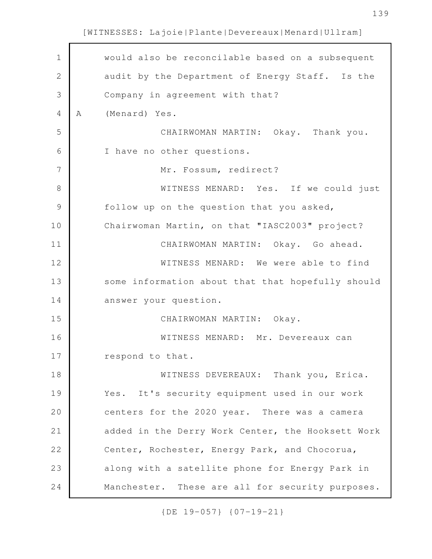139

[WITNESSES: Lajoie|Plante|Devereaux|Menard|Ullram]

| 1              |   | would also be reconcilable based on a subsequent  |
|----------------|---|---------------------------------------------------|
| $\mathbf{2}$   |   | audit by the Department of Energy Staff. Is the   |
| 3              |   | Company in agreement with that?                   |
| $\overline{4}$ | Α | (Menard) Yes.                                     |
| 5              |   | CHAIRWOMAN MARTIN: Okay. Thank you.               |
| 6              |   | I have no other questions.                        |
| 7              |   | Mr. Fossum, redirect?                             |
| 8              |   | WITNESS MENARD: Yes. If we could just             |
| $\mathcal{G}$  |   | follow up on the question that you asked,         |
| 10             |   | Chairwoman Martin, on that "IASC2003" project?    |
| 11             |   | CHAIRWOMAN MARTIN: Okay. Go ahead.                |
| 12             |   | WITNESS MENARD: We were able to find              |
| 13             |   | some information about that that hopefully should |
| 14             |   | answer your question.                             |
| 15             |   | CHAIRWOMAN MARTIN: Okay.                          |
| 16             |   | WITNESS MENARD: Mr. Devereaux can                 |
| 17             |   | respond to that.                                  |
| 18             |   | WITNESS DEVEREAUX: Thank you, Erica.              |
| 19             |   | Yes. It's security equipment used in our work     |
| 20             |   | centers for the 2020 year. There was a camera     |
| 21             |   | added in the Derry Work Center, the Hooksett Work |
| 22             |   | Center, Rochester, Energy Park, and Chocorua,     |
| 23             |   | along with a satellite phone for Energy Park in   |
| 24             |   | Manchester. These are all for security purposes.  |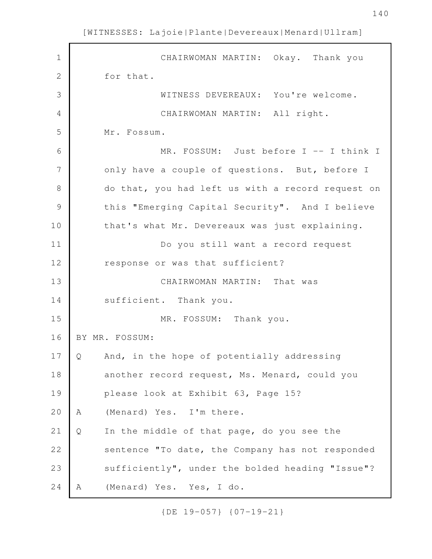| $\mathbf 1$    | CHAIRWOMAN MARTIN: Okay. Thank you                |  |
|----------------|---------------------------------------------------|--|
| $\mathbf{2}$   | for that.                                         |  |
| 3              | WITNESS DEVEREAUX: You're welcome.                |  |
| $\overline{4}$ | CHAIRWOMAN MARTIN: All right.                     |  |
| 5              | Mr. Fossum.                                       |  |
| 6              | MR. FOSSUM: Just before I -- I think I            |  |
| 7              | only have a couple of questions. But, before I    |  |
| 8              | do that, you had left us with a record request on |  |
| $\mathcal{G}$  | this "Emerging Capital Security". And I believe   |  |
| 10             | that's what Mr. Devereaux was just explaining.    |  |
| 11             | Do you still want a record request                |  |
| 12             | response or was that sufficient?                  |  |
| 13             | CHAIRWOMAN MARTIN: That was                       |  |
| 14             | sufficient. Thank you.                            |  |
| 15             | MR. FOSSUM: Thank you.                            |  |
| 16             | BY MR. FOSSUM:                                    |  |
| 17             | And, in the hope of potentially addressing<br>Q   |  |
| 18             | another record request, Ms. Menard, could you     |  |
| 19             | please look at Exhibit 63, Page 15?               |  |
| 20             | (Menard) Yes. I'm there.<br>Α                     |  |
| 21             | In the middle of that page, do you see the<br>Q   |  |
| 22             | sentence "To date, the Company has not responded  |  |
| 23             | sufficiently", under the bolded heading "Issue"?  |  |
| 24             | (Menard) Yes. Yes, I do.<br>A                     |  |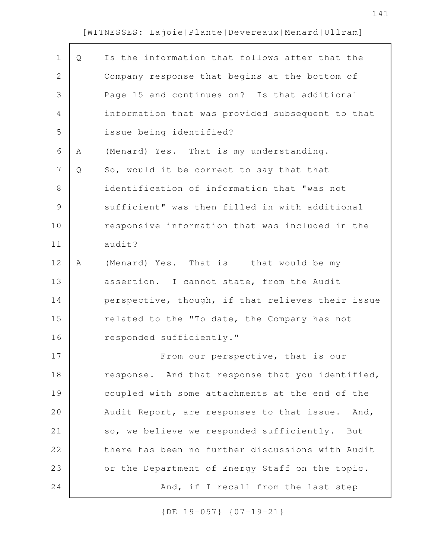| Q | Is the information that follows after that the    |
|---|---------------------------------------------------|
|   | Company response that begins at the bottom of     |
|   | Page 15 and continues on? Is that additional      |
|   | information that was provided subsequent to that  |
|   | issue being identified?                           |
| Α | (Menard) Yes. That is my understanding.           |
| Q | So, would it be correct to say that that          |
|   | identification of information that "was not       |
|   | sufficient" was then filled in with additional    |
|   | responsive information that was included in the   |
|   | audit?                                            |
| A | (Menard) Yes. That is -- that would be my         |
|   | assertion. I cannot state, from the Audit         |
|   | perspective, though, if that relieves their issue |
|   | related to the "To date, the Company has not      |
|   | responded sufficiently."                          |
|   | From our perspective, that is our                 |
|   | response. And that response that you identified,  |
|   | coupled with some attachments at the end of the   |
|   | Audit Report, are responses to that issue. And,   |
|   | so, we believe we responded sufficiently. But     |
|   | there has been no further discussions with Audit  |
|   | or the Department of Energy Staff on the topic.   |
|   | And, if I recall from the last step               |
|   |                                                   |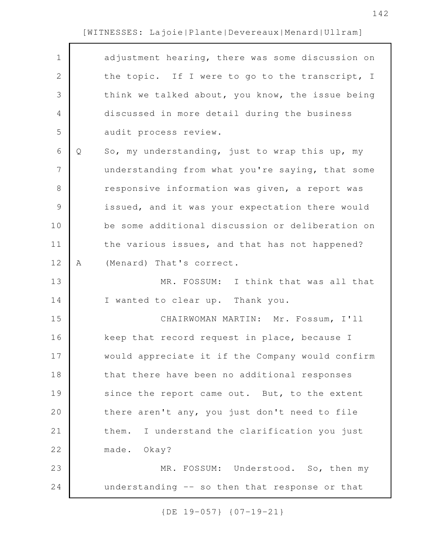| $\mathbf 1$    |   | adjustment hearing, there was some discussion on |
|----------------|---|--------------------------------------------------|
| $\mathbf{2}$   |   | the topic. If I were to go to the transcript, I  |
| 3              |   | think we talked about, you know, the issue being |
| 4              |   | discussed in more detail during the business     |
| 5              |   | audit process review.                            |
| 6              | Q | So, my understanding, just to wrap this up, my   |
| $\overline{7}$ |   | understanding from what you're saying, that some |
| $\,8\,$        |   | responsive information was given, a report was   |
| $\mathsf 9$    |   | issued, and it was your expectation there would  |
| 10             |   | be some additional discussion or deliberation on |
| 11             |   | the various issues, and that has not happened?   |
| 12             | Α | (Menard) That's correct.                         |
| 13             |   | MR. FOSSUM: I think that was all that            |
| 14             |   | I wanted to clear up. Thank you.                 |
| 15             |   | CHAIRWOMAN MARTIN: Mr. Fossum, I'll              |
| 16             |   | keep that record request in place, because I     |
| 17             |   | would appreciate it if the Company would confirm |
| 18             |   | that there have been no additional responses     |
| 19             |   | since the report came out. But, to the extent    |
| 20             |   | there aren't any, you just don't need to file    |
| 21             |   | them. I understand the clarification you just    |
| 22             |   | made. Okay?                                      |
| 23             |   | MR. FOSSUM: Understood. So, then my              |
| 24             |   | understanding -- so then that response or that   |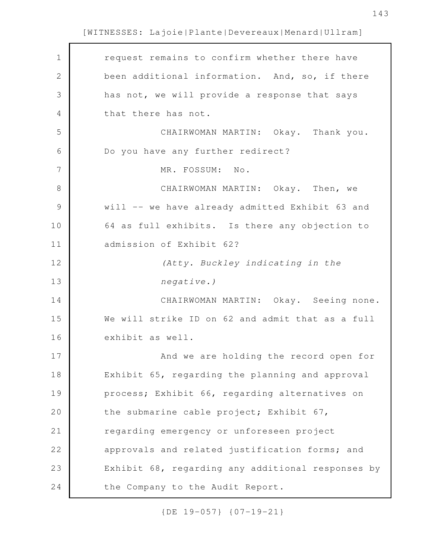| $\mathbf 1$    | request remains to confirm whether there have     |
|----------------|---------------------------------------------------|
| $\mathbf{2}$   | been additional information. And, so, if there    |
| 3              | has not, we will provide a response that says     |
| $\overline{4}$ | that there has not.                               |
| 5              | CHAIRWOMAN MARTIN: Okay. Thank you.               |
| 6              | Do you have any further redirect?                 |
| 7              | MR. FOSSUM: No.                                   |
| 8              | CHAIRWOMAN MARTIN: Okay. Then, we                 |
| $\mathcal{G}$  | will -- we have already admitted Exhibit 63 and   |
| 10             | 64 as full exhibits. Is there any objection to    |
| 11             | admission of Exhibit 62?                          |
| 12             | (Atty. Buckley indicating in the                  |
| 13             | $negative.$ )                                     |
| 14             | CHAIRWOMAN MARTIN: Okay. Seeing none.             |
| 15             | We will strike ID on 62 and admit that as a full  |
| 16             | exhibit as well.                                  |
| 17             | And we are holding the record open for            |
| 18             | Exhibit 65, regarding the planning and approval   |
| 19             | process; Exhibit 66, regarding alternatives on    |
| 20             | the submarine cable project; Exhibit 67,          |
| 21             | regarding emergency or unforeseen project         |
| 22             | approvals and related justification forms; and    |
| 23             | Exhibit 68, regarding any additional responses by |
| 24             | the Company to the Audit Report.                  |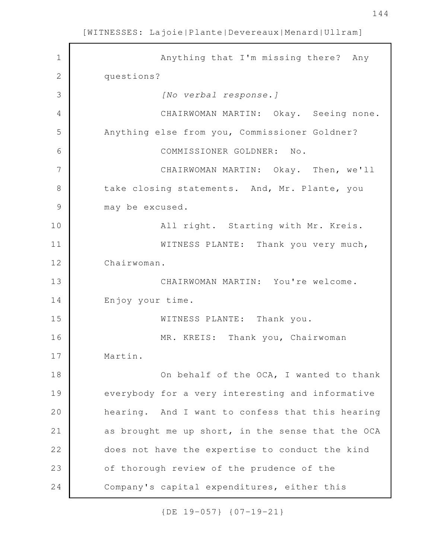| 1              | Anything that I'm missing there? Any              |
|----------------|---------------------------------------------------|
| $\mathbf{2}$   | questions?                                        |
| 3              | [No verbal response.]                             |
| $\overline{4}$ | CHAIRWOMAN MARTIN: Okay. Seeing none.             |
| 5              | Anything else from you, Commissioner Goldner?     |
| 6              | COMMISSIONER GOLDNER: No.                         |
| 7              | CHAIRWOMAN MARTIN: Okay. Then, we'll              |
| 8              | take closing statements. And, Mr. Plante, you     |
| $\mathcal{G}$  | may be excused.                                   |
| 10             | All right. Starting with Mr. Kreis.               |
| 11             | WITNESS PLANTE: Thank you very much,              |
| 12             | Chairwoman.                                       |
| 13             | CHAIRWOMAN MARTIN: You're welcome.                |
| 14             | Enjoy your time.                                  |
| 15             | WITNESS PLANTE: Thank you.                        |
| 16             | MR. KREIS: Thank you, Chairwoman                  |
| 17             | Martin.                                           |
| 18             | On behalf of the OCA, I wanted to thank           |
| 19             | everybody for a very interesting and informative  |
| 20             | hearing. And I want to confess that this hearing  |
| 21             | as brought me up short, in the sense that the OCA |
| 22             | does not have the expertise to conduct the kind   |
| 23             | of thorough review of the prudence of the         |
| 24             | Company's capital expenditures, either this       |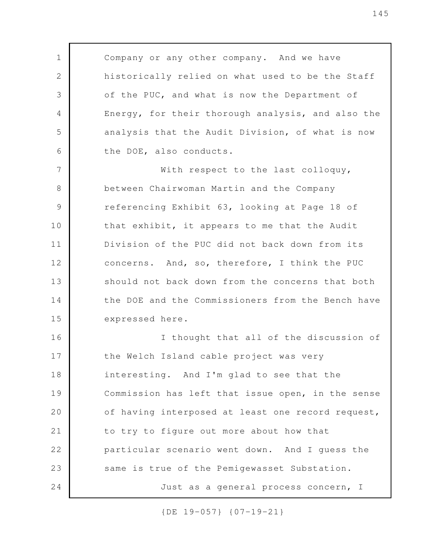Company or any other company. And we have historically relied on what used to be the Staff of the PUC, and what is now the Department of Energy, for their thorough analysis, and also the analysis that the Audit Division, of what is now the DOE, also conducts. With respect to the last colloquy,

1

2

3

4

5

6

7

between Chairwoman Martin and the Company referencing Exhibit 63, looking at Page 18 of that exhibit, it appears to me that the Audit Division of the PUC did not back down from its concerns. And, so, therefore, I think the PUC should not back down from the concerns that both the DOE and the Commissioners from the Bench have expressed here. 8 9 10 11 12 13 14 15

I thought that all of the discussion of the Welch Island cable project was very interesting. And I'm glad to see that the Commission has left that issue open, in the sense of having interposed at least one record request, to try to figure out more about how that particular scenario went down. And I guess the same is true of the Pemigewasset Substation. Just as a general process concern, I 16 17 18 19 20 21 22 23 24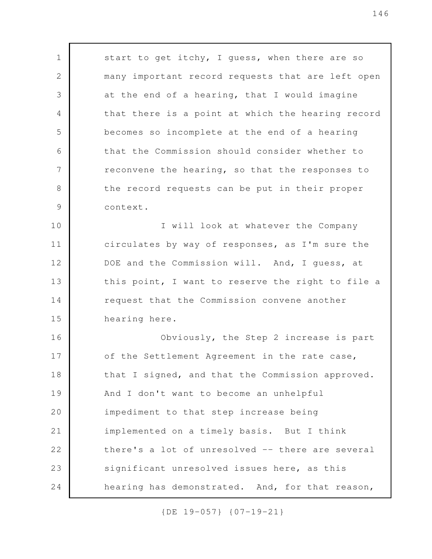start to get itchy, I guess, when there are so many important record requests that are left open at the end of a hearing, that I would imagine that there is a point at which the hearing record becomes so incomplete at the end of a hearing that the Commission should consider whether to reconvene the hearing, so that the responses to the record requests can be put in their proper context. I will look at whatever the Company circulates by way of responses, as I'm sure the DOE and the Commission will. And, I guess, at this point, I want to reserve the right to file a request that the Commission convene another hearing here. Obviously, the Step 2 increase is part of the Settlement Agreement in the rate case, that I signed, and that the Commission approved. And I don't want to become an unhelpful impediment to that step increase being implemented on a timely basis. But I think there's a lot of unresolved -- there are several significant unresolved issues here, as this hearing has demonstrated. And, for that reason, 1 2 3 4 5 6 7 8 9 10 11 12 13 14 15 16 17 18 19 20 21 22 23 24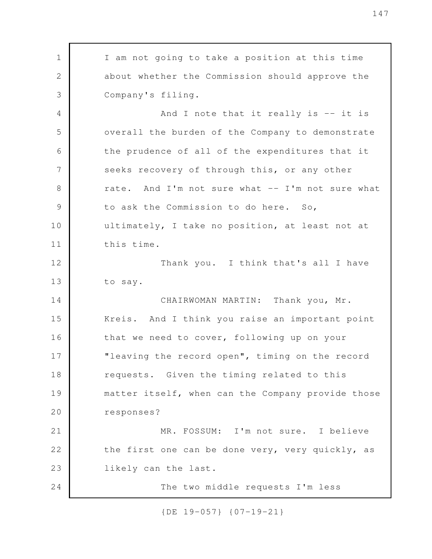I am not going to take a position at this time about whether the Commission should approve the Company's filing. And I note that it really is -- it is overall the burden of the Company to demonstrate the prudence of all of the expenditures that it seeks recovery of through this, or any other rate. And I'm not sure what -- I'm not sure what to ask the Commission to do here. So, ultimately, I take no position, at least not at this time. Thank you. I think that's all I have to say. CHAIRWOMAN MARTIN: Thank you, Mr. Kreis. And I think you raise an important point that we need to cover, following up on your "leaving the record open", timing on the record requests. Given the timing related to this matter itself, when can the Company provide those responses? MR. FOSSUM: I'm not sure. I believe the first one can be done very, very quickly, as likely can the last. The two middle requests I'm less 1 2 3 4 5 6 7 8 9 10 11 12 13 14 15 16 17 18 19 20 21 22 23 24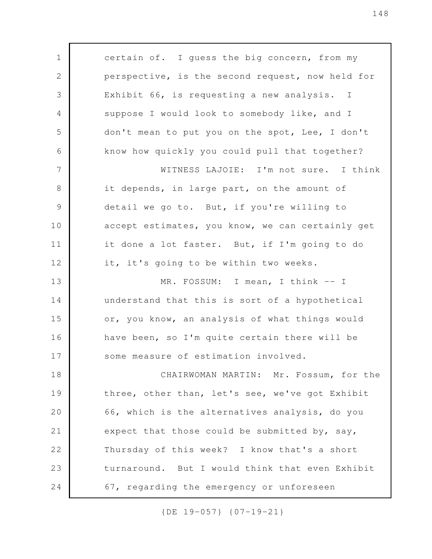certain of. I guess the big concern, from my perspective, is the second request, now held for Exhibit 66, is requesting a new analysis. I suppose I would look to somebody like, and I don't mean to put you on the spot, Lee, I don't know how quickly you could pull that together? WITNESS LAJOIE: I'm not sure. I think it depends, in large part, on the amount of detail we go to. But, if you're willing to accept estimates, you know, we can certainly get it done a lot faster. But, if I'm going to do it, it's going to be within two weeks. MR. FOSSUM: I mean, I think -- I understand that this is sort of a hypothetical or, you know, an analysis of what things would have been, so I'm quite certain there will be some measure of estimation involved. CHAIRWOMAN MARTIN: Mr. Fossum, for the three, other than, let's see, we've got Exhibit 66, which is the alternatives analysis, do you expect that those could be submitted by, say, Thursday of this week? I know that's a short turnaround. But I would think that even Exhibit 67, regarding the emergency or unforeseen 1 2 3 4 5 6 7 8 9 10 11 12 13 14 15 16 17 18 19 20 21 22 23 24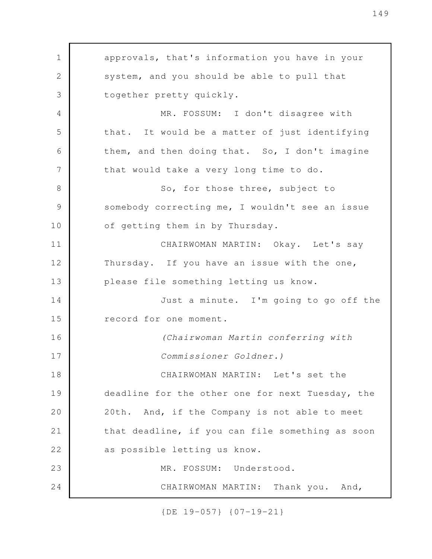approvals, that's information you have in your system, and you should be able to pull that together pretty quickly. MR. FOSSUM: I don't disagree with that. It would be a matter of just identifying them, and then doing that. So, I don't imagine that would take a very long time to do. So, for those three, subject to somebody correcting me, I wouldn't see an issue of getting them in by Thursday. CHAIRWOMAN MARTIN: Okay. Let's say Thursday. If you have an issue with the one, please file something letting us know. Just a minute. I'm going to go off the record for one moment. *(Chairwoman Martin conferring with Commissioner Goldner.)* CHAIRWOMAN MARTIN: Let's set the deadline for the other one for next Tuesday, the 20th. And, if the Company is not able to meet that deadline, if you can file something as soon as possible letting us know. MR. FOSSUM: Understood. CHAIRWOMAN MARTIN: Thank you. And, 1 2 3 4 5 6 7 8 9 10 11 12 13 14 15 16 17 18 19 20 21 22 23 24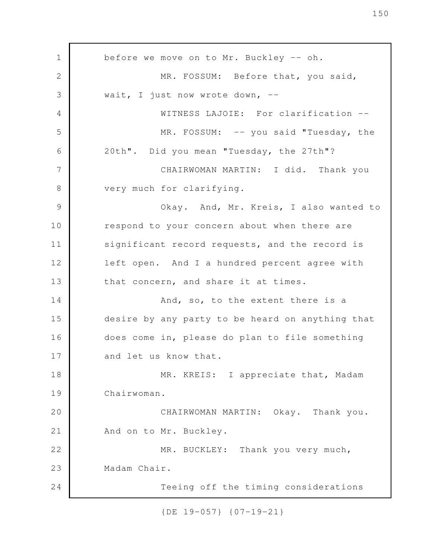before we move on to Mr. Buckley -- oh. MR. FOSSUM: Before that, you said, wait, I just now wrote down, --WITNESS LAJOIE: For clarification -- MR. FOSSUM: -- you said "Tuesday, the 20th". Did you mean "Tuesday, the 27th"? CHAIRWOMAN MARTIN: I did. Thank you very much for clarifying. Okay. And, Mr. Kreis, I also wanted to respond to your concern about when there are significant record requests, and the record is left open. And I a hundred percent agree with that concern, and share it at times. And, so, to the extent there is a desire by any party to be heard on anything that does come in, please do plan to file something and let us know that. MR. KREIS: I appreciate that, Madam Chairwoman. CHAIRWOMAN MARTIN: Okay. Thank you. And on to Mr. Buckley. MR. BUCKLEY: Thank you very much, Madam Chair. Teeing off the timing considerations 1 2 3 4 5 6 7 8 9 10 11 12 13 14 15 16 17 18 19 20 21 22 23 24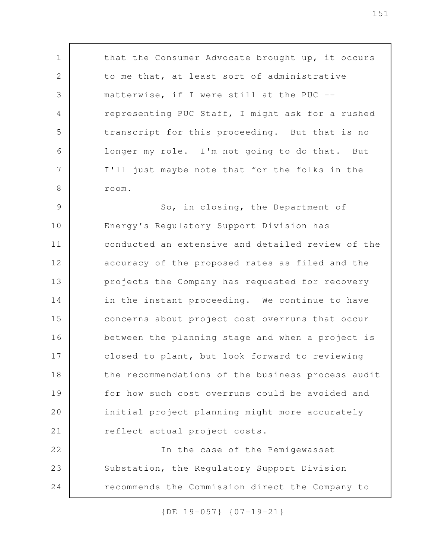that the Consumer Advocate brought up, it occurs to me that, at least sort of administrative matterwise, if I were still at the PUC - representing PUC Staff, I might ask for a rushed transcript for this proceeding. But that is no longer my role. I'm not going to do that. But I'll just maybe note that for the folks in the room. 1 2 3 4 5 6 7 8

So, in closing, the Department of Energy's Regulatory Support Division has conducted an extensive and detailed review of the accuracy of the proposed rates as filed and the projects the Company has requested for recovery in the instant proceeding. We continue to have concerns about project cost overruns that occur between the planning stage and when a project is closed to plant, but look forward to reviewing the recommendations of the business process audit for how such cost overruns could be avoided and initial project planning might more accurately reflect actual project costs. In the case of the Pemigewasset 9 10 11 12 13 14 15 16 17 18 19 20 21 22

Substation, the Regulatory Support Division recommends the Commission direct the Company to 23 24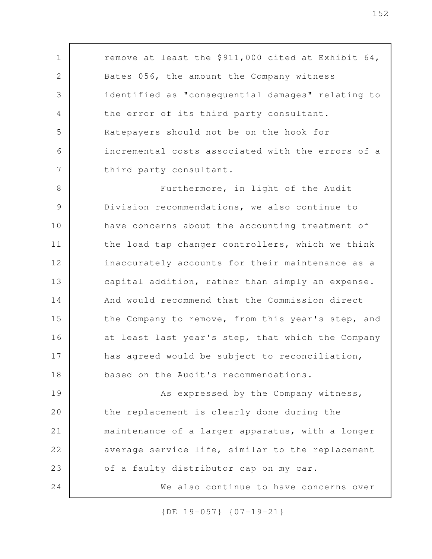remove at least the \$911,000 cited at Exhibit 64, Bates 056, the amount the Company witness identified as "consequential damages" relating to the error of its third party consultant. Ratepayers should not be on the hook for incremental costs associated with the errors of a third party consultant. 1 2 3 4 5 6 7

Furthermore, in light of the Audit Division recommendations, we also continue to have concerns about the accounting treatment of the load tap changer controllers, which we think inaccurately accounts for their maintenance as a capital addition, rather than simply an expense. And would recommend that the Commission direct the Company to remove, from this year's step, and at least last year's step, that which the Company has agreed would be subject to reconciliation, based on the Audit's recommendations. 8 9 10 11 12 13 14 15 16 17 18

As expressed by the Company witness, the replacement is clearly done during the maintenance of a larger apparatus, with a longer average service life, similar to the replacement of a faulty distributor cap on my car. We also continue to have concerns over 19 20 21 22 23 24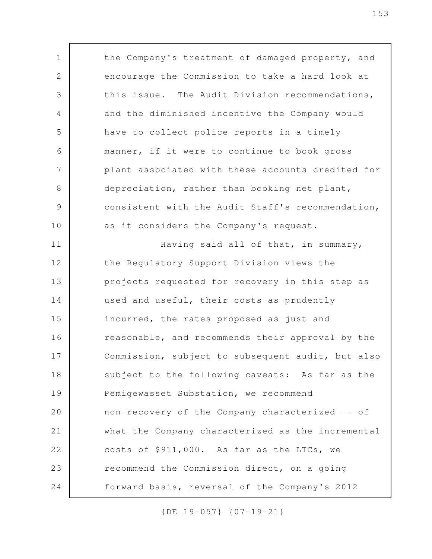the Company's treatment of damaged property, and encourage the Commission to take a hard look at this issue. The Audit Division recommendations, and the diminished incentive the Company would have to collect police reports in a timely manner, if it were to continue to book gross plant associated with these accounts credited for depreciation, rather than booking net plant, consistent with the Audit Staff's recommendation, as it considers the Company's request. Having said all of that, in summary, the Regulatory Support Division views the projects requested for recovery in this step as used and useful, their costs as prudently incurred, the rates proposed as just and reasonable, and recommends their approval by the Commission, subject to subsequent audit, but also subject to the following caveats: As far as the Pemigewasset Substation, we recommend non-recovery of the Company characterized -- of what the Company characterized as the incremental costs of \$911,000. As far as the LTCs, we recommend the Commission direct, on a going forward basis, reversal of the Company's 2012 1 2 3 4 5 6 7 8 9 10 11 12 13 14 15 16 17 18 19 20 21 22 23 24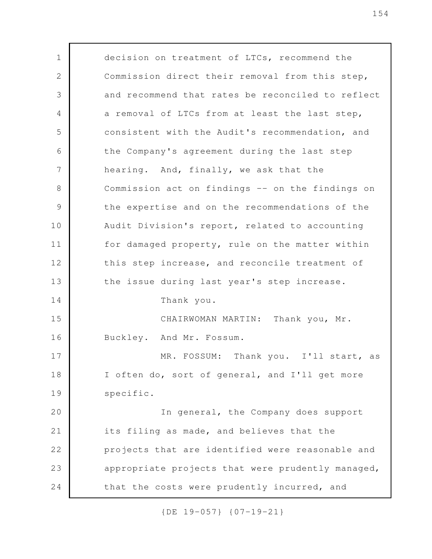decision on treatment of LTCs, recommend the Commission direct their removal from this step, and recommend that rates be reconciled to reflect a removal of LTCs from at least the last step, consistent with the Audit's recommendation, and the Company's agreement during the last step hearing. And, finally, we ask that the Commission act on findings -- on the findings on the expertise and on the recommendations of the Audit Division's report, related to accounting for damaged property, rule on the matter within this step increase, and reconcile treatment of the issue during last year's step increase. Thank you. CHAIRWOMAN MARTIN: Thank you, Mr. Buckley. And Mr. Fossum. MR. FOSSUM: Thank you. I'll start, as I often do, sort of general, and I'll get more specific. In general, the Company does support its filing as made, and believes that the projects that are identified were reasonable and appropriate projects that were prudently managed, that the costs were prudently incurred, and 1 2 3 4 5 6 7 8 9 10 11 12 13 14 15 16 17 18 19 20 21 22 23 24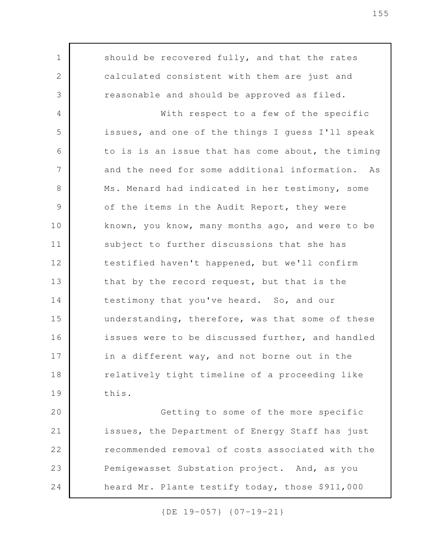should be recovered fully, and that the rates calculated consistent with them are just and reasonable and should be approved as filed. With respect to a few of the specific issues, and one of the things I guess I'll speak to is is an issue that has come about, the timing and the need for some additional information. As Ms. Menard had indicated in her testimony, some of the items in the Audit Report, they were known, you know, many months ago, and were to be subject to further discussions that she has testified haven't happened, but we'll confirm that by the record request, but that is the testimony that you've heard. So, and our understanding, therefore, was that some of these issues were to be discussed further, and handled in a different way, and not borne out in the relatively tight timeline of a proceeding like this. Getting to some of the more specific issues, the Department of Energy Staff has just recommended removal of costs associated with the Pemigewasset Substation project. And, as you 1 2 3 4 5 6 7 8 9 10 11 12 13 14 15 16 17 18 19 20 21 22 23

{DE 19-057} {07-19-21}

24

heard Mr. Plante testify today, those \$911,000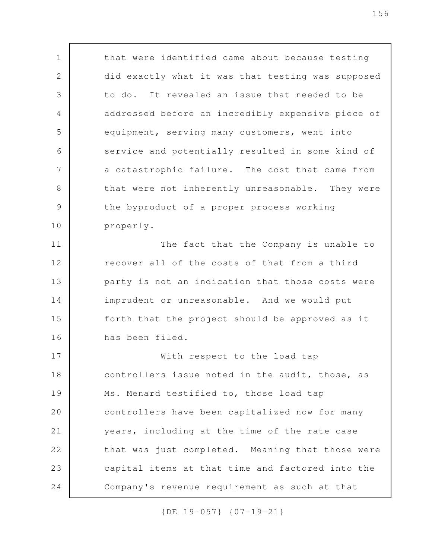that were identified came about because testing did exactly what it was that testing was supposed to do. It revealed an issue that needed to be addressed before an incredibly expensive piece of equipment, serving many customers, went into service and potentially resulted in some kind of a catastrophic failure. The cost that came from that were not inherently unreasonable. They were the byproduct of a proper process working properly. The fact that the Company is unable to recover all of the costs of that from a third party is not an indication that those costs were imprudent or unreasonable. And we would put forth that the project should be approved as it has been filed. With respect to the load tap controllers issue noted in the audit, those, as Ms. Menard testified to, those load tap controllers have been capitalized now for many years, including at the time of the rate case that was just completed. Meaning that those were capital items at that time and factored into the Company's revenue requirement as such at that 1 2 3 4 5 6 7 8 9 10 11 12 13 14 15 16 17 18 19 20 21 22 23 24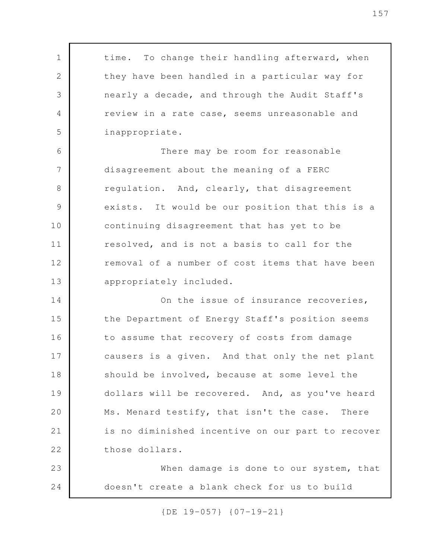time. To change their handling afterward, when they have been handled in a particular way for nearly a decade, and through the Audit Staff's review in a rate case, seems unreasonable and inappropriate. There may be room for reasonable disagreement about the meaning of a FERC regulation. And, clearly, that disagreement exists. It would be our position that this is a continuing disagreement that has yet to be resolved, and is not a basis to call for the removal of a number of cost items that have been appropriately included. On the issue of insurance recoveries, the Department of Energy Staff's position seems to assume that recovery of costs from damage causers is a given. And that only the net plant should be involved, because at some level the dollars will be recovered. And, as you've heard Ms. Menard testify, that isn't the case. There is no diminished incentive on our part to recover those dollars. When damage is done to our system, that doesn't create a blank check for us to build 1 2 3 4 5 6 7 8 9 10 11 12 13 14 15 16 17 18 19 20 21 22 23 24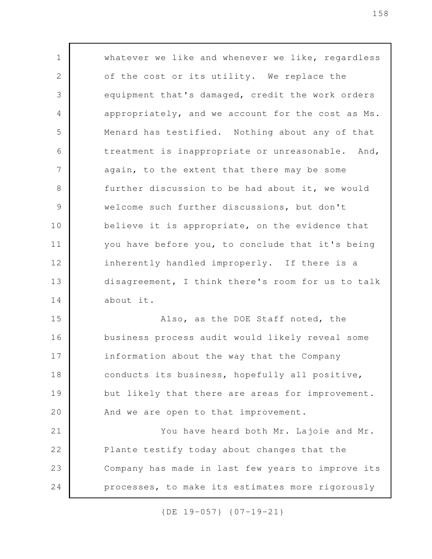whatever we like and whenever we like, regardless of the cost or its utility. We replace the equipment that's damaged, credit the work orders appropriately, and we account for the cost as Ms. Menard has testified. Nothing about any of that treatment is inappropriate or unreasonable. And, again, to the extent that there may be some further discussion to be had about it, we would welcome such further discussions, but don't believe it is appropriate, on the evidence that you have before you, to conclude that it's being inherently handled improperly. If there is a disagreement, I think there's room for us to talk about it. Also, as the DOE Staff noted, the business process audit would likely reveal some 1 2 3 4 5 6 7 8 9 10 11 12 13 14 15 16

information about the way that the Company conducts its business, hopefully all positive, but likely that there are areas for improvement. And we are open to that improvement. 17 18 19 20

You have heard both Mr. Lajoie and Mr. Plante testify today about changes that the Company has made in last few years to improve its processes, to make its estimates more rigorously 21 22 23 24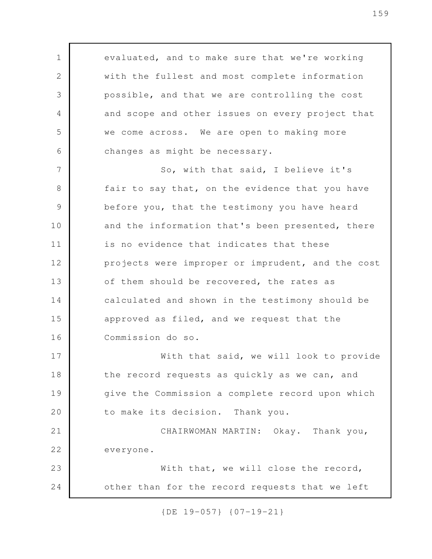evaluated, and to make sure that we're working with the fullest and most complete information possible, and that we are controlling the cost and scope and other issues on every project that we come across. We are open to making more changes as might be necessary. So, with that said, I believe it's fair to say that, on the evidence that you have before you, that the testimony you have heard and the information that's been presented, there is no evidence that indicates that these projects were improper or imprudent, and the cost of them should be recovered, the rates as calculated and shown in the testimony should be approved as filed, and we request that the Commission do so. With that said, we will look to provide the record requests as quickly as we can, and give the Commission a complete record upon which to make its decision. Thank you. CHAIRWOMAN MARTIN: Okay. Thank you, everyone. With that, we will close the record, other than for the record requests that we left 1 2 3 4 5 6 7 8 9 10 11 12 13 14 15 16 17 18 19 20 21 22 23 24